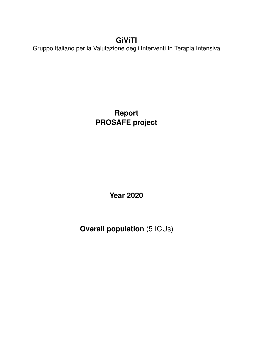# **GiViTI**

Gruppo Italiano per la Valutazione degli Interventi In Terapia Intensiva

# **Report PROSAFE project**

**Year 2020**

**Overall population** (5 ICUs)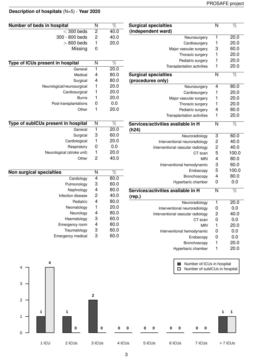### **Description of hospitals** (N=5) - **Year 2020**

| Number of beds in hospital                  | N              | $\overline{\%}$ | <b>Surgical specialties</b>        | $\overline{\mathsf{N}}$ | $\overline{\%}$   |
|---------------------------------------------|----------------|-----------------|------------------------------------|-------------------------|-------------------|
| $<$ 300 beds                                | $\overline{2}$ | 40.0            | (independent ward)                 |                         |                   |
| 300 - 800 beds                              | 2              | 40.0            | Neurosurgery                       | 1                       | 20.0              |
| $> 800$ beds                                | 1              | 20.0            | Cardiosurgery                      | 1                       | 20.0              |
| Missing                                     | 0              |                 | Major vascular surgery             | 3                       | 60.0              |
|                                             |                |                 | Thoracic surgery                   | 1                       | 20.0              |
|                                             | N              | $\%$            | Pediatric surgery                  | 1                       | 20.0              |
| Type of ICUs present in hospital<br>General | 1              | 20.0            | Transplantation activities         | 1                       | 20.0              |
| Medical                                     | 4              | 80.0            | <b>Surgical specialties</b>        | $\overline{\mathsf{N}}$ | $\overline{\%}$   |
| Surgical                                    | 4              | 80.0            | (procedures only)                  |                         |                   |
| Neurological/neurosurgical                  | 1              | 20.0            |                                    | 4                       | 80.0              |
| Cardiosurgical                              | 1              | 20.0            | Neurosurgery                       |                         |                   |
|                                             | 1              | 20.0            | Cardiosurgery                      | 1                       | 20.0              |
| <b>Burns</b>                                |                |                 | Major vascular surgery             | 1                       | 20.0              |
| Post-transplantations                       | 0              | 0.0             | Thoracic surgery                   | 1                       | 20.0              |
| Other                                       | 1              | 20.0            | Pediatric surgery                  | 4                       | 80.0              |
|                                             |                |                 | Transplantation activities         | 1                       | 20.0              |
| Type of subICUs present in hospital         | N              | $\overline{\%}$ | Services/activities available in H | $\overline{\mathsf{N}}$ | $\overline{\%}$   |
| General                                     | 1              | 20.0            | (h24)                              |                         |                   |
| Surgical                                    | 3              | 60.0            | Neuroradiology                     | 3                       | 60.0              |
| Cardiological                               | 1              | 20.0            | Interventional neuroradiology      | $\overline{\mathbf{c}}$ | 40.0              |
| Respiratory                                 | 0              | 0.0             | Interventional vascular radiology  | $\overline{\mathbf{c}}$ | 40.0              |
| Neurological (stroke unit)                  | 1              | 20.0            | CT scan                            | 5                       | 100.0             |
| Other                                       | 2              | 40.0            | <b>MRI</b>                         | 4                       | 80.0              |
|                                             |                |                 | Interventional hemodynamic         | 3                       | 60.0              |
| <b>Non surgical specialties</b>             | N              | $\overline{\%}$ | Endoscopy                          | 5                       | 100.0             |
| Cardiology                                  | 4              | 80.0            | Bronchoscopy                       | 4                       | 80.0              |
| Pulmonology                                 | 3              | 60.0            | Hyperbaric chamber                 | 0                       | 0.0               |
| Nephrology                                  | 4              | 80.0            | Services/activities available in H |                         |                   |
| Infection disease                           | 2              | 40.0            |                                    | N                       | $\overline{\%}$   |
| Pediatric                                   | 4              | 80.0            | (rep.)                             |                         |                   |
| Neonatology                                 | 1              | 20.0            | Neuroradiology                     | 1                       | $20.\overline{0}$ |
|                                             |                | 80.0            | Interventional neuroradiology      | 0                       | 0.0               |
| Neurology                                   | 4<br>3         | 60.0            | Interventional vascular radiology  | 2                       | 40.0              |
| Haematology                                 |                | 80.0            | CT scan                            | 0                       | 0.0               |
| Emergency room                              | 4              |                 | <b>MRI</b>                         | 1                       | 20.0              |
| Traumatology                                | 3              | 60.0            | Interventional hemodynamic         | 0                       | 0.0               |
| Emergency medical                           | 3              | 60.0            | Endoscopy                          | 0                       | 0.0               |
|                                             |                |                 | Bronchoscopy                       | 1                       | 20.0              |
|                                             |                |                 | Hyperbaric chamber                 | 1                       | 20.0              |

| Type of ICUs present in hospital    | N              | $\overline{\%}$ |
|-------------------------------------|----------------|-----------------|
| General                             | 1              | 20.0            |
| Medical                             | $\overline{4}$ | 80.0            |
| Surgical                            | 4              | 80.0            |
| Neurological/neurosurgical          | 1              | 20.0            |
| Cardiosurgical                      | 1              | 20.0            |
| Burns                               | 1              | 20.0            |
| Post-transplantations               | 0              | 0.0             |
| Other                               | 1              | 20.0            |
|                                     |                |                 |
| Type of subICUs present in hospital | N              | %               |
| General                             | 1              | 20.0            |
| Surgical                            | 3              | 60.0            |
| Cardiological                       | 1              | 20.0            |
| Respiratory                         | 0              | 0.0             |
| Neurological (stroke unit)          | 1              | 20.0            |
| Other                               | $\overline{2}$ | 40.0            |
|                                     |                |                 |
| <b>Non surgical specialties</b>     | N              | %               |
| Cardiology                          | 4              | 80.0            |
| Pulmonology                         | 3              | 60.0            |
| Nephrology                          | 4              | 80.0            |
| Infection disease                   | $\overline{2}$ | 40.0            |
| Pediatric                           | 4              | 80 O            |

| <u>Fullionology</u> | ັ | vv.v |
|---------------------|---|------|
| Nephrology          | 4 | 80.0 |
| Infection disease   | 2 | 40.0 |
| Pediatric           | 4 | 80.0 |
| Neonatology         | 1 | 20.0 |
| Neurology           | 4 | 80.0 |
| Haematology         | 3 | 60.0 |
| Emergency room      | 4 | 80.0 |
| Traumatology        | 3 | 60.0 |
| Emergency medical   | 3 | 60.0 |
|                     |   |      |

1 ICU 2 ICUs 3 ICUs 4 ICUs 5 ICUs 6 ICUs 7 ICUs > 7 ICUs Number of ICUs in hospital □ Number of subICUs in hospital 0 1 2 3 4 **1 4 1 0 2 0 0 0 0 0 0 0 0 0 1 1**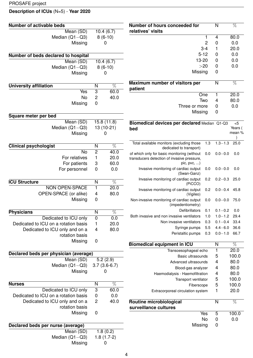### **Description of ICUs** (N=5) - **Year 2020**

| <b>Number of activable beds</b>                  |                  |                   | Number of hours conceeded for                                        |     | $\mathsf{N}$     | $\overline{\%}$ |
|--------------------------------------------------|------------------|-------------------|----------------------------------------------------------------------|-----|------------------|-----------------|
| Mean (SD)                                        |                  | 10.4(6.7)         | relatives' visits                                                    |     |                  |                 |
| Median $(Q1-Q3)$                                 |                  | $8(6-10)$         |                                                                      |     | 4                | 80.0            |
| Missing                                          |                  | 0                 | 2                                                                    |     | 0                | 0.0             |
|                                                  |                  |                   | $3-4$                                                                |     | 1                | 20.0            |
| Number of beds declared to hospital              |                  |                   | $5 - 12$                                                             |     | 0                | 0.0             |
| Mean (SD)                                        |                  | 10.4(6.7)         | 13-20                                                                |     | 0                | 0.0             |
| Median $(Q1-Q3)$                                 |                  | $8(6-10)$         | >20                                                                  |     | 0                | 0.0             |
| Missing                                          |                  | $\mathbf 0$       | Missing                                                              |     | 0                |                 |
|                                                  |                  |                   |                                                                      |     |                  |                 |
| <b>University affiliation</b>                    | ${\sf N}$        | $\overline{\%}$   | Maximum number of visitors per<br>patient                            |     | N                | $\overline{\%}$ |
| Yes                                              | $\overline{3}$   | 60.0              | One                                                                  |     | 1                | 20.0            |
| No                                               | $\overline{c}$   | 40.0              | Two                                                                  |     | 4                | 80.0            |
| Missing                                          | 0                |                   | Three or more                                                        |     | 0                | 0.0             |
|                                                  |                  |                   | Missing                                                              |     | 0                |                 |
| Square meter per bed                             |                  |                   |                                                                      |     |                  |                 |
| Mean (SD)                                        |                  | 15.8(11.8)        | Biomedical devices per declared Median Q1-Q3                         |     |                  | < 5             |
| Median $(Q1 - Q3)$                               |                  | 13 (10-21)        | bed                                                                  |     |                  | Years (         |
| Missing                                          |                  | 0                 |                                                                      |     |                  | mean %          |
| <b>Clinical psychologist</b>                     | N                | $\overline{\%}$   | Total available monitors (excluding those<br>dedicated to transport) | 1.3 | $1.3 - 1.3$ 25.0 |                 |
| <b>No</b>                                        | $\overline{2}$   | $\overline{40.0}$ | of which only for basic monitoring (without                          | 0.0 | $0.0 - 0.0$      | 0.0             |
| For relatives                                    | 1                | 20.0              | transducers detection of invasive pressure,                          |     |                  |                 |
| For patients                                     | 3                | 60.0              | pic, $pvc, $ )                                                       |     |                  |                 |
| For personnel                                    | $\boldsymbol{0}$ | 0.0               | Invasive monitoring of cardiac output<br>(Swan-Ganz)                 | 0.0 | $0.0 - 0.0$      | 0.0             |
| <b>ICU Structure</b>                             | $\mathsf{N}$     | $\overline{\%}$   | Invasive monitoring of cardiac output                                | 0.2 | $0.2 - 0.3$ 25.0 |                 |
| NON OPEN-SPACE                                   | 1                | 20.0              | (PiCCO)                                                              |     |                  |                 |
| OPEN-SPACE (or alike)                            | 4                | 80.0              | Invasive monitoring of cardiac output<br>(Vigileo)                   | 0.2 | $0.0 - 0.4$ 45.8 |                 |
| Missing                                          | 0                |                   | Non-invasive monitoring of cardiac output<br>(impedentiometry)       | 0.0 | $0.0 - 0.0$      | 75.0            |
|                                                  |                  |                   | Defibrillators                                                       | 0.1 | $0.1 - 0.2$      | 0.0             |
| <b>Physicians</b>                                | N                | $\%$              | Both invasive and non invasive ventilators                           | 1.0 | $1.0 - 1.2$ 29.4 |                 |
| Dedicated to ICU only                            | $\mathbf 0$      | 0.0               | Non invasive ventilators                                             | 0.3 | $0.1 - 0.4$ 33.4 |                 |
| Dedicated to ICU on a rotation basis             | 1                | 20.0              | Syringe pumps                                                        | 5.5 | $4.4 - 6.0$ 36.6 |                 |
| Dedicated to ICU only and on a<br>rotation basis | 4                | 80.0              | Peristaltic pumps                                                    | 0.3 | $0.0 - 1.0$ 66.7 |                 |
| Missing                                          | $\boldsymbol{0}$ |                   |                                                                      |     |                  |                 |
|                                                  |                  |                   | <b>Biomedical equipment in ICU</b>                                   |     | N                | $\overline{\%}$ |
| Declared beds per physician (average)            |                  |                   | Transoesophageal echo<br><b>Basic ultrasounds</b>                    |     | 1                | 20.0<br>100.0   |
| Mean (SD)                                        |                  | 5.2(2.9)          | Advanced ultrasounds                                                 |     | 5<br>4           | 80.0            |
| Median $(Q1-Q3)$                                 |                  | $3.7(3.6-6.7)$    | Blood-gas analyzer                                                   |     | 4                | 80.0            |
| Missing                                          |                  | 0                 | Haemodialysis - Haemofiltration                                      |     | 4                | 80.0            |
|                                                  |                  |                   | Transport ventilator                                                 |     | 5                | 100.0           |
| <b>Nurses</b>                                    | N                | $\overline{\%}$   | Fiberscope                                                           |     | 5                | 100.0           |
| Dedicated to ICU only                            | $\sqrt{3}$       | 60.0              | Extracorporeal circulation system                                    |     | $\mathbf{1}$     | 20.0            |
| Dedicated to ICU on a rotation basis             | $\pmb{0}$        | 0.0               |                                                                      |     |                  |                 |
| Dedicated to ICU only and on a                   | $\overline{c}$   | 40.0              | Routine microbiological                                              |     | N                | $\overline{\%}$ |
| rotation basis                                   |                  |                   | surveillance cultures                                                |     |                  |                 |
| Missing                                          | $\mathbf 0$      |                   | Yes                                                                  |     | 5                | 100.0           |
|                                                  |                  |                   | No                                                                   |     | 0                | 0.0             |
| Declared beds per nurse (average)                |                  |                   | Missing                                                              |     | 0                |                 |
| Mean (SD)                                        |                  | 1.8(0.2)          |                                                                      |     |                  |                 |
| Median $(Q1-Q3)$                                 |                  | $1.8(1.7-2)$      |                                                                      |     |                  |                 |
| Missing                                          |                  | 0                 |                                                                      |     |                  |                 |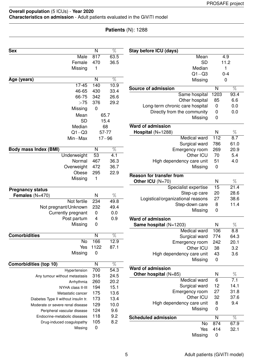### **Patients** (N): 1288

| <b>Sex</b>                           | N                | $\overline{\%}$   | Stay before ICU (days)            |                  |                  |
|--------------------------------------|------------------|-------------------|-----------------------------------|------------------|------------------|
| Male                                 | 817              | 63.5              | Mean                              |                  | 4.9              |
| Female                               | 470              | 36.5              | <b>SD</b>                         |                  | 11.2             |
| Missing                              | 1                |                   | Median                            |                  | 1                |
|                                      |                  |                   | $Q1 - Q3$                         |                  | $0 - 4$          |
| Age (years)                          | $\overline{N}$   | $\overline{\%}$   | Missing                           |                  | $\mathbf 0$      |
| $17 - 45$                            | 140              | 10.9              | <b>Source of admission</b>        | $\mathsf{N}$     | $\overline{\%}$  |
| 46-65                                | 430              | 33.4              | Same hospital                     | 1203             | 93.4             |
| 66-75                                | 342              | 26.6              | Other hospital                    | 85               | 6.6              |
| >75                                  | 376              | 29.2              | Long-term chronic care hospital   | $\mathbf 0$      | 0.0              |
| Missing                              | $\mathbf 0$      |                   | Directly from the community       | $\boldsymbol{0}$ | 0.0              |
| Mean                                 |                  | 65.7              | Missing                           | $\mathbf 0$      |                  |
| <b>SD</b>                            |                  | 15.4              |                                   |                  |                  |
| Median                               |                  | 68                | <b>Ward of admission</b>          |                  |                  |
| $Q1 - Q3$                            |                  | 57-77             | Hospital (N=1288)                 | N                | $\%$             |
| Min-Max                              |                  | $17 - 96$         | <b>Medical ward</b>               | 112              | 8.7              |
|                                      |                  |                   | Surgical ward                     | 786              | 61.0             |
| <b>Body mass Index (BMI)</b>         | N                | $\overline{\%}$   | Emergency room                    | 269              | 20.9             |
| Underweight                          | 53               | 4.1               | Other ICU                         | 70               | 5.4              |
| Normal                               | 467              | 36.3              | High dependency care unit         | 51               | 4.0              |
| Overweight                           | 472              | 36.7              | Missing                           | $\pmb{0}$        |                  |
| Obese                                | 295              | 22.9              |                                   |                  |                  |
| Missing                              | 1                |                   | <b>Reason for transfer from</b>   |                  |                  |
|                                      |                  |                   | Other ICU (N=70)                  | $\mathsf{N}$     | $\%$             |
| <b>Pregnancy status</b>              |                  |                   | Specialist expertise              | 15               | 21.4             |
| Females $(N=470)$                    | N                | $\%$              | Step-up care                      | 20               | 28.6             |
| Not fertile                          | 234              | 49.8              | Logistical/organizational reasons | 27               | 38.6             |
| Not pregnant/Unknown                 | 232              | 49.4              | Step-down care                    | 8                | 11.4             |
| Currently pregnant                   | 0                | 0.0               | Missing                           | $\mathbf 0$      |                  |
| Post partum                          | 4                | 0.9               | <b>Ward of admission</b>          |                  |                  |
| Missing                              | 0                |                   | Same hospital $(N=1203)$          | N                | $\%$             |
|                                      |                  |                   | Medical ward                      | 106              | 8.8              |
| <b>Comorbidities</b>                 | N                | $\%$              | Surgical ward                     | 774              | 64.3             |
| No                                   | 166              | 12.9              | Emergency room                    | 242              | 20.1             |
| Yes                                  | 1122             | 87.1              | Other ICU                         | 38               | 3.2              |
| Missing                              | $\pmb{0}$        |                   | High dependency care unit         | 43               | 3.6              |
|                                      |                  |                   | Missing                           | $\mathbf 0$      |                  |
| Comorbidities (top 10)               | N                | $\overline{\%}$   |                                   |                  |                  |
| Hypertension                         | 700              | $\overline{54.3}$ | <b>Ward of admission</b>          |                  |                  |
| Any tumour without metastasis        | 316              | 24.5              | Other hospital (N=85)             | N                | $\%$             |
| Arrhythmia                           | 260              | 20.2              | Medical ward                      | 6                | $\overline{7.1}$ |
| NYHA class II-III                    | 194              | 15.1              | Surgical ward                     | 12               | 14.1             |
| Metastatic cancer                    | 175              | 13.6              | Emergency room                    | 27               | 31.8             |
| Diabetes Type II without insulin tr. | 173              | 13.4              | Other ICU                         | 32               | 37.6             |
| Moderate or severe renal disease     | 129              | 10.0              | High dependency care unit         | 8                | 9.4              |
| Peripheral vascular disease          | 124              | 9.6               | Missing                           | $\mathbf 0$      |                  |
| Endocrine-metabolic diseases         | 118              | 9.2               |                                   |                  |                  |
|                                      | 105              | 8.2               | <b>Scheduled admission</b>        | N                | %                |
| Drug-induced coagulopathy            | $\boldsymbol{0}$ |                   | No                                | 874              | 67.9             |
| Missing                              |                  |                   | Yes                               | 414              | 32.1             |
|                                      |                  |                   | Missing                           | $\boldsymbol{0}$ |                  |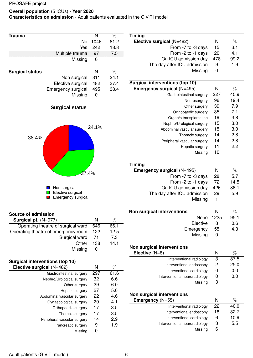**Characteristics on admission** - Adult patients evaluated in the GiViTI model

| <b>Trauma</b>                                           | N                       | $\overline{\%}$ |  |  |  |
|---------------------------------------------------------|-------------------------|-----------------|--|--|--|
| <b>No</b>                                               | 1046                    | 81.2            |  |  |  |
| Yes                                                     | 242                     | 18.8            |  |  |  |
| Multiple trauma                                         | 97                      | 7.5             |  |  |  |
| Missing                                                 | 0                       |                 |  |  |  |
|                                                         |                         |                 |  |  |  |
| <b>Surgical status</b>                                  | $\overline{\mathsf{N}}$ | $\overline{\%}$ |  |  |  |
| Non surgical                                            | $\overline{311}$        | 24.1            |  |  |  |
| Elective surgical                                       | 482                     | 37.4            |  |  |  |
| <b>Emergency surgical</b>                               | 495                     | 38.4            |  |  |  |
| Missing                                                 | $\overline{0}$          |                 |  |  |  |
| <b>Surgical status</b>                                  |                         |                 |  |  |  |
| 24.1%<br>38.4%<br>37.4%                                 |                         |                 |  |  |  |
| Non surgical<br>Elective surgical<br>Emergency surgical |                         |                 |  |  |  |

| Source of admission                 |     |      |
|-------------------------------------|-----|------|
| Surgical pt. $(N=977)$              | N   | %    |
| Operating theatre of surgical ward  | 646 | 66.1 |
| Operating theatre of emergency room | 122 | 12.5 |
| Surgical ward                       | 71  | 7.3  |
| Other                               | 138 | 14.1 |
| Missing                             |     |      |

| Surgical interventions (top 10) |     |      |
|---------------------------------|-----|------|
| Elective surgical (N=482)       | N   | %    |
| Gastrointestinal surgery        | 297 | 61.6 |
| Nephro/Urological surgery       | 32  | 6.6  |
| Other surgery                   | 29  | 6.0  |
| Hepatic surgery                 | 27  | 5.6  |
| Abdominal vascular surgery      | 22  | 4.6  |
| Gynaecological surgery          | 20  | 4.1  |
| Orthopaedic surgery             | 17  | 3.5  |
| Thoracic surgery                | 17  | 3.5  |
| Peripheral vascular surgery     | 14  | 2.9  |
| Pancreatic surgery              | 9   | 1.9  |
| Missina                         | O   |      |

| <b>Timing</b>               |     |      |
|-----------------------------|-----|------|
| Elective surgical (N=482)   | N   | $\%$ |
| From -7 to -3 days          | 15  | 3.1  |
| From -2 to -1 days          | 20  | 4.1  |
| On ICU admission day        | 478 | 99.2 |
| The day after ICU admission | 9   | 1.9  |
| Missing                     |     |      |
|                             |     |      |

| Surgical interventions (top 10)   |     |      |
|-----------------------------------|-----|------|
| <b>Emergency surgical (N=495)</b> | N   | %    |
| Gastrointestinal surgery          | 227 | 45.9 |
| Neurosurgery                      | 96  | 19.4 |
| Other surgery                     | 39  | 7.9  |
| Orthopaedic surgery               | 35  | 7.1  |
| Organ/s transplantation           | 19  | 3.8  |
| Nephro/Urological surgery         | 15  | 3.0  |
| Abdominal vascular surgery        | 15  | 3.0  |
| Thoracic surgery                  | 14  | 2.8  |
| Peripheral vascular surgery       | 14  | 2.8  |
| Hepatic surgery                   | 11  | 2.2  |
| Missing                           | 10  |      |
|                                   |     |      |

| <b>Timing</b>               |     |      |
|-----------------------------|-----|------|
| Emergency surgical (N=495)  | N   | %    |
| From -7 to -3 days          | 28  | 5.7  |
| From -2 to -1 days          | 72  | 14.5 |
| On ICU admission day        | 426 | 86.1 |
| The day after ICU admission | 29  | 5.9  |
| Missing                     |     |      |

| Non surgical interventions |     |      |
|----------------------------|-----|------|
| None 1225                  |     | 95.1 |
| Elective                   | 8   | 0.6  |
| Emergency                  | -55 | 4.3  |
| Missing                    |     |      |

| N | %    |
|---|------|
| 3 | 37.5 |
| 2 | 25.0 |
|   | 0.0  |
|   | 0.0  |
| 3 |      |
|   |      |

| Non surgical interventions    |    |      |
|-------------------------------|----|------|
| Emergency (N=55)              | N  | %    |
| Interventional radiology      | 22 | 40.0 |
| Interventional endoscopy      | 18 | 32.7 |
| Interventional cardiology     | 6  | 10.9 |
| Interventional neuroradiology | 3  | 5.5  |
| Missing                       | 6  |      |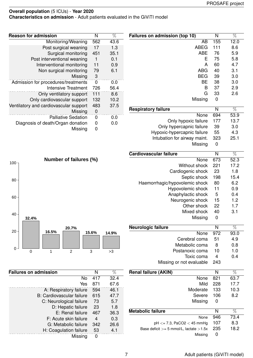**Characteristics on admission** - Adult patients evaluated in the GiViTI model

| $\%$            | Failures on admission (top 10)              | N        | $\%$         |
|-----------------|---------------------------------------------|----------|--------------|
| 3.6             | AB                                          | 155      | 12.0         |
| 1.3             | <b>ABEG</b>                                 | 111      | 8.6          |
| 5.1             | <b>ABE</b>                                  | 76       | 5.9          |
| 0.1             | Ε                                           | 75       | 5.8          |
| 0.9             | A                                           | 60       | 4.7          |
| 3.1             | <b>ABG</b>                                  | 40       | 3.1          |
|                 | <b>BEG</b>                                  | 39       | 3.0          |
| 0.0             | ВE                                          | 38       | 3.0          |
| 6.4             | B                                           | 37       | 2.9          |
| 3.6             | G                                           | 33       | 2.6          |
| 0.2             | Missing                                     | 0        |              |
| 7.5             |                                             |          |              |
|                 | <b>Respiratory failure</b>                  | N<br>694 | $\%$<br>53.9 |
| 0.C             | None                                        |          |              |
| 0.0             | Only hypoxic failure                        | 177      | 13.7         |
|                 | Only hypercapnic failure                    | 39       | 3.0          |
|                 | Hypoxic-hypercapnic failure                 | 55       | 4.3          |
|                 | Intubation for airway maint.                | 323      | 25.1         |
|                 | Missing                                     | 0        |              |
|                 | Cardiovascular failure                      | N        | $\%$         |
|                 | None                                        | 673      | 52.3         |
|                 | Without shock                               | 221      | 17.2         |
|                 | Cardiogenic shock                           | 23       | 1.8          |
|                 | Septic shock                                | 198      | 15.4         |
|                 | Haemorrhagic/hypovolemic shock              | 80       | 6.2          |
|                 | Hypovolemic shock                           | 11       | 0.9          |
|                 | Anaphylactic shock                          | 5        | 0.4          |
|                 | Neurogenic shock                            | 15       | 1.2          |
|                 | Other shock                                 | 22       | 1.7          |
|                 | Mixed shock                                 | 40       | 3.1          |
|                 | Missing                                     | 0        |              |
|                 | Neurologic failure                          | N        | %            |
| 9%              | None                                        | 972      | 93.0         |
|                 | Cerebral coma                               | 51       | 4.9          |
|                 | Metabolic coma                              | 8        | 0.8          |
|                 | Postanoxic coma                             | 10       | 1.0          |
|                 | Toxic coma                                  | 4        | 0.4          |
|                 | Missing or not evaluable                    | 243      |              |
| $\overline{\%}$ | <b>Renal failure (AKIN)</b>                 | N        | $\%$         |
| 2.4             | None                                        | 821      | 63.7         |
| 7.6             | Mild                                        | 228      | 17.7         |
|                 | Moderate                                    | 133      | 10.3         |
| 6.1             | Severe                                      | 106      | 8.2          |
| 7.7<br>5.7      |                                             | 0        |              |
| 1.8             | Missing                                     |          |              |
| 6.3             | <b>Metabolic failure</b>                    | N        | $\%$         |
| 0.3             | None                                        | 946      | 73.4         |
| .66             | $pH \le 7.3$ , PaCO2 $<$ 45 mmHg            | 107      | 8.3          |
| 4.1             | Base deficit $>= 5$ mmol/L, lactate $>1.5x$ | 235      | 18.2         |
|                 | Missing                                     | 0        |              |

| <b>Reason for admission</b>            | N        | $\%$ |
|----------------------------------------|----------|------|
| Monitoring/Weaning                     | 562      | 43.6 |
| Post surgical weaning                  | 17       | 1.3  |
| Surgical monitoring                    | 451      | 35.1 |
| Post interventional weaning            |          | 0.1  |
| Interventional monitoring              | 11       | 0.9  |
| Non surgical monitoring                | 79       | 6.1  |
| Missing                                | 3        |      |
| Admission for procedures/treatments    | $\Omega$ | 0.0  |
| Intensive Treatment                    | 726      | 56.4 |
| Only ventilatory support               | 111      | 8.6  |
| Only cardiovascular support            | 132      | 10.2 |
| Ventilatory and cardiovascular support | 483      | 37.5 |
| Missing                                | 0        |      |
| <b>Palliative Sedation</b>             | 0        | 0.0  |
| Diagnosis of death/Organ donation      | 0        | 0.0  |
| Missing                                | 0        |      |



| <b>Failures on admission</b> | N   | %    |
|------------------------------|-----|------|
| No                           | 417 | 32.4 |
| Yes                          | 871 | 67.6 |
| A: Respiratory failure       | 594 | 46.1 |
| B: Cardiovascular failure    | 615 | 47.7 |
| C: Neurological failure      | 73  | 5.7  |
| D: Hepatic failure           | 23  | 1.8  |
| E: Renal failure             | 467 | 36.3 |
| F: Acute skin failure        | 4   | 0.3  |
| G: Metabolic failure         | 342 | 26.6 |
| H: Coagulation failure       | 53  | 4.1  |
| Missing                      | ŋ   |      |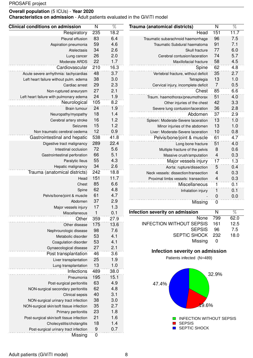**Characteristics on admission** - Adult patients evaluated in the GiViTI model

| <b>Clinical conditions on admission</b>          | N                     | $\overline{\%}$  | Trauma (anatomical districts)        | N                       | $\overline{\%}$ |
|--------------------------------------------------|-----------------------|------------------|--------------------------------------|-------------------------|-----------------|
| Respiratory                                      | 235                   | $\frac{1}{18.2}$ | Head                                 | 151                     | 11.7            |
| Pleural effusion                                 | 83                    | 6.4              | Traumatic subarachnoid haemorrhage   | 96                      | 7.5             |
| Aspiration pneumonia                             | 59                    | 4.6              | Traumatic Subdural haematoma         | 91                      | 7.1             |
| Atelectasis                                      | 34                    | 2.6              | Skull fracture                       | 77                      | 6.0             |
| Lung cancer                                      | 26                    | 2.0              | Cerebral contusion/laceration        | 74                      | 5.7             |
| Moderate ARDS                                    | 22                    | 1.7              | Maxillofacial fracture               | 58                      | 4.5             |
| Cardiovascular                                   | 210                   | 16.3             | Spine                                | 62                      | 4.8             |
| Acute severe arrhythmia: tachycardias            | 48                    | 3.7              | Vertebral fracture, without deficit  | 35                      | 2.7             |
| Left heart failure without pulm. edema           | 38                    | 3.0              | Tetraplegia                          | 13                      | 1.0             |
| Cardiac arrest                                   | 29                    | 2.3              | Cervical injury, incomplete deficit  | $\overline{7}$          | 0.5             |
| Non-ruptured aneurysm                            | 27                    | 2.1              | Chest                                | 85                      | 6.6             |
| Left heart failure with pulmonary edema          | 24                    | 1.9              | Traum. haemothorax/pneumothorax      | 51                      | 4.0             |
| Neurological                                     | 105                   | 8.2              | Other injuries of the chest          | 42                      | 3.3             |
| Brain tumour                                     | 24                    | 1.9              | Severe lung contusion/laceration     | 36                      | 2.8             |
| Neuropathy/myopathy                              | 18                    | 1.4              | Abdomen                              | 37                      | 2.9             |
| Cerebral artery stroke                           | 16                    | 1.2              | Spleen: Moderate-Severe laceration   | 13                      | 1.0             |
| Seizures                                         | 15                    | 1.2              | Minor injuries of the abdomen        | 13                      | 1.0             |
| Non traumatic cerebral oedema                    | 12                    | 0.9              | Liver: Moderate-Severe laceration    | 10                      | 0.8             |
| Gastrointestinal and hepatic                     | 538                   | 41.8             | Pelvis/bone/joint & muscle           | 61                      | 4.7             |
| Digestive tract malignancy                       | 289                   | 22.4             | Long bone fracture                   | 51                      | 4.0             |
| Intestinal occlusion                             | 72                    | 5.6              | Multiple fracture of the pelvis      | 8                       | 0.6             |
| Gastrointestinal perforation                     | 66                    | 5.1              | Massive crush/amputation             | 4                       | 0.3             |
| Paralytic Ileus                                  | 55                    | 4.3              | Major vessels injury                 | 17                      | 1.3             |
| Hepatic malignancy                               | 34                    | 2.6              | Aorta: rupture/dissection            | 5                       | 0.4             |
| Trauma (anatomical districts)                    | 242                   | 18.8             | Neck vessels: dissection/transection | $\overline{\mathbf{4}}$ | 0.3             |
| Head                                             | 151                   | 11.7             | Proximal limbs vessels: transection  | $\overline{4}$          | 0.3             |
| Chest                                            | 85                    | 6.6              | Miscellaneous                        | $\mathbf{1}$            | 0.1             |
| Spine                                            | 62                    | 4.8              | Inhalation injury                    | 1                       | 0.1             |
| Pelvis/bone/joint & muscle                       | 61                    | 4.7              |                                      | 0                       | 0.0             |
| Abdomen                                          | 37                    | 2.9              | Missing                              | 0                       |                 |
| Major vessels injury                             | 17                    | 1.3              |                                      |                         |                 |
| Miscellaneous                                    | 1                     | 0.1              | Infection severity on admission      | N                       | $\sqrt[0]{0}$   |
| Other                                            | 359                   | 27.9             | None                                 | 799                     | 62.0            |
| Other disease                                    | 175                   | 13.6             | <b>INFECTION WITHOUT SEPSIS</b>      | 161                     | 12.5            |
| Nephrourologic disease                           | 98                    | 7.6              | <b>SEPSIS</b>                        | 96                      | 7.5             |
| Metabolic disorder                               | 53                    | 4.1              | SEPTIC SHOCK                         | 232                     | 18.0            |
| Coagulation disorder                             | 53                    | 4.1              | Missing                              | $\boldsymbol{0}$        |                 |
| Gynaecological disease                           | 27                    | 2.1              | Infection severity on admission      |                         |                 |
| Post transplantation                             | 46                    | 3.6              | Patients infected (N=489)            |                         |                 |
| Liver transplantation                            | 25                    | 1.9              |                                      |                         |                 |
| Lung transplantation                             | 13                    | 1.0              |                                      |                         |                 |
| Infections                                       | 489                   | 38.0             |                                      | 32.9%                   |                 |
| Pneumonia                                        | 195                   | 15.1             |                                      |                         |                 |
| Post-surgical peritonitis                        | 63                    | 4.9              | 47.4%                                |                         |                 |
| NON-surgical secondary peritonitis               | 62                    | 4.8              |                                      |                         |                 |
| Clinical sepsis                                  | 40                    | 3.1              |                                      |                         |                 |
| NON-surgical urinary tract infection             | 38                    | 3.0              |                                      |                         |                 |
| NON-surgical skin/soft tissue infection          | 35                    | 2.7              | 19.6%                                |                         |                 |
| Primary peritonitis                              | 23                    | 1.8              |                                      |                         |                 |
| Post-surgical skin/soft tissue infection         | 21                    | 1.6              | <b>INFECTION WITHOUT SEPSIS</b>      |                         |                 |
| Cholecystitis/cholangitis                        | 18                    | 1.4              | <b>SEPSIS</b><br>SEPTIC SHOCK        |                         |                 |
| Post-surgical urinary tract infection<br>Missing | 9<br>$\boldsymbol{0}$ | 0.7              |                                      |                         |                 |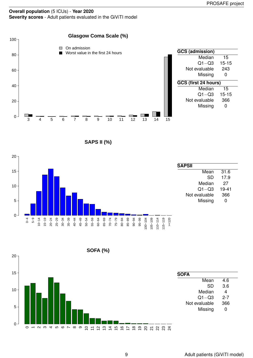### **Overall population** (5 ICUs) - **Year 2020 Severity scores** - Adult patients evaluated in the GiViTI model







**SOFA (%)**

20

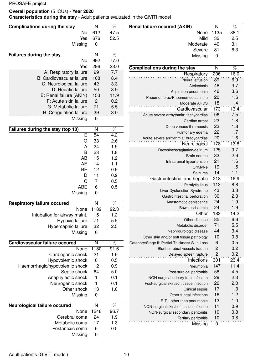U.

### **Overall population** (5 ICUs) - **Year 2020**

**Characteristics during the stay** - Adult patients evaluated in the GiViTI model

| <b>Complications during the stay</b> | N                       | $\%$            | <b>Renal failure occured (AKIN)</b>            | $\overline{N}$   | $\overline{\%}$ |
|--------------------------------------|-------------------------|-----------------|------------------------------------------------|------------------|-----------------|
| No                                   | 612                     | 47.5            | None                                           | 1135             | 88.1            |
| Yes                                  | 676                     | 52.5            | Mild                                           | 32               | 2.5             |
| Missing                              | $\mathbf 0$             |                 | Moderate                                       | 40               | 3.1             |
|                                      |                         |                 | Severe                                         | 81               | 6.3             |
| <b>Failures during the stay</b>      | $\overline{\mathsf{N}}$ | $\overline{\%}$ | Missing                                        | 0                |                 |
| <b>No</b>                            | 992                     | 77.0            |                                                |                  |                 |
| Yes                                  | 296                     | 23.0            | <b>Complications during the stay</b>           | N                | $\overline{\%}$ |
| A: Respiratory failure               | 99                      | 7.7             | Respiratory                                    | 206              | 16.0            |
| <b>B: Cardiovascular failure</b>     | 108                     | 8.4             | Pleural effusion                               | 89               | 6.9             |
| C: Neurological failure              | 42                      | 3.3             | Atelectasis                                    | 48               | 3.7             |
| D: Hepatic failure                   | 50                      | 3.9             |                                                | 46               | 3.6             |
| E: Renal failure (AKIN)              | 153                     | 11.9            | Aspiration pneumonia                           | 20               | 1.6             |
| F: Acute skin failure                | $\overline{c}$          | 0.2             | Pneumothorax/Pneumomediastinum                 |                  |                 |
| G: Metabolic failure                 | 71                      | 5.5             | Moderate ARDS                                  | 18               | 1.4             |
| H: Coagulation failure               | 39                      | 3.0             | Cardiovascular                                 | 173              | 13.4            |
| Missing                              | $\pmb{0}$               |                 | Acute severe arrhythmia: tachycardias          | 96               | 7.5             |
|                                      |                         |                 | Cardiac arrest                                 | 23               | 1.8             |
| Failures during the stay (top 10)    | N                       | $\overline{\%}$ | Deep venous thrombosis                         | 23               | 1.8             |
| E                                    | 54                      | 4.2             | Pulmonary edema                                | 22               | 1.7             |
| G                                    | 33                      | 2.6             | Acute severe arrhythmia: bradycardias          | 20               | 1.6             |
| A                                    | 24                      | 1.9             | Neurological                                   | 178              | 13.8            |
| B                                    | 23                      | 1.8             | Drowsiness/agitation/delirium                  | 125              | 9.7             |
| <b>AB</b>                            | 15                      | 1.2             | Brain edema                                    | 33               | 2.6             |
| <b>AE</b>                            | 14                      | 1.1             | Intracranial hypertension                      | 21               | 1.6             |
| <b>BE</b>                            | 12                      |                 | CrIMyNe                                        | 19               | 1.5             |
|                                      |                         | 0.9             | Seizures                                       | 14               | 1.1             |
| D                                    | 11                      | 0.9             | Gastrointestinal and hepatic                   | 218              | 16.9            |
| C                                    | 7                       | 0.5             | Paralytic Ileus                                | 113              | 8.8             |
| <b>ABE</b>                           | 6                       | 0.5             | Liver Dysfunction Syndrome                     | 43               | 3.3             |
| Missing                              | 0                       |                 | Gastrointestinal perforation                   | 30               | 2.3             |
| <b>Respiratory failure occured</b>   | N                       | $\overline{\%}$ | Anastomotic dehiscence                         | 24               | 1.9             |
|                                      |                         |                 | Bowel ischaemia                                | 24               | 1.9             |
| None                                 | 1189                    | 92.3            | Other                                          | 183              | 14.2            |
| Intubation for airway maint.         | 15                      | 1.2             | Other disease                                  | 85               | 6.6             |
| Hypoxic failure                      | 71                      | 5.5             | Metabolic disorder                             | 71               | 5.5             |
| Hypercapnic failure                  | 32                      | 2.5             | Nephrourologic disease                         | 44               | 3.4             |
| Missing                              | $\mathbf 0$             |                 | Other skin and/or soft tissue pathology        | 10               | 0.8             |
| Cardiovascular failure occured       | $\overline{N}$          | $\overline{\%}$ | Category/Stage II: Partial Thickness Skin Loss | 6                | 0.5             |
| None                                 | 1180                    | 91.6            | Blunt cerebral vessels trauma                  | $\overline{c}$   | 0.2             |
|                                      |                         |                 | Delayed spleen rupture                         | $\mathbf{2}$     | 0.2             |
| Cardiogenic shock                    | 21                      | 1.6             |                                                |                  |                 |
| Hypovolemic shock                    | 6                       | 0.5             | Infections                                     | 301              | 23.4            |
| Haemorrhagic/hypovolemic shock       | 12                      | 0.9             | Pneumonia                                      | 147              | 11.4            |
| Septic shock                         | 64                      | 5.0             | Post-surgical peritonitis                      | 58               | 4.5             |
| Anaphylactic shock                   | 1                       | 0.1             | NON-surgical urinary tract infection           | 29               | 2.3             |
| Neurogenic shock                     | 1                       | 0.1             | Post-surgical skin/soft tissue infection       | 26               | 2.0             |
| Other shock                          | 13                      | 1.0             | Clinical sepsis                                | 17               | 1.3             |
| Missing                              | $\mathbf 0$             |                 | Other fungal infections                        | 16               | 1.2             |
|                                      |                         |                 | L.R.T.I. other than pneumonia                  | 13               | 1.0             |
| <b>Neurological failure occured</b>  | $\overline{\mathsf{N}}$ | $\overline{\%}$ | NON-surgical skin/soft tissue infection        | 11               | 0.9             |
| None                                 | 1246                    | 96.7            | NON-surgical secondary peritonitis             | 10               | 0.8             |
| Cerebral coma                        | 24                      | 1.9             | Tertiary peritonitis                           | 10               | 0.8             |
| Metabolic coma                       | 17                      | 1.3             | Missing                                        | $\boldsymbol{0}$ |                 |
| Postanoxic coma                      | 6                       | 0.5             |                                                |                  |                 |

Missing 0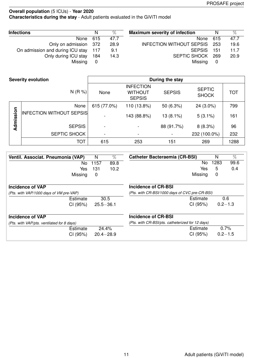### **Overall population** (5 ICUs) - **Year 2020 Characteristics during the stay** - Adult patients evaluated in the GiViTI model

| <b>Infections</b>                | N   | $\%$ | <b>Maximum severity of infection</b> | N    | %    |
|----------------------------------|-----|------|--------------------------------------|------|------|
| None                             | 615 | 47.7 | None                                 | 615  | 47.7 |
| Only on admission 372            |     | 28.9 | <b>INFECTION WITHOUT SEPSIS</b>      | -253 | 19.6 |
| On admission and during ICU stay | 117 | 9.1  | <b>SEPSIS</b>                        | 151  | 11.7 |
| Only during ICU stay             | 184 | 14.3 | SEPTIC SHOCK                         | 269  | 20.9 |
| Missing                          | 0   |      | Missing                              | 0    |      |

|           | <b>Severity evolution</b>       |                          |                                                     | During the stay |                               |            |
|-----------|---------------------------------|--------------------------|-----------------------------------------------------|-----------------|-------------------------------|------------|
|           | N(R %)                          | None                     | <b>INFECTION</b><br><b>WITHOUT</b><br><b>SEPSIS</b> | <b>SEPSIS</b>   | <b>SEPTIC</b><br><b>SHOCK</b> | <b>TOT</b> |
|           | None                            | 615 (77.0%)              | 110 (13.8%)                                         | 50 (6.3%)       | $24(3.0\%)$                   | 799        |
| Admission | <b>INFECTION WITHOUT SEPSIS</b> |                          | 143 (88.8%)                                         | 13 (8.1%)       | $5(3.1\%)$                    | 161        |
|           | <b>SEPSIS</b>                   | $\overline{\phantom{a}}$ |                                                     | 88 (91.7%)      | 8(8.3%)                       | 96         |
|           | SEPTIC SHOCK                    | $\blacksquare$           |                                                     |                 | 232 (100.0%)                  | 232        |
|           | <b>TOT</b>                      | 615                      | 253                                                 | 151             | 269                           | 1288       |

| Ventil. Associat. Pneumonia (VAP)          | N    | $\%$          | <b>Catheter Bacteraemia (CR-BSI)</b>             | N    | $\overline{\%}$ |
|--------------------------------------------|------|---------------|--------------------------------------------------|------|-----------------|
| No.                                        | 1157 | 89.8          | No.                                              | 1283 | 99.6            |
| Yes                                        | 131  | 10.2          | Yes                                              | 5    | 0.4             |
| Missing                                    | 0    |               | Missing                                          | 0    |                 |
| <b>Incidence of VAP</b>                    |      |               | <b>Incidence of CR-BSI</b>                       |      |                 |
| (Pts. with VAP/1000 days of VM pre-VAP)    |      |               | (Pts. with CR-BSI/1000 days of CVC pre-CR-BSI)   |      |                 |
| Estimate                                   |      | 30.5          | Estimate                                         |      | 0.6             |
| CI (95%)                                   |      | $25.5 - 36.1$ | CI (95%)                                         |      | $0.2 - 1.3$     |
| <b>Incidence of VAP</b>                    |      |               | Incidence of CR-BSI                              |      |                 |
| (Pts. with VAP/pts. ventilated for 8 days) |      |               | (Pts. with CR-BSI/pts. catheterized for 12 days) |      |                 |
| Estimate                                   |      | 24.4%         | Estimate                                         |      | 0.7%            |
| CI (95%)                                   |      | $20.4 - 28.9$ | CI (95%)                                         |      | $0.2 - 1.5$     |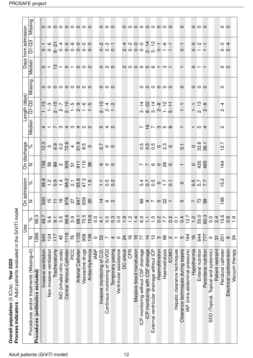| Process indicators - Adult patients evaluated in the GiViTI model<br>Overall population (5 ICUs) - Year 2020 |                          |                             |                            |                                      |                                                             |                   |                   |                                                                         |                     |                                                      |                               |                     |
|--------------------------------------------------------------------------------------------------------------|--------------------------|-----------------------------|----------------------------|--------------------------------------|-------------------------------------------------------------|-------------------|-------------------|-------------------------------------------------------------------------|---------------------|------------------------------------------------------|-------------------------------|---------------------|
|                                                                                                              | 9se                      |                             | On admission               |                                      | On discharge                                                |                   |                   | ength (days)                                                            |                     |                                                      | Days from admission           |                     |
| Procedures and/or treatments (Missing=0)                                                                     | z                        | $\overline{\delta}^{\circ}$ | z                          | $\delta$                             | z                                                           | $\delta$          | Median            | Q1-Q3                                                                   | Missing             | Median                                               | Q1-Q3                         | Missing             |
| Procedures (antibiotics excluded)                                                                            | 1266                     | 98.3                        |                            |                                      |                                                             |                   |                   |                                                                         |                     |                                                      |                               |                     |
| Invasive ventilation                                                                                         | 640                      | 49.7                        | 852258888888               |                                      | 68989957728                                                 |                   |                   | $\begin{array}{l} 1-13 \\ -3-15 \\ -1-3 \\ -1-1 \end{array}$            |                     |                                                      |                               |                     |
| Non invasive ventilation                                                                                     | 124                      | 9.6                         |                            |                                      |                                                             |                   |                   |                                                                         |                     |                                                      |                               |                     |
| Tracheostomy                                                                                                 | 117                      | $\overline{9}$              |                            |                                      |                                                             |                   |                   |                                                                         |                     |                                                      |                               |                     |
| iNO (inhaled nitric oxide)                                                                                   | 45                       | 3.5                         |                            |                                      |                                                             |                   |                   |                                                                         | 000000000           | $0 - 2 - 0 - 0 - 0$                                  |                               | 000000000           |
| Central Venous Catheter                                                                                      | 1116                     | 86.6                        |                            |                                      |                                                             |                   |                   |                                                                         |                     |                                                      |                               |                     |
| PICC                                                                                                         | 76                       | 5.9                         |                            |                                      |                                                             |                   |                   |                                                                         |                     |                                                      |                               |                     |
| <b>Arterial Catheter</b>                                                                                     | 1135                     | 88.1                        |                            |                                      |                                                             |                   |                   |                                                                         |                     |                                                      |                               |                     |
| Vasoactive drugs                                                                                             | 908                      | 70.5                        |                            |                                      |                                                             |                   |                   |                                                                         |                     |                                                      |                               |                     |
| Antiarrhythmics                                                                                              | 136                      | 10.6                        |                            |                                      |                                                             |                   |                   |                                                                         |                     |                                                      |                               |                     |
| <b>IABP</b>                                                                                                  | $\circ$                  | 0.0                         |                            |                                      |                                                             |                   |                   |                                                                         |                     |                                                      |                               |                     |
| Invasive monitoring of C.O.                                                                                  | 53                       | $\frac{1}{4}$               |                            |                                      |                                                             |                   |                   |                                                                         |                     |                                                      |                               |                     |
| Continous monitoring of ScVO2                                                                                | $\overline{\phantom{a}}$ | 0.5                         | $\frac{4}{9}$ (0) $\alpha$ | $-5.8$                               | $\circ$ $\circ$                                             | $\frac{1}{2}$ o o | 240               | $2 - 13$<br>$2 - 4$<br>$1 - 2$                                          | $\circ \circ \circ$ |                                                      |                               | $\circ \circ \circ$ |
| Temporary pacing                                                                                             | $\overline{\mathcal{A}}$ | 0.3                         |                            |                                      |                                                             |                   |                   |                                                                         |                     | $O$ $N$ $O$                                          | $0 - 2 - 1 - 0 - 0$           |                     |
| Ventricular assistance                                                                                       | $\circ$                  | $\overline{0}$              |                            |                                      |                                                             |                   |                   |                                                                         |                     |                                                      |                               |                     |
| DC-shock                                                                                                     | $\overline{24}$          | $\ddot{ }$ .5               |                            |                                      |                                                             |                   |                   |                                                                         |                     |                                                      |                               |                     |
| <b>CPR</b>                                                                                                   | $\frac{6}{1}$            | $\frac{1}{2}$               |                            |                                      |                                                             |                   |                   |                                                                         |                     |                                                      |                               |                     |
| Massive blood transfusion                                                                                    | $\frac{8}{18}$           | $\frac{4}{1}$               |                            |                                      |                                                             |                   |                   |                                                                         |                     |                                                      |                               |                     |
| ICP monitoring without CSF drainage                                                                          | 77                       | $\overline{6}$ .0           |                            |                                      |                                                             |                   |                   | $3 - 22$ $3 - 21$ $- 8 - 8$ $- 21$ $- 8$ $- 8$ $- 21$ $- 8$ $- 1$ $- 1$ |                     |                                                      |                               | 000000000           |
| ICP monitoring with CSF drainage                                                                             | $\frac{1}{4}$            | $\frac{1}{1}$               |                            |                                      |                                                             |                   |                   |                                                                         |                     |                                                      |                               |                     |
| External ventricular drainage without ICP                                                                    | $\frac{3}{2}$            | $\frac{0}{1}$               |                            |                                      |                                                             |                   |                   |                                                                         |                     |                                                      |                               |                     |
| Haemofiltration                                                                                              | က                        | 7.7                         |                            |                                      |                                                             |                   |                   |                                                                         |                     |                                                      |                               |                     |
| Haemodialysis                                                                                                | 99                       |                             |                            |                                      |                                                             |                   |                   |                                                                         |                     |                                                      |                               |                     |
| ECMO                                                                                                         | $\mathbf{\Omega}$        | $0.\overline{2}$            |                            | 5.0<br>0.0<br>5.0<br>5.0<br>5.0<br>0 | $\circ \overset{\circ}{\circ} \circ \circ \circ \land \neg$ |                   | 85795             |                                                                         | 000000              |                                                      |                               |                     |
| Hepatic clearance techniques                                                                                 | $\overline{\phantom{m}}$ | $\overline{C}$              |                            |                                      |                                                             |                   |                   |                                                                         |                     |                                                      |                               |                     |
| Clearance techniques during sepsis                                                                           | LO                       | 0.4                         |                            |                                      | $\overline{\phantom{a}}$                                    | $\overline{C}$    | $\overline{ }$    |                                                                         | $\circ$             |                                                      | $-1$                          | $\circ$             |
| IAP (intra-abdominal pressure)                                                                               | 164                      | 12.7                        |                            |                                      |                                                             |                   |                   |                                                                         |                     |                                                      |                               |                     |
| Hypothermia                                                                                                  | $\frac{6}{1}$            | $\frac{2}{1}$               |                            |                                      |                                                             |                   |                   |                                                                         |                     |                                                      |                               |                     |
| Enteral nutrition                                                                                            | 644                      | 50.0                        |                            | 5<br>257<br>20                       | 0 35<br>0 36<br>4 4                                         | 9.361             | $ \omega$ 4       | $\frac{1}{2}$ - 13<br>2 - 8                                             | $\circ \circ \circ$ | $\circ$ $\overline{ }$ $\overline{ }$ $\overline{ }$ |                               | 000                 |
| Parenteral nutrition                                                                                         | 777                      | 60.3                        |                            |                                      |                                                             |                   |                   |                                                                         |                     |                                                      | $0 - 2$<br>$1 - 7$<br>$1 - 7$ |                     |
| SDD (Topical, Topical and systemic)                                                                          | $\circ$                  | 0.0                         |                            |                                      |                                                             |                   |                   |                                                                         |                     |                                                      |                               |                     |
| Patient restraint                                                                                            | $\overline{\mathcal{E}}$ | 2.4                         |                            |                                      |                                                             |                   |                   |                                                                         |                     |                                                      |                               |                     |
| Peridural catheter                                                                                           | 201                      | 15.6                        | 196                        | Ņ<br>ம்                              | 164                                                         | 12.7              | $\mathbf{\alpha}$ | $2 - 4$                                                                 | $\circ$             | $\circ$ $\circ$                                      | $0 - 4$                       | $\circ$             |
| Electrical cardioversion                                                                                     | $\infty$                 | 0.6                         |                            |                                      |                                                             |                   |                   |                                                                         |                     |                                                      |                               |                     |
| Vacuum therapy                                                                                               | $\overline{2}$           | $\frac{5}{1}$               |                            |                                      |                                                             |                   |                   |                                                                         |                     |                                                      |                               |                     |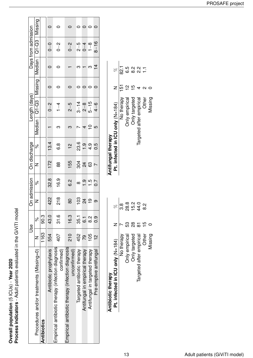Overall population (5 ICUs) - Year 2020<br>Process indicators - Adult patients evaluated in the GiViTI model **Process indicators** - Adult patients evaluated in the GiViTI model **Overall population** (5 ICUs) - **Year 2020**

|                                                                   |      | Use      | On admission    |               | On discharge  |               |             | Length (days)     |         |                | Days from admission |         |
|-------------------------------------------------------------------|------|----------|-----------------|---------------|---------------|---------------|-------------|-------------------|---------|----------------|---------------------|---------|
| Procedures and/or treatments (Missing=0)                          |      | $\delta$ | Z               | $\delta$      | Z             | <sub>So</sub> |             | $M$ edian   Q1-Q3 | Missing | <b>Aedian</b>  | $Q1 - Q3$           | Missing |
| <b>Antibiotics</b>                                                | 1163 | ვ<br>თ   |                 |               |               |               |             |                   |         |                |                     |         |
| Antibiotic prophylaxis                                            | 554  | 43.0     | 422             | 32.8          | 172           | 13.4          |             | $0 - 2$           |         |                | $0-$                |         |
| Empirical antibiotic therapy (infection diagnosis<br>confirmed)   | 407  | 31.6     | $\frac{8}{218}$ | 16.9          | 88            | 8.9           | ო           | $\frac{4}{1}$     |         |                | $0 - 2$             |         |
| Empirical antibiotic therapy (infection diagnosis<br>uncontirmed) | 210  | 16.3     | 80              | S.3           | 155           | $\frac{2}{1}$ | ო           | $2 - 5$           |         |                | $0 - 2$             |         |
| Targeted antibiotic therapy                                       | 452  | - 55.1   | 103             | $\infty$      |               | 23.6          |             | $3 - 14$          |         |                | $2 - 5$             |         |
| Antifungal in empirical therapy                                   | 79   | ن<br>©   | $\overline{2}$  | <u>ာ</u>      | 8<br>24<br>24 | $\frac{1}{1}$ | 4           | $\frac{8}{2}$     |         |                | $0 - 4$             |         |
| Antifungal in targeted therapy                                    | 105  | ي<br>8   | $\frac{1}{2}$   | $\frac{5}{1}$ |               | 4.9           | $\tilde{c}$ | $5 - 15$          |         | ო              | $1 - 8$             |         |
| Pre-emptive antifungal                                            |      | 0.9      |                 | 0.7           |               | م.<br>0       | <b>LO</b>   | $4 - 6$           |         | $\overline{4}$ | $8 - 16$            |         |
|                                                                   |      |          |                 |               |               |               |             |                   |         |                |                     |         |

|                    | R                                | <u>ထိ</u>  | 28.8                  | 15.2                 | 44.0                    | يہ<br>8 |  |
|--------------------|----------------------------------|------------|-----------------------|----------------------|-------------------------|---------|--|
|                    |                                  |            | ဢ                     | 88                   | 8                       | 15      |  |
| Antibiotic therapy | Pt. infected in ICU only (N=184) | lo therapy | <b>Only empirical</b> | <b>Only targeted</b> | argeted after empirical | Other   |  |

Missing 0

| Antifungal therapy               |                |          |
|----------------------------------|----------------|----------|
| Pt. infected in ICU only (N=184) |                | R        |
| No therapy                       | $\frac{1}{5}$  | ್ಷ       |
| Only empirical                   |                | ი<br>ბ   |
| Only targeted                    | $\overline{5}$ | ي<br>8   |
| Targeted after empirical         |                | 22<br>24 |
| <b>Other</b>                     |                |          |
| Missing                          |                |          |
|                                  |                |          |

%

 $\sqrt{\frac{7}{8}}$  5 9 9 9 1 1

| Adult patients (GiViTI model) |
|-------------------------------|
|                               |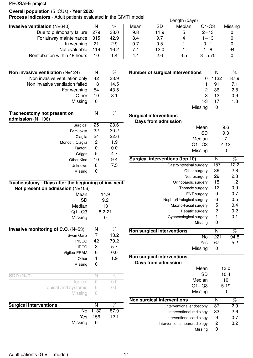### **Overall population** (5 ICUs) - **Year 2020**

**Process indicators** - Adult patients evaluated in the GiViTI model Length (days)

|                                       |     |      |      |      | Lengin (days) |           |         |
|---------------------------------------|-----|------|------|------|---------------|-----------|---------|
| <b>Invasive ventilation</b> $(N=640)$ |     | %    | Mean | SD   | Median        | $Q1-Q3$   | Missing |
| Due to pulmonary failure              | 279 | 38.0 | 9.8  | 11.9 | b             | $2 - 13$  |         |
| For airway mainteinance 315           |     | 42.9 | 8.4  | 9.7  |               | $1 - 13$  |         |
| In weaning                            | -21 | 2.9  | 0.7  | 0.5  |               | $0 - 1$   |         |
| Not evaluable                         | 119 | 16.2 | 7.4  | 12.0 |               | 1–8       | 94      |
| Reintubation within 48 hours          | 10  | 1.4  | 4.4  | 2.6  | 3.5           | $3 - 575$ |         |

| Non invasive ventilation $(N=124)$                                                          | N              | $\overline{\%}$ |  |  |
|---------------------------------------------------------------------------------------------|----------------|-----------------|--|--|
| Non invasive ventilation only                                                               | 42             | 33.9            |  |  |
| Non invasive ventilation failed                                                             | 18             | 14.5            |  |  |
| For weaning                                                                                 | 54             | 43.5            |  |  |
| Other                                                                                       | 10             | 8.1             |  |  |
| Missing                                                                                     | 0              |                 |  |  |
| Tracheostomy not present on<br>admission $(N=106)$                                          | N              | %               |  |  |
| Surgical                                                                                    | 25             | 23.6            |  |  |
| Percutwist                                                                                  | 32             | 30.2            |  |  |
| Ciaglia                                                                                     | 24             | 22.6            |  |  |
| Monodil. Ciaglia                                                                            | $\overline{c}$ | 1.9             |  |  |
| Fantoni                                                                                     | 0              | 0.0             |  |  |
| Griggs                                                                                      | 5              | 4.7             |  |  |
| Other Kind                                                                                  | 10             | 9.4             |  |  |
| Unknown                                                                                     | 8              | 7.5             |  |  |
| Missing                                                                                     | 0              |                 |  |  |
| Tracheostomy - Days after the beginning of inv. vent.<br>Not present on admission $(N=106)$ |                |                 |  |  |
| Mean                                                                                        | 14.9           |                 |  |  |
| SD                                                                                          |                | 9.2             |  |  |
| Median                                                                                      |                | 13              |  |  |
| $Q1 - Q3$                                                                                   |                | $8.2 - 21$      |  |  |

|                        | Invasive monitoring of C.O. $(N=53)$ | N                | $\%$   |  |
|------------------------|--------------------------------------|------------------|--------|--|
|                        | Swan Ganz                            | 7                | 13.2   |  |
|                        | <b>PICCO</b>                         | 42               | 79.2   |  |
|                        | <b>LIDCO</b>                         | 3                | 5.7    |  |
|                        | Vigileo-PRAM                         | 0                | 0.0    |  |
|                        | Other                                | 1                | 1.9    |  |
|                        | Missing                              | 0                |        |  |
| $SDD(N=0)$             |                                      | N                | %      |  |
|                        | Topical                              |                  | 0.0    |  |
|                        | Topical and systemic                 | $\left( \right)$ | 0.0    |  |
|                        | Missing                              | $\left( \right)$ |        |  |
| Ouwelsel intentantiana |                                      | N.I.             | $\cap$ |  |

Missing 0

| 87.9 |
|------|
| 12.1 |
|      |
|      |

| <b>Number of surgical interventions</b> |    | N      | $\%$ |
|-----------------------------------------|----|--------|------|
|                                         |    | 0 1132 | 87.9 |
|                                         |    | 91     | 7.1  |
|                                         | 2  | -36    | 2.8  |
|                                         | 3  | 12     | 0.9  |
|                                         | >3 | 17     | 1.3  |
| Missing                                 |    |        |      |

| <b>Surgical interventions</b><br>Days from admission |                |          |
|------------------------------------------------------|----------------|----------|
| Mean                                                 |                | 9.6      |
| SD                                                   |                | 9.3      |
| Median                                               |                | 7        |
| $Q1 - Q3$                                            |                | $4 - 12$ |
| Missing                                              |                | 0        |
| <b>Surgical interventions (top 10)</b>               | N              | %        |
| Gastrointestinal surgery                             | 157            | 12.2     |
| Other surgery                                        | 36             | 2.8      |
| Neurosurgery                                         | 29             | 2.3      |
| Orthopaedic surgery                                  | 15             | 1.2      |
| Thoracic surgery                                     | 12             | 0.9      |
| <b>ENT</b> surgery                                   | 9              | 0.7      |
| Nephro/Urological surgery                            | 6              | 0.5      |
| Maxillo-Facial surgery                               | 5              | 0.4      |
| Hepatic surgery                                      | $\overline{2}$ | 0.2      |
| Gynaecological surgery                               | 1              | 0.1      |
| Missing                                              | 0              |          |
| Non surgical interventions                           | N              | %        |
| No                                                   | 1221           | 94.8     |
| Yes                                                  | 67             | 5.2      |
| 8. A                                                 |                |          |

|                            | Missing   |    |          |
|----------------------------|-----------|----|----------|
| Non surgical interventions |           |    |          |
| Days from admission        |           |    |          |
|                            | Mean      |    | 13.0     |
|                            | SD        |    | 10.4     |
|                            | Median    |    | 10       |
|                            | $Q1 - Q3$ |    | $5 - 19$ |
|                            | Missing   |    |          |
| Non surgical interventions |           | N  | %        |
| Interventional endoscopy   |           | 37 | 2.9      |
| Interventional radiology   |           | 33 | 2.6      |
| Interventional cardiology  |           | 9  | 0        |

| Interventional cardiology     | 0.7 |
|-------------------------------|-----|
| Interventional neuroradiology | 0.2 |
| Missina                       |     |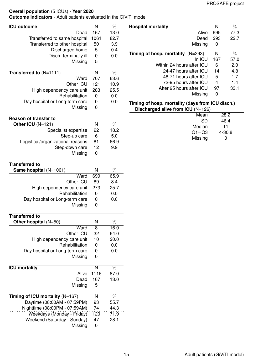**Outcome indicators** - Adult patients evaluated in the GiViTI model

| <b>ICU</b> outcome                | $\overline{N}$   | $\overline{\%}$ | <b>Hospital mortality</b>                        | $\overline{\mathsf{N}}$ | $\overline{\%}$ |
|-----------------------------------|------------------|-----------------|--------------------------------------------------|-------------------------|-----------------|
| Dead                              | 167              | 13.0            | Alive                                            | 995                     | 77.3            |
| Transferred to same hospital      | 1061             | 82.7            | Dead                                             | 293                     | 22.7            |
| Transferred to other hospital     | 50               | 3.9             | Missing                                          | 0                       |                 |
| Discharged home                   | 5                | 0.4             |                                                  | N                       | $\overline{\%}$ |
| Disch. terminally ill             | $\pmb{0}$        | 0.0             | Timing of hosp. mortality $(N=293)$<br>In ICU    | 167                     |                 |
| Missing                           | 5                |                 | Within 24 hours after ICU                        |                         | 57.0<br>2.0     |
|                                   |                  |                 | 24-47 hours after ICU                            | 6<br>14                 | 4.8             |
| Transferred to $(N=1111)$         | N                | $\overline{\%}$ | 48-71 hours after ICU                            | 5                       | 1.7             |
| Ward                              | 707              | 63.6            | 72-95 hours after ICU                            | 4                       | 1.4             |
| Other ICU                         | 121              | 10.9            | After 95 hours after ICU                         | 97                      | 33.1            |
| High dependency care unit         | 283              | 25.5            | Missing                                          | 0                       |                 |
| Rehabilitation                    | $\pmb{0}$        | 0.0             |                                                  |                         |                 |
| Day hospital or Long-term care    | 0                | 0.0             | Timing of hosp. mortality (days from ICU disch.) |                         |                 |
| Missing                           | 0                |                 | Discharged alive from ICU (N=126)                |                         |                 |
|                                   |                  |                 | Mean                                             |                         | 28.2            |
| <b>Reason of transfer to</b>      |                  |                 | <b>SD</b>                                        |                         | 46.4            |
| Other ICU (N=121)                 | N                | $\%$            | Median                                           |                         | 11              |
| Specialist expertise              | 22               | 18.2            | $Q1 - Q3$                                        |                         | $4 - 30.8$      |
| Step-up care                      | 6                | 5.0             | Missing                                          |                         | 0               |
| Logistical/organizational reasons | 81               | 66.9            |                                                  |                         |                 |
| Step-down care                    | 12               | 9.9             |                                                  |                         |                 |
| Missing                           | $\pmb{0}$        |                 |                                                  |                         |                 |
| <b>Transferred to</b>             |                  |                 |                                                  |                         |                 |
| Same hospital (N=1061)            | N                | $\%$            |                                                  |                         |                 |
| Ward                              | 699              | 65.9            |                                                  |                         |                 |
| Other ICU                         | 89               | 8.4             |                                                  |                         |                 |
| High dependency care unit         | 273              | 25.7            |                                                  |                         |                 |
| Rehabilitation                    | $\pmb{0}$        | 0.0             |                                                  |                         |                 |
| Day hospital or Long-term care    | $\boldsymbol{0}$ | 0.0             |                                                  |                         |                 |
| Missing                           | $\mathbf 0$      |                 |                                                  |                         |                 |
|                                   |                  |                 |                                                  |                         |                 |
| <b>Transferred to</b>             |                  |                 |                                                  |                         |                 |
| Other hospital (N=50)             | N                | $\%$            |                                                  |                         |                 |
| Ward                              | $\overline{8}$   | 16.0            |                                                  |                         |                 |
| Other ICU                         | 32               | 64.0            |                                                  |                         |                 |
| High dependency care unit         | 10               | 20.0            |                                                  |                         |                 |
| Rehabilitation                    | 0                | 0.0             |                                                  |                         |                 |
| Day hospital or Long-term care    | 0                | 0.0             |                                                  |                         |                 |
| Missing                           | 0                |                 |                                                  |                         |                 |
|                                   |                  |                 |                                                  |                         |                 |
| <b>ICU mortality</b>              | N                | $\overline{\%}$ |                                                  |                         |                 |
| Alive                             | 1116             | 87.0            |                                                  |                         |                 |
| Dead                              | 167              | 13.0            |                                                  |                         |                 |
| Missing                           | 5                |                 |                                                  |                         |                 |
| Timing of ICU mortality $(N=167)$ | N                | $\overline{\%}$ |                                                  |                         |                 |
| Daytime (08:00AM - 07:59PM)       | 93               | 55.7            |                                                  |                         |                 |
| Nighttime (08:00PM - 07:59AM)     | 74               | 44.3            |                                                  |                         |                 |
| Weekdays (Monday - Friday)        | 120              | 71.9            |                                                  |                         |                 |
| Weekend (Saturday - Sunday)       | 47               | 28.1            |                                                  |                         |                 |
| Missing                           | $\pmb{0}$        |                 |                                                  |                         |                 |
|                                   |                  |                 |                                                  |                         |                 |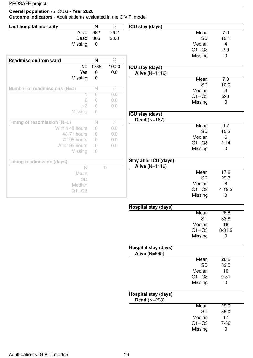### **Overall population** (5 ICUs) - **Year 2020**

**Outcome indicators** - Adult patients evaluated in the GiViTI model

| Last hospital mortality          | N                       | %               | ICU stay (days)                                     |           |                  |
|----------------------------------|-------------------------|-----------------|-----------------------------------------------------|-----------|------------------|
| <b>Alive</b>                     | 982                     | 76.2            |                                                     | Mean      | $\overline{7.6}$ |
| Dead                             | 306                     | 23.8            |                                                     | <b>SD</b> | 10.1             |
| Missing                          | $\mathbf 0$             |                 |                                                     | Median    | $\overline{4}$   |
|                                  |                         |                 |                                                     | $Q1 - Q3$ | $2 - 9$          |
|                                  |                         |                 |                                                     | Missing   | $\pmb{0}$        |
| <b>Readmission from ward</b>     | $\overline{\mathsf{N}}$ | $\overline{\%}$ |                                                     |           |                  |
| No                               | 1288                    | 100.0           | <b>ICU stay (days)</b>                              |           |                  |
| Yes                              | 0                       | 0.0             | <b>Alive (N=1116)</b>                               |           |                  |
| Missing                          | $\pmb{0}$               |                 |                                                     | Mean      | 7.3              |
|                                  |                         |                 |                                                     | <b>SD</b> | 10.0             |
| Number of readmissions $(N=0)$   | N                       | $\%$            |                                                     | Median    | 3                |
| 1                                | $\bigcirc$              | 0.0             |                                                     | $Q1 - Q3$ | $2 - 8$          |
| $\mathbf{2}$                     | 0                       | 0.0             |                                                     | Missing   | $\pmb{0}$        |
| >2                               | $\bigcirc$              | 0.0             |                                                     |           |                  |
| Missing                          | 0                       |                 | <b>ICU stay (days)</b><br>Dead $(N=167)$            |           |                  |
| Timing of readmission $(N=0)$    | $\hbox{N}$              | $\%$            |                                                     | Mean      | 9.7              |
| Within 48 hours                  | $\bigcirc$              | 0.0             |                                                     | <b>SD</b> | 10.2             |
| 48-71 hours                      | $\bigcirc$              | 0.0             |                                                     | Median    | 6                |
| 72-95 hours                      | $\bigcirc$              | 0.0             |                                                     | $Q1 - Q3$ | $2 - 14$         |
| After 95 hours                   | $\bigcirc$              | 0.0             |                                                     |           |                  |
| Missing                          | 0                       |                 |                                                     | Missing   | $\mathbf 0$      |
| <b>Timing readmission (days)</b> |                         |                 | Stay after ICU (days)                               |           |                  |
| $\overline{\mathsf{N}}$          |                         | $\bigcirc$      | <b>Alive</b> $(N=1116)$                             |           |                  |
| Mean                             |                         |                 |                                                     | Mean      | 17.2             |
| SD                               |                         |                 |                                                     | <b>SD</b> | 29.3             |
| Median                           |                         |                 |                                                     | Median    | 8                |
| $Q1 - Q3$                        |                         |                 |                                                     | $Q1 - Q3$ | $4 - 18.2$       |
|                                  |                         |                 |                                                     | Missing   | 0                |
|                                  |                         |                 | <b>Hospital stay (days)</b>                         |           |                  |
|                                  |                         |                 |                                                     | Mean      | 26.8             |
|                                  |                         |                 |                                                     | <b>SD</b> | 33.8             |
|                                  |                         |                 |                                                     | Median    | 16               |
|                                  |                         |                 |                                                     | $Q1 - Q3$ | $8 - 31.2$       |
|                                  |                         |                 |                                                     | Missing   | 0                |
|                                  |                         |                 | <b>Hospital stay (days)</b><br><b>Alive (N=995)</b> |           |                  |
|                                  |                         |                 |                                                     | Mean      | 26.2             |
|                                  |                         |                 |                                                     | <b>SD</b> | 32.5             |
|                                  |                         |                 |                                                     | Median    | 16               |
|                                  |                         |                 |                                                     | $Q1 - Q3$ | $9 - 31$         |
|                                  |                         |                 |                                                     | Missing   | $\pmb{0}$        |
|                                  |                         |                 | <b>Hospital stay (days)</b><br><b>Dead</b> (N=293)  |           |                  |
|                                  |                         |                 |                                                     | Mean      | 29.0             |
|                                  |                         |                 |                                                     | <b>SD</b> | 38.0             |
|                                  |                         |                 |                                                     | Median    | 17               |
|                                  |                         |                 |                                                     | $Q1 - Q3$ | $7 - 36$         |
|                                  |                         |                 |                                                     | Missing   | $\mathbf 0$      |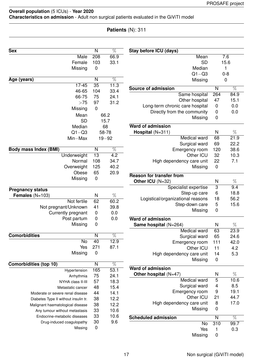#### **Overall population** (5 ICUs) - **Year 2020 Characteristics on admission** - Adult non surgical patients evaluated in the GiViTI model

### **Patients** (N): 311

| <b>Sex</b>                           | N                       | $\overline{\%}$  | Stay before ICU (days)            |                  |                  |
|--------------------------------------|-------------------------|------------------|-----------------------------------|------------------|------------------|
| <b>Male</b>                          | $\overline{208}$        | 66.9             | Mean                              |                  | $\overline{7.6}$ |
| Female                               | 103                     | 33.1             | <b>SD</b>                         |                  | 15.6             |
| Missing                              | 0                       |                  | Median                            |                  | 1                |
|                                      |                         |                  | $Q1 - Q3$                         |                  | $0 - 8$          |
| Age (years)                          | $\overline{\mathsf{N}}$ | $\overline{\%}$  | Missing                           |                  | $\mathbf 0$      |
| $17 - 45$                            | 35                      | 11.3             |                                   |                  |                  |
| 46-65                                | 104                     | 33.4             | Source of admission               | N                | $\overline{\%}$  |
| 66-75                                | 75                      | 24.1             | Same hospital                     | 264              | 84.9             |
| >75                                  | 97                      | 31.2             | Other hospital                    | 47               | 15.1             |
| Missing                              | $\mathbf 0$             |                  | Long-term chronic care hospital   | $\mathbf 0$      | 0.0              |
| Mean                                 |                         | 66.2             | Directly from the community       | $\mathbf 0$      | 0.0              |
| <b>SD</b>                            |                         | 15.7             | Missing                           | 0                |                  |
| Median                               |                         | 68               | <b>Ward of admission</b>          |                  |                  |
| $Q1 - Q3$                            |                         | 58-78            | Hospital (N=311)                  | N                | $\%$             |
| $Min-Max$                            |                         | $19 - 92$        | <b>Medical ward</b>               | 68               | 21.9             |
|                                      |                         |                  | Surgical ward                     | 69               | 22.2             |
| <b>Body mass Index (BMI)</b>         | $\mathsf{N}$            | $\overline{\%}$  | Emergency room                    | 120              | 38.6             |
| Underweight                          | 13                      | $\overline{4.2}$ | Other ICU                         | 32               | 10.3             |
| Normal                               | 108                     | 34.7             | High dependency care unit         | 22               | 7.1              |
| Overweight                           | 125                     | 40.2             | Missing                           | $\mathbf 0$      |                  |
| Obese                                | 65                      | 20.9             |                                   |                  |                  |
| Missing                              | $\mathbf 0$             |                  | <b>Reason for transfer from</b>   |                  |                  |
|                                      |                         |                  | Other ICU (N=32)                  | N                | %                |
| <b>Pregnancy status</b>              |                         |                  | Specialist expertise              | 3                | 9.4              |
| Females $(N=103)$                    | N                       | $\%$             | Step-up care                      | 6                | 18.8             |
| Not fertile                          | 62                      | 60.2             | Logistical/organizational reasons | 18               | 56.2             |
| Not pregnant/Unknown                 | 41                      | 39.8             | Step-down care                    | 5                | 15.6             |
| Currently pregnant                   | $\pmb{0}$               | 0.0              | Missing                           | 0                |                  |
| Post partum                          | $\pmb{0}$               | 0.0              | <b>Ward of admission</b>          |                  |                  |
| Missing                              | 0                       |                  | Same hospital (N=264)             | N                | $\%$             |
|                                      |                         |                  | Medical ward                      | 63               | 23.9             |
| <b>Comorbidities</b>                 | N                       | $\%$             | Surgical ward                     | 65               | 24.6             |
| No                                   | 40                      | 12.9             | Emergency room                    | 111              | 42.0             |
| Yes                                  | 271                     | 87.1             | Other ICU                         | 11               | 4.2              |
| Missing                              | $\boldsymbol{0}$        |                  | High dependency care unit         | 14               | 5.3              |
|                                      |                         |                  | Missing                           | $\boldsymbol{0}$ |                  |
| <b>Comorbidities (top 10)</b>        | $\mathsf{N}$            | $\overline{\%}$  | Ward of admission                 |                  |                  |
| Hypertension                         | 165                     | 53.1             | Other hospital $(N=47)$           | N                | $\%$             |
| Arrhythmia                           | 75                      | 24.1             | Medical ward                      | 5                | 10.6             |
| NYHA class II-III                    | 57                      | 18.3             | Surgical ward                     | 4                | 8.5              |
| Metastatic cancer                    | 48                      | 15.4             | Emergency room                    | 9                | 19.1             |
| Moderate or severe renal disease     | 44                      | 14.1             | Other ICU                         | 21               | 44.7             |
| Diabetes Type II without insulin tr. | 38                      | 12.2             | High dependency care unit         | 8                | 17.0             |
| Malignant haematological disease     | 38                      | 12.2             |                                   | 0                |                  |
| Any tumour without metastasis        | 33                      | 10.6             | Missing                           |                  |                  |
| Endocrine-metabolic diseases         | 33                      | 10.6             | <b>Scheduled admission</b>        | $\mathsf{N}$     | $\overline{\%}$  |
| Drug-induced coagulopathy            | 30                      | 9.6              | No                                | 310              | 99.7             |
| Missing                              | $\mathbf 0$             |                  | Yes                               | 1                | 0.3              |
|                                      |                         |                  | Missing                           | $\mathbf 0$      |                  |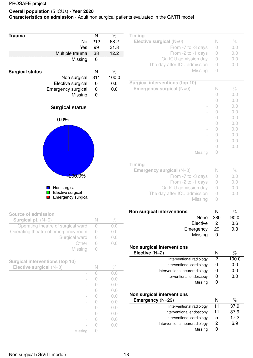#### **Overall population** (5 ICUs) - **Year 2020 Characteristics on admission** - Adult non surgical patients evaluated in the GiViTI model

| <b>Trauma</b>                          | N                       | $\%$            | Timing<br>Elective surgical $(N=0)$              | $\mathbb N$               |                 |
|----------------------------------------|-------------------------|-----------------|--------------------------------------------------|---------------------------|-----------------|
| No<br>Yes                              | 212<br>99               | 68.2<br>31.8    |                                                  |                           | $\%$            |
|                                        | 38                      |                 | From -7 to -3 days                               | 0                         | 0.0<br>0.0      |
| Multiple trauma                        |                         | 12.2            | From -2 to -1 days<br>On ICU admission day       | 0<br>$\circ$              | 0.0             |
| Missing                                | $\pmb{0}$               |                 | The day after ICU admission                      | 0                         | 0.0             |
|                                        |                         |                 | Missing                                          | $\circ$                   |                 |
| <b>Surgical status</b>                 | $\overline{\mathsf{N}}$ | $\overline{\%}$ |                                                  |                           |                 |
| Non surgical                           | 311                     | 100.0           | <b>Surgical interventions (top 10)</b>           |                           |                 |
| Elective surgical                      | $\mathbf 0$             | 0.0             | Emergency surgical $(N=0)$                       | $\mathbb N$               | $\%$            |
| Emergency surgical                     | 0                       | 0.0             |                                                  | 0                         | 0.0             |
| Missing                                | $\pmb{0}$               |                 |                                                  | 0                         | 0.0             |
|                                        |                         |                 |                                                  | 0                         | 0.0             |
| <b>Surgical status</b>                 |                         |                 |                                                  | 0                         | 0.0             |
|                                        |                         |                 |                                                  | 0                         | 0.0             |
| 0.0%                                   |                         |                 |                                                  | $\bigcirc$                | 0.0             |
|                                        |                         |                 |                                                  | 0                         | 0.0             |
|                                        |                         |                 |                                                  | 0                         | 0.0             |
|                                        |                         |                 |                                                  | 0                         | 0.0             |
|                                        |                         |                 |                                                  | $\theta$                  | 0.0             |
|                                        |                         |                 | Missing                                          | 0                         |                 |
|                                        |                         |                 |                                                  |                           |                 |
|                                        |                         |                 | Timing                                           |                           |                 |
| $100.0\%$                              |                         |                 | Emergency surgical $(N=0)$<br>From -7 to -3 days | $\mathbb N$<br>$\bigcirc$ | $\%$<br>0.0     |
|                                        |                         |                 | From -2 to -1 days                               | $\circ$                   | 0.0             |
| Non surgical                           |                         |                 | On ICU admission day                             | 0                         | 0.0             |
| Elective surgical                      |                         |                 | The day after ICU admission                      | 0                         | 0.0             |
| <b>Emergency surgical</b>              |                         |                 | Missing                                          | 0                         |                 |
|                                        |                         |                 |                                                  |                           |                 |
| <b>Source of admission</b>             |                         |                 | Non surgical interventions                       | N                         | $\overline{\%}$ |
| Surgical pt. $(N=0)$                   | $\mathbb N$             | $\%$            | None                                             | 280                       | 90.0            |
| Operating theatre of surgical ward     | $\bigcirc$              | 0.0             | Elective                                         | $\overline{c}$            | 0.6             |
| Operating theatre of emergency room    | $\bigcirc$              | 0.0             | Emergency                                        | 29                        | 9.3             |
| Surgical ward                          | $\bigcirc$              | 0.0             | Missing                                          | $\mathbf 0$               |                 |
| Other                                  | $\bigcirc$              | 0.0             |                                                  |                           |                 |
| Missing                                | $\bigcirc$              |                 | <b>Non surgical interventions</b>                |                           |                 |
|                                        |                         |                 | Elective $(N=2)$                                 | N                         | $\%$            |
| <b>Surgical interventions (top 10)</b> |                         |                 | Interventional radiology                         | $\mathbf{2}$              | 100.0           |
| Elective surgical $(N=0)$              | $\mathbb N$             | $\%$            | Interventional cardiology                        | $\mathbf 0$               | 0.0             |
|                                        | $\circ$                 | 0.0             | Interventional neuroradiology                    | $\boldsymbol{0}$          | 0.0             |
|                                        | $\circ$                 | 0.0             | Interventional endoscopy                         | $\boldsymbol{0}$          | 0.0             |
|                                        | $\circ$                 | 0.0             | Missing                                          | $\mathbf 0$               |                 |
|                                        | $\circ$                 | 0.0             |                                                  |                           |                 |
|                                        | $\circ$                 | 0.0             | Non surgical interventions                       |                           |                 |
|                                        | $\bigcirc$              | 0.0             | Emergency (N=29)                                 | N                         | $\%$            |
|                                        | $\bigcirc$              | 0.0             | Interventional radiology                         | $\overline{11}$           | 37.9            |
|                                        | $\circ$                 | 0.0             | Interventional endoscopy                         | 11                        | 37.9            |
|                                        | $\circ$                 | 0.0             | Interventional cardiology                        | 5                         | 17.2            |
|                                        | $\sqrt{a}$              | 0.0             | Interventional neuroradiology                    | $\overline{c}$            | 6.9             |
| Missing                                | $\circ$                 |                 | Missing                                          | $\mathbf 0$               |                 |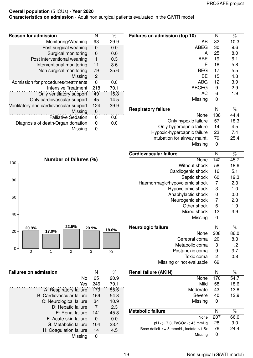**Characteristics on admission** - Adult non surgical patients evaluated in the GiViTI model

| Failures on admission (top 10) | N              | %               |
|--------------------------------|----------------|-----------------|
| AB                             | 32             | 10.3            |
| <b>ABEG</b>                    | 30             | 9.6             |
| А                              | 25             | 8.0             |
| <b>ABE</b>                     | 19             | 6.1             |
| Ε                              | 18             | 5.8             |
| <b>BEG</b>                     | 17             | 5.5             |
| ВE                             | 15             | 4.8             |
| ABG                            | 12             | 3.9             |
| <b>ABCEG</b>                   | 9              | 2.9             |
| <b>AC</b>                      | 6              | 1.9             |
| Missing                        | 0              |                 |
| <b>Respiratory failure</b>     | N              | $\overline{\%}$ |
| None                           | 138            | 44.4            |
| Only hypoxic failure           | 57             | 18.3            |
| Only hypercapnic failure       | 14             | 4.5             |
| Hypoxic-hypercapnic failure    | 23             | 7.4             |
| Intubation for airway maint.   | 79             | 25.4            |
| Missing                        | 0              |                 |
| Cardiovascular failure         | N              | $\overline{\%}$ |
| None                           | 142            | 45.7            |
| Without shock                  | 58             | 18.6            |
| Cardiogenic shock              | 16             | 5.1             |
| Septic shock                   | 60             | 19.3            |
| Haemorrhagic/hypovolemic shock | 7              | 2.3             |
| Hypovolemic shock              | 3              | 1.0             |
| Anaphylactic shock             | 0              | 0.0             |
| Neurogenic shock               | $\overline{7}$ | 2.3             |
| Other shock                    | 6              | 1.9             |
| Mixed shock                    | 12             | 3.9             |
| Missing                        | 0              |                 |
| Neurologic failure             | N              | $\%$            |
| None                           | 208            | 86.0            |
| Cerebral coma                  | 20             | 8.3             |
| Metabolic coma                 | 3              | 1.2             |
| Postanoxic coma                | 9              | 3.7             |
| Toxic coma                     | 2              | 0.8             |
| Missing or not evaluable       | 69             |                 |
| <b>Renal failure (AKIN)</b>    | N              | %               |
| None                           | 170            | 54.7            |

| <b>Reason for admission</b>            | N        | $\%$ |
|----------------------------------------|----------|------|
| Monitoring/Weaning                     | 93       | 29.9 |
| Post surgical weaning                  | 0        | 0.0  |
| Surgical monitoring                    | 0        | 0.0  |
| Post interventional weaning            | 1        | 0.3  |
| Interventional monitoring              | 11       | 3.6  |
| Non surgical monitoring                | 79       | 25.6 |
| Missing                                | 2        |      |
| Admission for procedures/treatments    | $\Omega$ | 0.0  |
| <b>Intensive Treatment</b>             | 218      | 70.1 |
| Only ventilatory support               | 49       | 15.8 |
| Only cardiovascular support            | 45       | 14.5 |
| Ventilatory and cardiovascular support | 124      | 39.9 |
| Missing                                | 0        |      |
| Palliative Sedation                    | 0        | 0.0  |
| Diagnosis of death/Organ donation      | 0        | 0.0  |
| Missing                                | n        |      |



| <b>Failures on admission</b> | N   | %    |
|------------------------------|-----|------|
| No                           | 65  | 20.9 |
| Yes                          | 246 | 79.1 |
| A: Respiratory failure       | 173 | 55.6 |
| B: Cardiovascular failure    | 169 | 54.3 |
| C: Neurological failure      | 34  | 10.9 |
| D: Hepatic failure           | 7   | 2.3  |
| E: Renal failure             | 141 | 45.3 |
| F: Acute skin failure        | O   | 0.0  |
| G: Metabolic failure         | 104 | 33.4 |
| H: Coagulation failure       | 14  | 4.5  |
| Missing                      | ŋ   |      |

Mild 58 18.6 Moderate 43 13.8 Severe 40 12.9

None 207 66.6

Missing 0

Missing 0

pH *<*= 7.3, PaCO2 *<* 45 mmHg 28 9.0 Base deficit *>*= 5 mmol/L, lactate *>*1.5x 76 24.4

**Metabolic failure** N  $\%$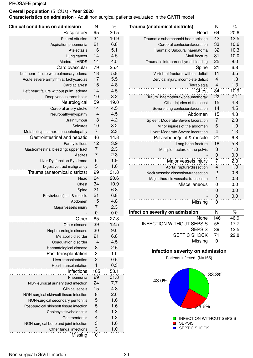**Characteristics on admission** - Adult non surgical patients evaluated in the GiViTI model

| <b>Clinical conditions on admission</b>  | N                         | $\overline{\%}$ | Trauma (anatomical districts)        | $\overline{N}$           | $\overline{\%}$ |
|------------------------------------------|---------------------------|-----------------|--------------------------------------|--------------------------|-----------------|
| Respiratory                              | 95                        | 30.5            | Head                                 | 64                       | 20.6            |
| Pleural effusion                         | 34                        | 10.9            | Traumatic subarachnoid haemorrhage   | 42                       | 13.5            |
| Aspiration pneumonia                     | 21                        | 6.8             | Cerebral contusion/laceration        | 33                       | 10.6            |
| Atelectasis                              | 16                        | 5.1             | Traumatic Subdural haematoma         | 32                       | 10.3            |
| Lung cancer                              | 14                        | 4.5             | Skull fracture                       | 31                       | 10.0            |
| Moderate ARDS                            | 14                        | 4.5             | Traumatic intraparenchymal bleeding  | 25                       | 8.0             |
| Cardiovascular                           | 79                        | 25.4            | Spine                                | $\overline{21}$          | 6.8             |
| Left heart failure with pulmonary edema  | 18                        | 5.8             | Vertebral fracture, without deficit  | 11                       | 3.5             |
| Acute severe arrhythmia: tachycardias    | 17                        | 5.5             | Cervical injury, incomplete deficit  | $\overline{4}$           | 1.3             |
| Cardiac arrest                           | 15                        | 4.8             | Tetraplegia                          | $\overline{\mathcal{L}}$ | 1.3             |
| Left heart failure without pulm. edema   | 14                        | 4.5             | Chest                                | 34                       | 10.9            |
| Deep venous thrombosis                   | 10                        | 3.2             | Traum. haemothorax/pneumothorax      | 22                       | 7.1             |
| Neurological                             | 59                        | 19.0            | Other injuries of the chest          | 15                       | 4.8             |
| Cerebral artery stroke                   | 14                        | 4.5             | Severe lung contusion/laceration     | 14                       | 4.5             |
| Neuropathy/myopathy                      | 14                        | 4.5             | Abdomen                              | 15                       | 4.8             |
| Brain tumour                             | 13                        | 4.2             | Spleen: Moderate-Severe laceration   | $\overline{7}$           | 2.3             |
| Seizures                                 | 10                        | 3.2             | Minor injuries of the abdomen        | 6                        | 1.9             |
| Metabolic/postanoxic encephalopathy      | $\overline{7}$            | 2.3             | Liver: Moderate-Severe laceration    | $\overline{4}$           | 1.3             |
| Gastrointestinal and hepatic             | 46                        | 14.8            | Pelvis/bone/joint & muscle           | 21                       | 6.8             |
| Paralytic Ileus                          | 12                        | 3.9             | Long bone fracture                   | 18                       | 5.8             |
| Gastrointestinal bleeding: upper tract   | $\overline{7}$            | 2.3             | Multiple fracture of the pelvis      | 3                        | 1.0             |
| Ascites                                  | $\overline{7}$            | 2.3             |                                      | $\mathbf 0$              | 0.0             |
| Liver Dysfunction Syndrome               | $6\phantom{1}6$           | 1.9             |                                      | 7                        | 2.3             |
| Digestive tract malignancy               | $\sqrt{5}$                | 1.6             | Major vessels injury                 |                          | 1.3             |
| Trauma (anatomical districts)            | 99                        | 31.8            | Aorta: rupture/dissection            | $\overline{4}$           |                 |
|                                          | 64                        | 20.6            | Neck vessels: dissection/transection | $\mathbf{2}$             | 0.6<br>0.3      |
| Head                                     | 34                        | 10.9            | Major thoracic vessels: transection  | $\mathbf{1}$             |                 |
| Chest                                    | 21                        | 6.8             | Miscellaneous                        | $\overline{0}$           | 0.0             |
| Spine                                    | 21                        | 6.8             |                                      | $\mathbf 0$              | 0.0             |
| Pelvis/bone/joint & muscle               |                           | 4.8             |                                      | $\mathbf 0$              | 0.0             |
| Abdomen                                  | 15<br>$\overline{7}$      |                 | Missing                              | $\mathbf 0$              |                 |
| Major vessels injury                     |                           | 2.3             | Infection severity on admission      | ${\sf N}$                | $\overline{\%}$ |
|                                          | $\mathbf 0$               | 0.0             | None                                 | 146                      | 46.9            |
| Other                                    | 85                        | 27.3            | <b>INFECTION WITHOUT SEPSIS</b>      | 55                       | 17.7            |
| Other disease                            | 39                        | 12.5            | <b>SEPSIS</b>                        | 39                       | 12.5            |
| Nephrourologic disease                   | 30                        | 9.6             | SEPTIC SHOCK                         | 71                       | 22.8            |
| Metabolic disorder                       | 21                        | 6.8             | Missing                              | $\mathbf 0$              |                 |
| Coagulation disorder                     | 14                        | 4.5             |                                      |                          |                 |
| Haematological disease                   | 8                         | 2.6             | Infection severity on admission      |                          |                 |
| Post transplantation                     | $\mathbf{3}$              | 1.0             | Patients infected (N=165)            |                          |                 |
| Liver transplantation                    | $\overline{c}$            | 0.6             |                                      |                          |                 |
| Heart transplantation                    | 1                         | 0.3             |                                      |                          |                 |
| Infections                               | 165                       | 53.1            |                                      | 33.3%                    |                 |
| Pneumonia                                | 99                        | 31.8            | 43.0%                                |                          |                 |
| NON-surgical urinary tract infection     | 24                        | 7.7             |                                      |                          |                 |
| Clinical sepsis                          | 15                        | 4.8             |                                      |                          |                 |
| NON-surgical skin/soft tissue infection  | $\boldsymbol{8}$          | 2.6             |                                      |                          |                 |
| NON-surgical secondary peritonitis       | $\overline{5}$            | 1.6             |                                      |                          |                 |
| Post-surgical skin/soft tissue infection | $\sqrt{5}$                | 1.6             | $23.6\%$                             |                          |                 |
| Cholecystitis/cholangitis                | 4                         | 1.3             |                                      |                          |                 |
| Gastroenteritis                          | $\overline{4}$            | 1.3             | <b>INFECTION WITHOUT SEPSIS</b>      |                          |                 |
| NON-surgical bone and joint infection    | $\ensuremath{\mathsf{3}}$ | 1.0             | <b>SEPSIS</b>                        |                          |                 |
| Other fungal infections                  | $\sqrt{3}$                | 1.0             | SEPTIC SHOCK                         |                          |                 |
| Missing                                  | $\mathbf 0$               |                 |                                      |                          |                 |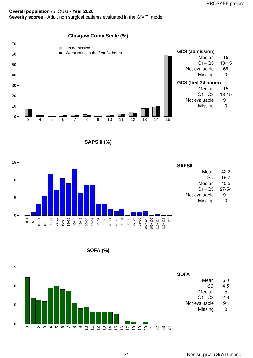### **Glasgow Coma Scale (%)**



**SAPS II (%)**



**SOFA (%)**

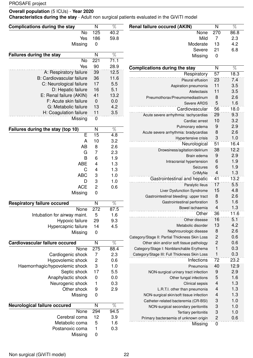**Overall population** (5 ICUs) - **Year 2020**

**Characteristics during the stay** - Adult non surgical patients evaluated in the GiViTI model

| <b>Complications during the stay</b>                       | N                         | $\overline{\%}$ | <b>Renal failure occured (AKIN)</b>            | $\overline{\mathsf{N}}$   | $\overline{\%}$ |
|------------------------------------------------------------|---------------------------|-----------------|------------------------------------------------|---------------------------|-----------------|
| No                                                         | 125                       | 40.2            | None                                           | 270                       | 86.8            |
| Yes                                                        | 186                       | 59.8            | Mild                                           | $\overline{7}$            | 2.3             |
| Missing                                                    | $\pmb{0}$                 |                 | Moderate                                       | 13                        | 4.2             |
|                                                            |                           |                 | Severe                                         | 21                        | 6.8             |
| <b>Failures during the stay</b>                            | N                         | $\overline{\%}$ | Missing                                        | $\pmb{0}$                 |                 |
| No                                                         | 221                       | 71.1            |                                                |                           |                 |
| Yes                                                        | 90                        | 28.9            | <b>Complications during the stay</b>           | N                         | $\overline{\%}$ |
| A: Respiratory failure<br><b>B: Cardiovascular failure</b> | 39<br>36                  | 12.5<br>11.6    | Respiratory                                    | 57                        | 18.3            |
| C: Neurological failure                                    | 17                        | 5.5             | Pleural effusion                               | 23                        | 7.4             |
| D: Hepatic failure                                         | 16                        | 5.1             | Aspiration pneumonia                           | 11                        | 3.5             |
| E: Renal failure (AKIN)                                    | 41                        | 13.2            | Atelectasis                                    | 11                        | 3.5             |
| F: Acute skin failure                                      | $\boldsymbol{0}$          | 0.0             | Pneumothorax/Pneumomediastinum                 | 8                         | 2.6             |
| G: Metabolic failure                                       | 13                        | 4.2             | Severe ARDS                                    | 5                         | 1.6             |
| H: Coagulation failure                                     | 11                        | 3.5             | Cardiovascular                                 | 56                        | 18.0            |
| Missing                                                    | 0                         |                 | Acute severe arrhythmia: tachycardias          | 29                        | 9.3             |
|                                                            |                           |                 | Cardiac arrest                                 | 10                        | 3.2             |
| Failures during the stay (top 10)                          | N                         | $\overline{\%}$ | Pulmonary edema                                | 9                         | 2.9             |
| E                                                          | $\overline{15}$           | 4.8             | Acute severe arrhythmia: bradycardias          | 8                         | 2.6             |
| A                                                          | 10                        | 3.2             | Hypertensive crisis                            | $\ensuremath{\mathsf{3}}$ | 1.0             |
| <b>AB</b>                                                  | 8                         | 2.6             | Neurological                                   | 51                        | 16.4            |
| G                                                          | $\overline{7}$            | 2.3             | Drowsiness/agitation/delirium                  | 38                        | 12.2            |
| B                                                          | $\,6$                     | 1.9             | Brain edema                                    | $\boldsymbol{9}$          | 2.9             |
| <b>ABE</b>                                                 | 4                         | 1.3             | Intracranial hypertension                      | 6                         | 1.9             |
| $\mathsf C$                                                | 4                         | 1.3             | Seizures                                       | $\,6\,$                   | 1.9             |
| <b>ABC</b>                                                 | 3                         | 1.0             | CrIMyNe<br>Gastrointestinal and hepatic        | $\overline{4}$<br>41      | 1.3<br>13.2     |
| D                                                          | 3                         | 1.0             |                                                | 17                        | 5.5             |
| <b>ACE</b>                                                 | $\overline{c}$            | 0.6             | Paralytic Ileus<br>Liver Dysfunction Syndrome  | 15                        | 4.8             |
| Missing                                                    | $\mathbf 0$               |                 | Gastrointestinal bleeding: upper tract         | 8                         | 2.6             |
|                                                            |                           |                 | Gastrointestinal perforation                   | $\overline{5}$            | 1.6             |
| <b>Respiratory failure occured</b>                         | N                         | $\overline{\%}$ | Bowel ischaemia                                | $\overline{4}$            | 1.3             |
| None                                                       | 272                       | 87.5            | Other                                          | 36                        | 11.6            |
| Intubation for airway maint.                               | 5                         | 1.6             | Other disease                                  | 16                        | 5.1             |
| Hypoxic failure                                            | 29                        | 9.3<br>4.5      | Metabolic disorder                             | 13                        | 4.2             |
| Hypercapnic failure<br>Missing                             | 14<br>$\pmb{0}$           |                 | Nephrourologic disease                         | 8                         | 2.6             |
|                                                            |                           |                 | Category/Stage II: Partial Thickness Skin Loss | $\overline{c}$            | 0.6             |
| Cardiovascular failure occured                             | $\overline{N}$            | $\overline{\%}$ | Other skin and/or soft tissue pathology        | $\overline{c}$            | 0.6             |
| None                                                       | 275                       | 88.4            | Category/Stage I: Nonblanchable Erythema       | $\mathbf{1}$              | 0.3             |
| Cardiogenic shock                                          | 7                         | 2.3             | Category/Stage III: Full Thickness Skin Loss   | $\mathbf{1}$              | 0.3             |
| Hypovolemic shock                                          | $\sqrt{2}$                | 0.6             | Infections                                     | $\overline{72}$           | 23.2            |
| Haemorrhagic/hypovolemic shock                             | $\ensuremath{\mathsf{3}}$ | 1.0             | Pneumonia                                      | 40                        | 12.9            |
| Septic shock                                               | 17                        | 5.5             | NON-surgical urinary tract infection           | 9                         | 2.9             |
| Anaphylactic shock                                         | $\mathbf 0$               | 0.0             | Other fungal infections                        | 5                         | 1.6             |
| Neurogenic shock                                           | 1                         | 0.3             | Clinical sepsis                                | $\overline{4}$            | 1.3             |
| Other shock                                                | 9                         | 2.9             | L.R.T.I. other than pneumonia                  | $\overline{4}$            | 1.3             |
| Missing                                                    | $\pmb{0}$                 |                 | NON-surgical skin/soft tissue infection        | $\overline{\mathbf{r}}$   | 1.3             |
|                                                            |                           |                 | Catheter-related bacteremia (CR-BSI)           | 3                         | 1.0             |
| Neurological failure occured                               | N                         | $\overline{\%}$ | NON-surgical secondary peritonitis             | $\ensuremath{\mathsf{3}}$ | 1.0             |
| None                                                       | 294                       | 94.5            | Tertiary peritonitis                           | $\sqrt{3}$                | 1.0             |
| Cerebral coma                                              | 12                        | 3.9             | Primary bacteraemia of unknown origin          | $\overline{c}$            | 0.6             |
| Metabolic coma                                             | 5                         | 1.6             | Missing                                        | $\overline{0}$            |                 |
| Postanoxic coma                                            | 1                         | 0.3             |                                                |                           |                 |
| Missing                                                    | 0                         |                 |                                                |                           |                 |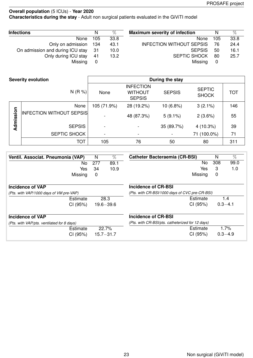**Characteristics during the stay** - Adult non surgical patients evaluated in the GiViTI model

| <b>Infections</b>                | N    | $\%$ | <b>Maximum severity of infection</b> | N   | $\%$ |
|----------------------------------|------|------|--------------------------------------|-----|------|
| None                             | 105  | 33.8 | None                                 | 105 | 33.8 |
| Only on admission 134            |      | 43.1 | <b>INFECTION WITHOUT SEPSIS</b>      | 76  | 24.4 |
| On admission and during ICU stay | - 31 | 10.0 | <b>SEPSIS</b>                        | 50  | 16.1 |
| Only during ICU stay             | -41  | 13.2 | <b>SEPTIC SHOCK</b>                  | 80  | 25.7 |
| Missing                          | 0    |      | Missing                              | 0   |      |

|           | <b>Severity evolution</b>       | During the stay          |                                                     |               |                               |            |  |  |
|-----------|---------------------------------|--------------------------|-----------------------------------------------------|---------------|-------------------------------|------------|--|--|
|           | N(R %)                          | None                     | <b>INFECTION</b><br><b>WITHOUT</b><br><b>SEPSIS</b> | <b>SEPSIS</b> | <b>SEPTIC</b><br><b>SHOCK</b> | <b>TOT</b> |  |  |
|           | None                            | 105 (71.9%)              | 28 (19.2%)                                          | 10 (6.8%)     | $3(2.1\%)$                    | 146        |  |  |
| Admission | <b>INFECTION WITHOUT SEPSIS</b> | $\overline{\phantom{a}}$ | 48 (87.3%)                                          | $5(9.1\%)$    | 2(3.6%)                       | 55         |  |  |
|           | <b>SEPSIS</b>                   | $\blacksquare$           |                                                     | 35 (89.7%)    | $4(10.3\%)$                   | 39         |  |  |
|           | SEPTIC SHOCK                    | $\blacksquare$           |                                                     |               | $(100.0\%)$<br>71             | 71         |  |  |
|           | <b>TOT</b>                      | 105                      | 76                                                  | 50            | 80                            | 311        |  |  |

| Ventil. Associat. Pneumonia (VAP)          | N   | $\%$          | <b>Catheter Bacteraemia (CR-BSI)</b>             | N   | %           |
|--------------------------------------------|-----|---------------|--------------------------------------------------|-----|-------------|
| No.                                        | 277 | 89.1          | No                                               | 308 | 99.0        |
| Yes                                        | 34  | 10.9          | Yes                                              | 3   | 1.0         |
| Missing                                    | 0   |               | Missing                                          | 0   |             |
| Incidence of VAP                           |     |               | Incidence of CR-BSI                              |     |             |
| (Pts. with VAP/1000 days of VM pre-VAP)    |     |               | (Pts. with CR-BSI/1000 days of CVC pre-CR-BSI)   |     |             |
| Estimate                                   |     | 28.3          | Estimate                                         |     | 1.4         |
| CI (95%)                                   |     | $19.6 - 39.6$ | CI (95%)                                         |     | $0.3 - 4.1$ |
| <b>Incidence of VAP</b>                    |     |               | Incidence of CR-BSI                              |     |             |
| (Pts. with VAP/pts. ventilated for 8 days) |     |               | (Pts. with CR-BSI/pts. catheterized for 12 days) |     |             |
| Estimate                                   |     | 22.7%         | Estimate                                         |     | 1.7%        |
| CI (95%)                                   |     | $15.7 - 31.7$ | CI (95%)                                         |     | $0.3 - 4.9$ |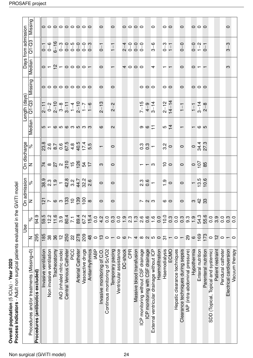| Process indicators - Adult non surgical patients evaluated in the GiViTI model<br>Overall population (5 ICUs) - Year 2020 |  |
|---------------------------------------------------------------------------------------------------------------------------|--|
|---------------------------------------------------------------------------------------------------------------------------|--|

|                                           |                          | Use              |                                                                                                                              |                                                               | On discharge                                                                   |                                                                  |                   | Length (days)                                                                                   |                     |                                                      | Days from admission |                           |
|-------------------------------------------|--------------------------|------------------|------------------------------------------------------------------------------------------------------------------------------|---------------------------------------------------------------|--------------------------------------------------------------------------------|------------------------------------------------------------------|-------------------|-------------------------------------------------------------------------------------------------|---------------------|------------------------------------------------------|---------------------|---------------------------|
| Procedures and/or treatments (Missing=0)  | z                        | $\approx$        |                                                                                                                              | On admission<br>$\overline{N}$ $\overline{N}$ $\frac{\%}{\%}$ | Z                                                                              | $\delta$                                                         | Median            | $Q1 - Q3$                                                                                       | Missing             | Median                                               | $Q1 - Q3$           | Missing                   |
| Procedures (antibiotics excluded)         | 295                      | 94.9             |                                                                                                                              |                                                               |                                                                                |                                                                  |                   |                                                                                                 |                     |                                                      |                     |                           |
| Invasive ventilation                      | 185                      | 59.5             | $\frac{1}{2}$ $\sim$ $\omega$ $\omega$ $\frac{3}{2}$ $\approx$ $\frac{3}{2}$ $\frac{3}{2}$ $\approx$ $\frac{3}{2}$ $\approx$ | 8<br>8 3 9 9 1 9 9 9 9 1 9 9 9 9<br>8 9 9 1 9 9 9 9 9 9 9     | $\frac{1}{4} \approx 2 \times 10^{-10}$ $\approx 20$ $\approx 20$ $\approx 20$ |                                                                  |                   | $2-1$<br>$0-2$<br>$0-3$<br>$-1$<br>$-1$<br>$-1$<br>$-1$<br>$-1$<br>$-1$<br>$-1$<br>$-1$<br>$-1$ |                     |                                                      |                     |                           |
| Non invasive ventilation                  | 38                       | 12.2             |                                                                                                                              |                                                               |                                                                                |                                                                  |                   |                                                                                                 |                     |                                                      |                     |                           |
| Tracheostomy                              | 36                       | 11.6             |                                                                                                                              |                                                               |                                                                                |                                                                  |                   |                                                                                                 |                     |                                                      |                     |                           |
| iNO (inhaled nitric oxide)                | $\frac{1}{2}$            | 3.9              |                                                                                                                              |                                                               |                                                                                |                                                                  |                   |                                                                                                 |                     |                                                      |                     |                           |
| Central Venous Catheter                   | 250                      | 80.4             |                                                                                                                              |                                                               |                                                                                |                                                                  |                   |                                                                                                 |                     |                                                      |                     |                           |
| PICC                                      | $\frac{2}{3}$            | $\overline{71}$  |                                                                                                                              |                                                               |                                                                                |                                                                  |                   |                                                                                                 |                     |                                                      |                     |                           |
| <b>Arterial Catheter</b>                  | 278                      | 89.4             |                                                                                                                              |                                                               |                                                                                |                                                                  |                   |                                                                                                 |                     |                                                      |                     |                           |
| Vasoactive drugs                          | 209                      | 67.2             |                                                                                                                              |                                                               |                                                                                | 23 6 7 6 5 6 5 6 5 7 6<br>23 6 7 6 7 8 9 7 7 6<br>23 6 7 9 7 9 0 | $10 - 60000000$   |                                                                                                 | 000000000           | $-0 - 2 - 0000 -$                                    |                     | 000000000                 |
| Antiarrhythmics                           | 48                       | 15.4             |                                                                                                                              |                                                               |                                                                                |                                                                  |                   |                                                                                                 |                     |                                                      |                     |                           |
| <b>IABP</b>                               | $\circ$                  | 0.0              |                                                                                                                              |                                                               |                                                                                |                                                                  |                   |                                                                                                 |                     |                                                      |                     |                           |
| Invasive monitoring of C.O.               | $\frac{3}{2}$            | 4.2              | $\circ$                                                                                                                      | $\circ$                                                       | က                                                                              |                                                                  | ဖ                 | $2 - 13$                                                                                        | $\circ$             | $\circ$                                              | $0 - 1$             | $\circ$                   |
| Continous monitoring of ScVO2             | $\circ$                  | 0.0              |                                                                                                                              |                                                               |                                                                                |                                                                  |                   |                                                                                                 |                     |                                                      |                     |                           |
| Temporary pacing                          | $\overline{\phantom{0}}$ | 0.3              | $\circ$                                                                                                                      | $\circ$                                                       | $\circ$                                                                        | $\circ$                                                          | $\mathbf{\Omega}$ | $2 - 2$                                                                                         | $\circ$             | $\overline{\phantom{0}}$                             | $\frac{1}{2}$       | $\circ$                   |
| Ventricular assistance                    |                          | 0.0              |                                                                                                                              |                                                               |                                                                                |                                                                  |                   |                                                                                                 |                     |                                                      |                     |                           |
| DC-shock                                  |                          | 1.9              |                                                                                                                              |                                                               |                                                                                |                                                                  |                   |                                                                                                 |                     |                                                      | $7000$<br>$1000$    |                           |
| CPR                                       |                          | $\frac{3}{2}$    |                                                                                                                              |                                                               |                                                                                |                                                                  |                   |                                                                                                 |                     |                                                      |                     |                           |
| Massive blood transfusion                 |                          | $\ddot{.}$       |                                                                                                                              |                                                               |                                                                                |                                                                  |                   |                                                                                                 |                     | 4000                                                 |                     | $\circ \circ \circ \circ$ |
| ICP monitoring without CSF drainage       |                          | 2.6              |                                                                                                                              |                                                               |                                                                                |                                                                  |                   |                                                                                                 |                     |                                                      |                     |                           |
| ICP monitoring with CSF drainage          | 0.000040000              | $0.\overline{6}$ | $P$ $Q$ $Q$                                                                                                                  | $230 - 7$                                                     | $- - 0$                                                                        | $\frac{0.07}{0.07}$                                              | თ დ $\Gamma$      | $7 - 15$<br>$4 - 9$<br>$3 - 14$                                                                 | 000                 |                                                      |                     |                           |
| External ventricular drainage without ICP |                          | 1.6              |                                                                                                                              |                                                               |                                                                                |                                                                  |                   |                                                                                                 |                     | 4                                                    | $3 - 6$             | $\circ$                   |
| Haemofiltration                           |                          | 0.0              |                                                                                                                              |                                                               |                                                                                |                                                                  |                   |                                                                                                 |                     |                                                      |                     |                           |
| Haemodialysis                             |                          | 10.0             | $\circ$ $\circ$                                                                                                              |                                                               | $\frac{1}{2}$                                                                  |                                                                  | $\frac{1}{4}$     |                                                                                                 | $\circ$             | $- -$                                                |                     | $\circ$ $\circ$           |
| ECMO                                      | $\overline{C}$           | 0.3              |                                                                                                                              | $\frac{1}{2}$ o                                               |                                                                                | $\frac{2}{3}$                                                    |                   |                                                                                                 |                     |                                                      | $0 - 3$             |                           |
| Hepatic clearance techniques              |                          | 0.0              |                                                                                                                              |                                                               |                                                                                |                                                                  |                   | $2-12$<br>$14-14$<br>$1-1$                                                                      |                     |                                                      |                     |                           |
| Clearance techniques during sepsis        | $-8$                     | 0.3              | $\circ$                                                                                                                      | $\circ$                                                       | $\circ$                                                                        | $\circ$                                                          |                   |                                                                                                 | $\circ$             | $\circ$                                              | $0 - 0$             | $\circ$                   |
| IAP (intra-abdominal pressure)            |                          | 9.3              |                                                                                                                              |                                                               |                                                                                |                                                                  |                   |                                                                                                 |                     |                                                      |                     |                           |
| Hypothermia                               | $\circ$                  | 1.9              | က သူ ကွ                                                                                                                      | $-13.5$<br>$-15.6$                                            | $rac{6}{9}$                                                                    | $0\frac{34}{37.3}$                                               |                   | $1 - 1$<br>$3 - 14$<br>$2 - 8$                                                                  | $\circ \circ \circ$ |                                                      | $0 - 7 - 0$         |                           |
| Enteral nutrition                         | 169                      | 54.3             |                                                                                                                              |                                                               |                                                                                |                                                                  | — დ  ო            |                                                                                                 |                     | $\circ$ $\overline{ }$ $\overline{ }$ $\overline{ }$ |                     | $\circ \circ \circ$       |
| Parenteral nutrition                      | 173                      | 55.6             |                                                                                                                              |                                                               |                                                                                |                                                                  |                   |                                                                                                 |                     |                                                      |                     |                           |
| SDD (Topical, Topical and systemic)       | $\circ$                  | 0.0              |                                                                                                                              |                                                               |                                                                                |                                                                  |                   |                                                                                                 |                     |                                                      |                     |                           |
| Patient restraint                         | $\frac{2}{1}$            | 3.9              |                                                                                                                              |                                                               |                                                                                |                                                                  |                   |                                                                                                 |                     |                                                      |                     |                           |
| Peridural catheter                        | $\circ$                  | 0.0              |                                                                                                                              |                                                               |                                                                                |                                                                  |                   |                                                                                                 |                     |                                                      |                     |                           |
| Electrical cardioversion                  |                          | $0.\overline{3}$ |                                                                                                                              |                                                               |                                                                                |                                                                  |                   |                                                                                                 |                     | က                                                    | $\degree$<br>က်     | $\circ$                   |
| Vacuum therapy                            | $\circ$                  | $\overline{0}$ . |                                                                                                                              |                                                               |                                                                                |                                                                  |                   |                                                                                                 |                     |                                                      |                     |                           |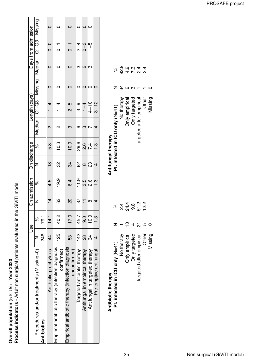Overall population (5 ICUs) - Year 2020<br>Process indicators - Adult non surgical patients evaluated in the GiViTI model **Process indicators** - Adult non surgical patients evaluated in the GiViTI model **Overall population** (5 ICUs) - **Year 2020**

|                                                                   |               | Use            | On admission   |          | On discharge   |               |                         | Length (days)            |                   | Days from admission |         |
|-------------------------------------------------------------------|---------------|----------------|----------------|----------|----------------|---------------|-------------------------|--------------------------|-------------------|---------------------|---------|
| Procedures and/or treatments (Missing=0)                          |               | <sub>o</sub> c | Z              | ž        |                | ಸಿ            |                         | Median   Q1-Q3   Missing | <i>declian</i>    | $Q1 - Q3$           | Missing |
| Antibiotics                                                       | 246           | 79.1           |                |          |                |               |                         |                          |                   |                     |         |
| Antibiotic prophylaxis                                            | $\frac{4}{3}$ | 14.1           | $\frac{1}{4}$  | 4.5      | $\frac{8}{1}$  | 5.8           | $\overline{\mathsf{C}}$ | $\frac{4}{1}$            |                   | $0 - 0$             |         |
| Empirical antibiotic therapy (infection diagnosis<br>confirmed)   | 125           | 2<br>0.0       | 89             | 19.9     | 2S             | 10.3          | $\mathbf{\Omega}$       | $\frac{4}{1}$            |                   | $\overline{a}$      |         |
| Empirical antibiotic therapy (infection diagnosis<br>uncontirmed) | 53            | 17.0           | $\overline{c}$ | 6.4      | 34             | 10.9          | ო                       | $2 - 5$                  |                   | $\overline{0}$      |         |
| Targeted antibiotic therapy                                       | 142           | 45.7           | 57             | 11.9     | ვ<br>გ         | 29.6          | ဖ                       | ၅<br>၁−                  |                   | $2\overline{4}$     |         |
| Antifungal in empirical therapy                                   | $\frac{8}{2}$ | 9.0            |                | 3.5      |                | 3.6           | က                       | $1 - 4$                  | $\mathbf{\Omega}$ | $0 - 3$             | 0       |
| Antifungal in targeted therapy                                    | 34            | 10.9           | ∞              | 8.6      | ೧೦             |               |                         | $4 - 10$                 | က                 | $1 - 5$             | $\circ$ |
| Pre-emptive antitungal                                            |               | <u>ო</u>       | 4              | <u>ო</u> | $\overline{4}$ | $\frac{3}{1}$ | 4                       | $3 - 12$                 |                   |                     |         |
|                                                                   |               |                |                |          |                |               |                         |                          |                   |                     |         |

| Antibiotic therapy              |           |        |
|---------------------------------|-----------|--------|
| Pt. infected in ICU only (N=41) |           | R      |
| No therapy                      |           |        |
| <b>Only empirical</b>           |           | 24.4   |
| Only targeted                   |           | ထ<br>တ |
| Targeted after empirical        | <u>रा</u> | 51.2   |
| Other                           |           | 2.21   |
| Missing                         |           |        |

| Antifungal therapy              |    |         |
|---------------------------------|----|---------|
| Pt. infected in ICU only (N=41) |    | R       |
| No therapy                      | 34 | တ<br>၁၇ |
| Only empirical                  |    | თ.<br>4 |
| Only targeted                   |    | ო<br>7. |
| Targeted after empirical        |    | 4<br>21 |
| Other                           |    |         |
| Missing                         |    |         |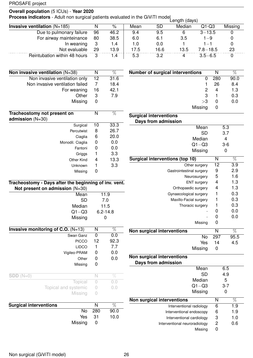### **Overall population** (5 ICUs) - **Year 2020**

**Process indicators** - Adult non surgical patients evaluated in the GiViTI model<br>Length (days)

|                                       |    |      |      |      | L      |              |         |
|---------------------------------------|----|------|------|------|--------|--------------|---------|
| <b>Invasive ventilation</b> $(N=185)$ |    | %    | Mean | SD   | Median | $Q1-Q3$      | Missing |
| Due to pulmonary failure              | 96 | 46.2 | 9.4  | 9.5  |        | $3 - 13.5$   |         |
| For airway mainteinance               | 80 | 38.5 | 6.0  | 6.1  | 3.5    | 1—9          |         |
| In weaning                            | -3 | 1.4  | 1.0  | 0.0  |        |              |         |
| Not evaluable                         | 29 | 13.9 | 17.5 | 16.6 | 13.5   | $7.8 - 18.5$ | 23      |
| Reintubation within 48 hours          |    | 1.4  | 5.3  | 3.2  |        | $3.5 - 6.5$  |         |

| Non invasive ventilation $(N=38)$                    | N  | %    |
|------------------------------------------------------|----|------|
| Non invasive ventilation only                        | 12 | 31.6 |
| Non invasive ventilation failed                      | 7  | 18.4 |
| For weaning                                          | 16 | 42.1 |
| Other                                                | 3  | 7.9  |
| Missing                                              | 0  |      |
| Tracheostomy not present on<br>admission $(N=30)$    | N  | %    |
| Surgical                                             | 10 | 33.3 |
| Percutwist                                           | 8  | 26.7 |
| Ciaglia                                              | 6  | 20.0 |
| Monodil. Ciaglia                                     | 0  | 0.0  |
| Fantoni                                              | 0  | 0.0  |
| Griggs                                               | 1  | 3.3  |
| Other Kind                                           | 4  | 13.3 |
| Unknown                                              | 1  | 3.3  |
| Missing                                              | 0  |      |
| Dave after the heginning of inv yent<br>Trachoostomy |    |      |

| Tracheostomy - Days after the beginning of inv. vent. |  |
|-------------------------------------------------------|--|
| Not present on admission $(N=30)$                     |  |
|                                                       |  |

| No                                   | 280 | 90.0         |
|--------------------------------------|-----|--------------|
| <b>Surgical interventions</b>        | N   | %            |
|                                      |     |              |
| <b>Missing</b>                       |     |              |
| Topical and systemic                 | 0   | 0.0          |
| Topical                              | 0   | 0.0          |
| $SDD(N=0)$                           | N   | $\%$         |
|                                      |     |              |
| Missing                              | 0   |              |
| Other                                | 0   | 0.0          |
| Vigileo-PRAM                         | 0   | 0.0          |
| <b>LIDCO</b>                         | 1   | 7.7          |
| <b>PICCO</b>                         | 12  | 92.3         |
| Swan Ganz                            | 0   | 0.0          |
| Invasive monitoring of C.O. $(N=13)$ | N   | %            |
| Missing                              |     | n            |
| $Q1 - Q3$                            |     | $6.2 - 14.8$ |
| Median                               |     | 11.5         |
| <b>SD</b>                            |     | 7.0          |
| Mean                                 |     | 11.9         |
|                                      |     |              |

| <b>Number of surgical interventions</b> |     |      |
|-----------------------------------------|-----|------|
|                                         | 280 | 90.0 |
|                                         | 26  | 8.4  |
| 2                                       | 4   | 1.3  |
| 3                                       |     | 0.3  |
| >3                                      |     | 0.0  |
| Missing                                 |     |      |

| <b>Surgical interventions</b>                     |           |                 |  |  |  |
|---------------------------------------------------|-----------|-----------------|--|--|--|
| Days from admission                               |           |                 |  |  |  |
| Mean                                              |           | 5.3             |  |  |  |
|                                                   | <b>SD</b> | 3.7             |  |  |  |
| Median                                            |           | 4               |  |  |  |
| $Q1 - Q3$                                         |           | $3-6$           |  |  |  |
| Missing                                           |           | 0               |  |  |  |
| <b>Surgical interventions (top 10)</b>            | N         | $\%$            |  |  |  |
| Other surgery                                     | 12        | 3.9             |  |  |  |
| Gastrointestinal surgery                          | 9         | 2.9             |  |  |  |
| Neurosurgery                                      | 5         | 1.6             |  |  |  |
| <b>ENT</b> surgery                                | 4         | 1.3             |  |  |  |
| Orthopaedic surgery                               | 4         | 1.3             |  |  |  |
| Gynaecological surgery                            |           | 0.3             |  |  |  |
| Maxillo-Facial surgery                            |           | 0.3             |  |  |  |
| Thoracic surgery                                  | 1         | 0.3             |  |  |  |
|                                                   | 0         | 0.0             |  |  |  |
|                                                   | 0         | 0.0             |  |  |  |
| Missing                                           | 0         |                 |  |  |  |
| Non surgical interventions                        | N         | $\overline{\%}$ |  |  |  |
|                                                   | No<br>297 | 95.5            |  |  |  |
|                                                   | Yes<br>14 | 4.5             |  |  |  |
| Missing                                           | 0         |                 |  |  |  |
| Non surgical interventions<br>Days from admission |           |                 |  |  |  |

| Mean                              |   | 6.5     |
|-----------------------------------|---|---------|
| SD                                |   | 4.9     |
| Median                            |   | 5       |
| $Q1 - Q3$                         |   | $3 - 7$ |
| Missing                           |   |         |
| <b>Non surgical interventions</b> | N | %       |
| Interventional radiology          | 6 | 1.9     |
| Interventional endoscopy          | 6 | 1.9     |
| Interventional cardiology         | 3 | 1.0     |
| Interventional neuroradiology     | 2 | 0.6     |
| Missina                           |   |         |

| <b>urgical interventions</b> |         | N       |      |
|------------------------------|---------|---------|------|
|                              |         | No. 280 | 90.0 |
|                              | Yes 31  |         | 10.0 |
|                              | Missing |         |      |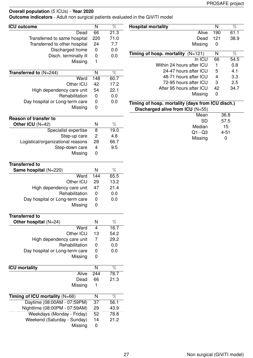**Outcome indicators** - Adult non surgical patients evaluated in the GiViTI model

| <b>ICU outcome</b>                | N                       | $\overline{\%}$ | <b>Hospital mortality</b>                        | $\overline{\mathsf{N}}$ | $\overline{\%}$ |
|-----------------------------------|-------------------------|-----------------|--------------------------------------------------|-------------------------|-----------------|
| Dead                              | 66                      | 21.3            | Alive                                            | 190                     | 61.1            |
| Transferred to same hospital      | 220                     | 71.0            | Dead                                             | 121                     | 38.9            |
| Transferred to other hospital     | 24                      | 7.7             | Missing                                          | $\pmb{0}$               |                 |
| Discharged home                   | $\pmb{0}$               | 0.0             |                                                  |                         |                 |
| Disch. terminally ill             | $\mathbf 0$             | 0.0             | Timing of hosp. mortality $(N=121)$              | ${\sf N}$               | $\overline{\%}$ |
| Missing                           | $\mathbf{1}$            |                 | In ICU                                           | 66                      | 54.5            |
|                                   |                         |                 | Within 24 hours after ICU                        | 1                       | 0.8             |
| Transferred to (N=244)            | $\overline{N}$          | $\overline{\%}$ | 24-47 hours after ICU                            | 5                       | 4.1             |
| Ward                              | 148                     | 60.7            | 48-71 hours after ICU                            | $\overline{4}$          | 3.3             |
| Other ICU                         | 42                      | 17.2            | 72-95 hours after ICU                            | $\sqrt{3}$              | 2.5             |
| High dependency care unit         | 54                      | 22.1            | After 95 hours after ICU                         | 42                      | 34.7            |
| Rehabilitation                    | $\boldsymbol{0}$        | 0.0             | Missing                                          | $\mathbf 0$             |                 |
| Day hospital or Long-term care    | $\boldsymbol{0}$        | 0.0             | Timing of hosp. mortality (days from ICU disch.) |                         |                 |
| Missing                           | $\pmb{0}$               |                 | Discharged alive from ICU (N=55)                 |                         |                 |
|                                   |                         |                 | Mean                                             |                         | 36.8            |
| <b>Reason of transfer to</b>      |                         |                 | <b>SD</b>                                        |                         | 57.5            |
| Other ICU (N=42)                  | $\mathsf{N}$            | $\%$            | Median                                           |                         | 15              |
| Specialist expertise              | $\overline{8}$          | 19.0            | $Q1 - Q3$                                        |                         | $4 - 51$        |
| Step-up care                      | $\sqrt{2}$              | 4.8             | Missing                                          |                         | $\mathbf 0$     |
| Logistical/organizational reasons | 28                      | 66.7            |                                                  |                         |                 |
| Step-down care                    | $\overline{\mathbf{4}}$ | 9.5             |                                                  |                         |                 |
| Missing                           | $\mathbf 0$             |                 |                                                  |                         |                 |
| <b>Transferred to</b>             |                         |                 |                                                  |                         |                 |
| Same hospital (N=220)             | $\mathsf{N}$            | $\%$            |                                                  |                         |                 |
| Ward                              | 144                     | 65.5            |                                                  |                         |                 |
| Other ICU                         | 29                      | 13.2            |                                                  |                         |                 |
| High dependency care unit         | 47                      | 21.4            |                                                  |                         |                 |
| Rehabilitation                    | $\mathbf 0$             | 0.0             |                                                  |                         |                 |
| Day hospital or Long-term care    | $\boldsymbol{0}$        | 0.0             |                                                  |                         |                 |
| Missing                           | $\pmb{0}$               |                 |                                                  |                         |                 |
|                                   |                         |                 |                                                  |                         |                 |
| <b>Transferred to</b>             |                         |                 |                                                  |                         |                 |
| Other hospital $(N=24)$           | $\mathsf{N}$            | $\%$            |                                                  |                         |                 |
| Ward                              | $\overline{4}$          | 16.7            |                                                  |                         |                 |
| Other ICU                         | 13                      | 54.2            |                                                  |                         |                 |
| High dependency care unit         | $\overline{7}$          | 29.2            |                                                  |                         |                 |
| Rehabilitation                    | $\pmb{0}$               | 0.0             |                                                  |                         |                 |
| Day hospital or Long-term care    | 0                       | 0.0             |                                                  |                         |                 |
| Missing                           | $\pmb{0}$               |                 |                                                  |                         |                 |
|                                   |                         |                 |                                                  |                         |                 |
| <b>ICU</b> mortality              | $\overline{N}$          | $\overline{\%}$ |                                                  |                         |                 |
| Alive                             | 244                     | 78.7            |                                                  |                         |                 |
| Dead                              | 66                      | 21.3            |                                                  |                         |                 |
| Missing                           | 1                       |                 |                                                  |                         |                 |
| Timing of ICU mortality (N=66)    | N                       | %               |                                                  |                         |                 |
| Daytime (08:00AM - 07:59PM)       | $\overline{37}$         | 56.1            |                                                  |                         |                 |
| Nighttime (08:00PM - 07:59AM)     | 29                      | 43.9            |                                                  |                         |                 |
| Weekdays (Monday - Friday)        | 52                      | 78.8            |                                                  |                         |                 |
| Weekend (Saturday - Sunday)       | 14                      | 21.2            |                                                  |                         |                 |
| Missing                           | $\boldsymbol{0}$        |                 |                                                  |                         |                 |
|                                   |                         |                 |                                                  |                         |                 |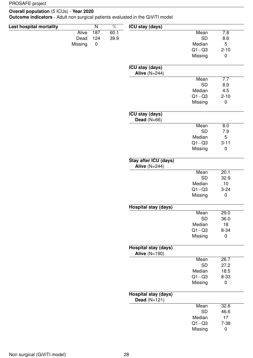#### **Overall population** (5 ICUs) - **Year 2020**

**Outcome indicators** - Adult non surgical patients evaluated in the GiViTI model

| <b>Last hospital mortality</b> |              | $\overline{\mathsf{N}}$ | $\overline{\%}$ | <b>ICU stay (days)</b>                         |           |             |
|--------------------------------|--------------|-------------------------|-----------------|------------------------------------------------|-----------|-------------|
|                                | <b>Alive</b> | 187                     | 60.1            |                                                | Mean      | 7.8         |
|                                | Dead         | 124                     | 39.9            |                                                | <b>SD</b> | 8.6         |
|                                | Missing      | $\pmb{0}$               |                 |                                                | Median    | 5           |
|                                |              |                         |                 |                                                | $Q1 - Q3$ | $2 - 10$    |
|                                |              |                         |                 |                                                | Missing   | $\pmb{0}$   |
|                                |              |                         |                 | <b>ICU stay (days)</b>                         |           |             |
|                                |              |                         |                 | Alive $(N=244)$                                |           |             |
|                                |              |                         |                 |                                                | Mean      | 7.7         |
|                                |              |                         |                 |                                                | <b>SD</b> | 8.9         |
|                                |              |                         |                 |                                                | Median    | 4.5         |
|                                |              |                         |                 |                                                | $Q1 - Q3$ | $2 - 10$    |
|                                |              |                         |                 |                                                | Missing   | $\pmb{0}$   |
|                                |              |                         |                 | <b>ICU stay (days)</b><br>Dead $(N=66)$        |           |             |
|                                |              |                         |                 |                                                | Mean      | 8.0         |
|                                |              |                         |                 |                                                | <b>SD</b> | 7.9         |
|                                |              |                         |                 |                                                | Median    | 5           |
|                                |              |                         |                 |                                                | $Q1 - Q3$ | $3 - 11$    |
|                                |              |                         |                 |                                                | Missing   | $\pmb{0}$   |
|                                |              |                         |                 | Stay after ICU (days)<br>Alive $(N=244)$       |           |             |
|                                |              |                         |                 |                                                | Mean      | 20.1        |
|                                |              |                         |                 |                                                | <b>SD</b> | 32.9        |
|                                |              |                         |                 |                                                | Median    | 10          |
|                                |              |                         |                 |                                                | $Q1 - Q3$ | $3 - 24$    |
|                                |              |                         |                 |                                                | Missing   | $\pmb{0}$   |
|                                |              |                         |                 |                                                |           |             |
|                                |              |                         |                 | <b>Hospital stay (days)</b>                    |           |             |
|                                |              |                         |                 |                                                | Mean      | 29.0        |
|                                |              |                         |                 |                                                | <b>SD</b> | 36.0        |
|                                |              |                         |                 |                                                | Median    | 18          |
|                                |              |                         |                 |                                                | $Q1 - Q3$ | $8 - 34$    |
|                                |              |                         |                 |                                                | Missing   | $\pmb{0}$   |
|                                |              |                         |                 | <b>Hospital stay (days)</b><br>Alive $(N=190)$ |           |             |
|                                |              |                         |                 |                                                | Mean      | 26.7        |
|                                |              |                         |                 |                                                | SD        | 27.2        |
|                                |              |                         |                 |                                                | Median    | 18.5        |
|                                |              |                         |                 |                                                | $Q1 - Q3$ | $8 - 33$    |
|                                |              |                         |                 |                                                | Missing   | $\mathbf 0$ |
|                                |              |                         |                 | <b>Hospital stay (days)</b>                    |           |             |
|                                |              |                         |                 | Dead $(N=121)$                                 | Mean      | 32.6        |
|                                |              |                         |                 |                                                | SD        | 46.6        |
|                                |              |                         |                 |                                                | Median    | 17          |
|                                |              |                         |                 |                                                | $Q1 - Q3$ | $7 - 38$    |
|                                |              |                         |                 |                                                |           |             |
|                                |              |                         |                 |                                                | Missing   | $\pmb{0}$   |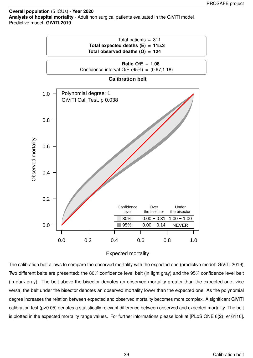**Overall population** (5 ICUs) - **Year 2020 Analysis of hospital mortality** - Adult non surgical patients evaluated in the GiViTI model Predictive model: **GiViTI 2019**



#### Expected mortality

The calibration belt allows to compare the observed mortality with the expected one (predictive model: GiViTI 2019). Two different belts are presented: the 80% confidence level belt (in light gray) and the 95% confidence level belt (in dark gray). The belt above the bisector denotes an observed mortality greater than the expected one; vice versa, the belt under the bisector denotes an observed mortality lower than the expected one. As the polynomial degree increases the relation between expected and observed mortality becomes more complex. A significant GiViTI calibration test (p<0.05) denotes a statistically relevant difference between observed and expected mortality. The belt is plotted in the expected mortality range values. For further informations please look at [PLoS ONE 6(2): e16110].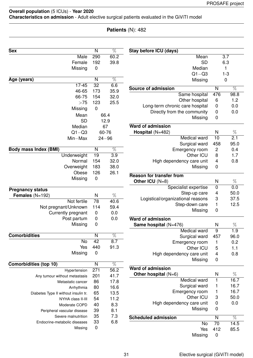### **Overall population** (5 ICUs) - **Year 2020 Characteristics on admission** - Adult elective surgical patients evaluated in the GiViTI model

### **Patients** (N): 482

| <b>Sex</b>                           | N                | $\overline{\%}$  | Stay before ICU (days)                  |                          |                 |
|--------------------------------------|------------------|------------------|-----------------------------------------|--------------------------|-----------------|
| Male                                 | 290              | 60.2             | Mean                                    |                          | 3.7             |
| Female                               | 192              | 39.8             | <b>SD</b>                               |                          | 6.3             |
| Missing                              | $\mathbf 0$      |                  | Median                                  |                          | 1               |
|                                      |                  |                  | $Q1 - Q3$                               |                          | $1 - 3$         |
| Age (years)                          | N                | $\overline{\%}$  | Missing                                 |                          | $\mathbf 0$     |
| $17 - 45$                            | 32               | 6.6              | <b>Source of admission</b>              | $\mathsf{N}$             | $\overline{\%}$ |
| 46-65                                | 173              | 35.9             | Same hospital                           | 476                      | 98.8            |
| 66-75                                | 154              | 32.0             | Other hospital                          | 6                        | 1.2             |
| >75                                  | 123              | 25.5             | Long-term chronic care hospital         | $\mathbf 0$              | 0.0             |
| Missing                              | $\mathbf 0$      |                  | Directly from the community             | $\boldsymbol{0}$         | 0.0             |
| Mean                                 |                  | 66.4             | Missing                                 | 0                        |                 |
| <b>SD</b>                            |                  | 12.9             |                                         |                          |                 |
| Median                               |                  | 67               | <b>Ward of admission</b>                |                          |                 |
| $Q1 - Q3$                            |                  | 60-76            | Hospital (N=482)                        | N                        | $\%$            |
| $Min-Max$                            |                  | $24 - 96$        | Medical ward                            | 10                       | 2.1             |
|                                      |                  |                  | Surgical ward                           | 458                      | 95.0            |
| <b>Body mass Index (BMI)</b>         | N                | $\overline{\%}$  | Emergency room                          | $\overline{c}$           | 0.4             |
| Underweight                          | 19               | $\overline{3.9}$ | Other ICU                               | 8                        | 1.7             |
| Normal                               | 154              | 32.0             | High dependency care unit               | 4                        | 0.8             |
| Overweight                           | 183              | 38.0             | Missing                                 | $\mathbf 0$              |                 |
| Obese                                | 126              | 26.1             |                                         |                          |                 |
| Missing                              | $\mathbf 0$      |                  | <b>Reason for transfer from</b>         |                          |                 |
|                                      |                  |                  | Other ICU (N=8)                         | N                        | $\%$            |
| <b>Pregnancy status</b>              |                  |                  | Specialist expertise                    | $\mathbf 0$              | 0.0             |
| Females $(N=192)$                    | N                | %                | Step-up care                            | $\overline{\mathcal{A}}$ | 50.0            |
| Not fertile                          | $\overline{78}$  | 40.6             | Logistical/organizational reasons       | 3                        | 37.5            |
| Not pregnant/Unknown                 | 114              | 59.4             | Step-down care                          | 1                        | 12.5            |
| Currently pregnant                   | $\mathbf 0$      | 0.0              | Missing                                 | 0                        |                 |
| Post partum                          | 0                | 0.0              | Ward of admission                       |                          |                 |
| Missing                              | $\mathbf 0$      |                  |                                         | N                        | $\%$            |
|                                      |                  |                  | Same hospital $(N=476)$<br>Medical ward | 9                        |                 |
| <b>Comorbidities</b>                 | N                | $\overline{\%}$  |                                         | 457                      | 1.9             |
| No                                   | 42               | 8.7              | Surgical ward                           |                          | 96.0            |
| Yes                                  | 440              | 91.3             | Emergency room                          | 1                        | 0.2             |
| Missing                              | 0                |                  | Other ICU                               | 5                        | 1.1             |
|                                      |                  |                  | High dependency care unit               | 4                        | 0.8             |
| <b>Comorbidities (top 10)</b>        | N                | $\overline{\%}$  | Missing                                 | 0                        |                 |
| Hypertension                         | $\overline{271}$ | 56.2             | <b>Ward of admission</b>                |                          |                 |
| Any tumour without metastasis        | 201              | 41.7             | Other hospital $(N=6)$                  | N                        | %               |
| Metastatic cancer                    | 86               | 17.8             | Medical ward                            | $\mathbf{1}$             | 16.7            |
| Arrhythmia                           | 80               | 16.6             | Surgical ward                           | 1                        | 16.7            |
| Diabetes Type II without insulin tr. | 65               | 13.5             | Emergency room                          | 1                        | 16.7            |
| NYHA class II-III                    | 54               | 11.2             | Other ICU                               | 3                        | 50.0            |
| Moderate COPD                        | 40               | 8.3              | High dependency care unit               | $\boldsymbol{0}$         | 0.0             |
| Peripheral vascular disease          | 39               | 8.1              | Missing                                 | 0                        |                 |
| Severe malnutrition                  | 35               | 7.3              |                                         |                          |                 |
|                                      |                  |                  | <b>Scheduled admission</b>              | ${\sf N}$                | $\overline{\%}$ |
| Endocrine-metabolic diseases         | 33               | 6.8              | No                                      | 70                       | 14.5            |
| Missing                              | $\boldsymbol{0}$ |                  | Yes                                     | 412                      | 85.5            |
|                                      |                  |                  | Missing                                 | $\boldsymbol{0}$         |                 |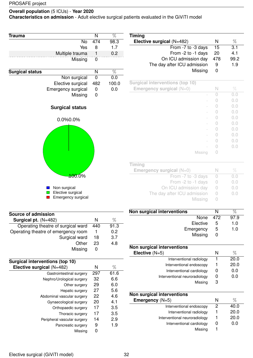#### **Overall population** (5 ICUs) - **Year 2020**

**Characteristics on admission** - Adult elective surgical patients evaluated in the GiViTI model

| Trauma                              | N                       | $\overline{\%}$ |
|-------------------------------------|-------------------------|-----------------|
| No                                  | 474                     | 98.3            |
| Yes                                 | 8                       | 1.7             |
| Multiple trauma                     | Ť                       | 0.2             |
| Missing                             | 0                       |                 |
|                                     |                         |                 |
| <b>Surgical status</b>              | $\overline{\mathsf{N}}$ | $\overline{\%}$ |
| Non surgical                        | $\mathbf 0$             | 0.0             |
| Elective surgical                   | 482                     | 100.0           |
| Emergency surgical                  | 0                       | 0.0             |
| Missing                             | $\overline{0}$          |                 |
|                                     |                         |                 |
| <b>Surgical status</b>              |                         |                 |
| 0.0%0.0%                            |                         |                 |
|                                     |                         |                 |
|                                     |                         |                 |
|                                     |                         |                 |
|                                     |                         |                 |
|                                     |                         |                 |
|                                     |                         |                 |
|                                     |                         |                 |
|                                     |                         |                 |
|                                     |                         |                 |
|                                     |                         |                 |
| <del>.100</del> .0%                 |                         |                 |
|                                     |                         |                 |
| Non surgical                        |                         |                 |
| Elective surgical                   |                         |                 |
| <b>Emergency surgical</b>           |                         |                 |
|                                     |                         |                 |
| Source of admission                 |                         |                 |
|                                     | N                       | %               |
| Surgical pt. (N=482)                |                         |                 |
| Operating theatre of surgical ward  | 440                     | 91.3            |
| Operating theatre of emergency room | 1                       | 0.2             |
| Surgical ward                       | 18                      | 3.7             |

| Surgical waru | 10 | ، ن |
|---------------|----|-----|
| Other 23      |    | 4.8 |
| Missing       | 0  |     |
|               |    |     |

| Surgical interventions (top 10) |     |      |
|---------------------------------|-----|------|
| Elective surgical (N=482)       | N   | %    |
| Gastrointestinal surgery        | 297 | 61.6 |
| Nephro/Urological surgery       | 32  | 6.6  |
| Other surgery                   | 29  | 6.0  |
| Hepatic surgery                 | 27  | 5.6  |
| Abdominal vascular surgery      | 22  | 4.6  |
| Gynaecological surgery          | 20  | 4.1  |
| Orthopaedic surgery             | 17  | 3.5  |
| Thoracic surgery                | 17  | 3.5  |
| Peripheral vascular surgery     | 14  | 2.9  |
| Pancreatic surgery              | 9   | 1.9  |
| Missina                         | 0   |      |

| <b>Timing</b>               |     |      |
|-----------------------------|-----|------|
| Elective surgical (N=482)   | N   | %    |
| From -7 to -3 days          | 15  | 3.1  |
| From -2 to -1 days          | 20  | 4.1  |
| On ICU admission day        | 478 | 99.2 |
| The day after ICU admission | 9   | 1.9  |
| Missing                     |     |      |

| <b>Surgical interventions (top 10)</b> |         |   |     |
|----------------------------------------|---------|---|-----|
| Emergency surgical (N=0)               |         | N | %   |
|                                        |         |   | 0.0 |
|                                        |         |   | 0.0 |
|                                        |         |   | 0.0 |
|                                        |         |   | 0.0 |
|                                        |         |   | 0.0 |
|                                        |         |   | 0.0 |
|                                        |         |   | 0.0 |
|                                        |         |   | O.O |
|                                        |         |   | 0.0 |
|                                        |         |   | 0.0 |
|                                        | Missing |   |     |

| Timing                      |                  |     |
|-----------------------------|------------------|-----|
| Emergency surgical $(N=0)$  |                  | Vo  |
| From -7 to -3 days          | $\left( \right)$ | O.O |
| From -2 to -1 days          | $\left( \right)$ | 0.0 |
| On ICU admission day        |                  | 0.0 |
| The day after ICU admission |                  | 0.0 |
| Missing                     |                  |     |

| Non surgical interventions |               |      |
|----------------------------|---------------|------|
| None 472                   |               | 97.9 |
| Elective                   | $\mathcal{L}$ | 1.0  |
| Emergency                  | ხ             | 1.0  |
| Missing                    |               |      |

| Non surgical interventions    |   |      |
|-------------------------------|---|------|
| Elective $(N=5)$              | N | %    |
| Interventional radiology      |   | 20.0 |
| Interventional endoscopy      |   | 20.0 |
| Interventional cardiology     |   | 0.0  |
| Interventional neuroradiology |   | 0.0  |
| Missing                       | 3 |      |

| N | %    |
|---|------|
| 2 | 40.0 |
|   | 20.0 |
|   | 20.0 |
| O | 0.0  |
|   |      |
|   |      |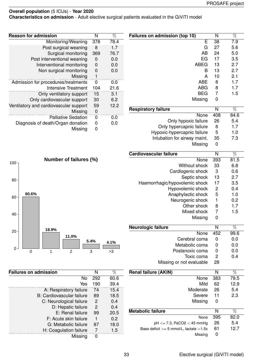**Characteristics on admission** - Adult elective surgical patients evaluated in the GiViTI model

| Failures on admission (top 10)              | N                       | %               |
|---------------------------------------------|-------------------------|-----------------|
| $\overline{\mathsf{E}}$                     | 38                      | 7.9             |
| G                                           | 27                      | 5.6             |
| AB                                          | 24                      | 5.0             |
| EG                                          | 17                      | 3.5             |
| <b>ABEG</b>                                 | 13                      | 2.7             |
| Β                                           | 13                      | 2.7             |
| A                                           | 10                      | 2.1             |
| <b>ABE</b>                                  | 8                       | 1.7             |
| <b>ABG</b>                                  | 8                       | 1.7             |
| <b>BEG</b>                                  | $\overline{7}$          | 1.5             |
| Missing                                     | 0                       |                 |
| <b>Respiratory failure</b>                  | N                       | $\overline{\%}$ |
| None                                        | 408                     | 84.6            |
| Only hypoxic failure                        | 26                      | 5.4             |
| Only hypercapnic failure                    | 8                       | 1.7             |
| Hypoxic-hypercapnic failure                 | 5                       | 1.0             |
| Intubation for airway maint.                | 35                      | 7.3             |
| Missing                                     | 0                       |                 |
| Cardiovascular failure                      | $\overline{\mathsf{N}}$ | %               |
| None                                        | 393                     | 81.5            |
|                                             |                         |                 |
| Without shock                               | 33                      | 6.8             |
| Cardiogenic shock                           | 3                       | 0.6             |
| Septic shock                                | 13                      | 2.7             |
| Haemorrhagic/hypovolemic shock              | 17                      | 3.5             |
| Hypovolemic shock                           | 2                       | 0.4             |
| Anaphylactic shock                          | 5                       | 1.0             |
| Neurogenic shock                            | 1                       | 0.2             |
| Other shock                                 | 8                       | 1.7             |
| Mixed shock                                 | 7                       | 1.5             |
| Missing                                     | 0                       |                 |
| <b>Neurologic failure</b>                   | Ν                       | $\%$            |
| None                                        | 452                     | 99.6            |
| Cerebral coma                               | 0                       | 0.0             |
| Metabolic coma                              | 0                       | 0.0             |
| Postanoxic coma                             | 0                       | 0.0             |
| Toxic coma                                  | 2                       | 0.4             |
| Missing or not evaluable                    | 28                      |                 |
| <b>Renal failure (AKIN)</b>                 | N                       | $\%$            |
| None                                        | 383                     | 79.5            |
| Mild                                        | 62                      | 12.9            |
| Moderate                                    | 26                      | 5.4             |
| Severe                                      | 11                      | 2.3             |
| Missing                                     | 0                       |                 |
| <b>Metabolic failure</b>                    | N                       | $\%$            |
| None                                        | 395                     | 82.0            |
| $pH \le 7.3$ , PaCO2 $<$ 45 mmHg            | 26                      | 5.4             |
| Base deficit $>= 5$ mmol/L, lactate $>1.5x$ | 61                      | 12.7            |
|                                             |                         |                 |

| <b>Reason for admission</b>            | N        | $\%$ |
|----------------------------------------|----------|------|
| Monitoring/Weaning                     | 378      | 78.4 |
| Post surgical weaning                  | 8        | 1.7  |
| Surgical monitoring                    | 369      | 76.7 |
| Post interventional weaning            | O        | 0.0  |
| Interventional monitoring              | 0        | 0.0  |
| Non surgical monitoring                | 0        | 0.0  |
| Missing                                | 1        |      |
| Admission for procedures/treatments    | $\Omega$ | 0.0  |
| <b>Intensive Treatment</b>             | 104      | 21.6 |
| Only ventilatory support               | 15       | 3.1  |
| Only cardiovascular support            | 30       | 6.2  |
| Ventilatory and cardiovascular support | 59       | 12.2 |
| Missing                                | 0        |      |
| <b>Palliative Sedation</b>             | 0        | 0.0  |
| Diagnosis of death/Organ donation      | O        | 0.O  |
| Missing                                |          |      |



| <b>Failures on admission</b>     | N             | %    |
|----------------------------------|---------------|------|
| No                               | 292           | 60.6 |
| Yes                              | 190           | 39.4 |
| A: Respiratory failure           | 74            | 15.4 |
| <b>B: Cardiovascular failure</b> | 89            | 18.5 |
| C: Neurological failure          | 2             | 0.4  |
| D: Hepatic failure               | $\mathcal{P}$ | 0.4  |
| E: Renal failure                 | 99            | 20.5 |
| F: Acute skin failure            | 1             | 0.2  |
| G: Metabolic failure             | 87            | 18.0 |
| H: Coagulation failure           | 7             | 1.5  |
| Missing                          | O             |      |

Missing 0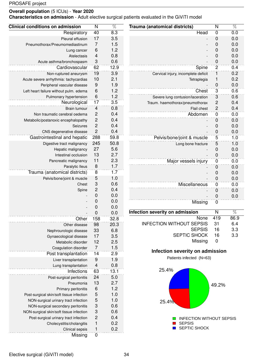**Characteristics on admission** - Adult elective surgical patients evaluated in the GiViTI model

| <b>Clinical conditions on admission</b>  | N                        | $\overline{\%}$  | Trauma (anatomical districts)          | $\overline{\mathsf{N}}$ | $\overline{\%}$ |
|------------------------------------------|--------------------------|------------------|----------------------------------------|-------------------------|-----------------|
| Respiratory                              | 40                       | 8.3              | <b>Head</b>                            | $\overline{0}$          | 0.0             |
| Pleural effusion                         | 17                       | 3.5              |                                        | 0                       | 0.0             |
| Pneumothorax/Pneumomediastinum           | $\overline{7}$           | 1.5              |                                        | 0                       | 0.0             |
| Lung cancer                              | $6\phantom{1}6$          | 1.2              |                                        | $\mathbf 0$             | 0.0             |
| Atelectasis                              | $\overline{4}$           | 0.8              |                                        | $\mathbf 0$             | 0.0             |
| Acute asthma/bronchospasm                | 3                        | 0.6              |                                        | $\mathbf 0$             | 0.0             |
| Cardiovascular                           | 62                       | 12.9             | Spine                                  | $\overline{c}$          | 0.4             |
| Non-ruptured aneurysm                    | 19                       | 3.9              | Cervical injury, incomplete deficit    | 1                       | 0.2             |
| Acute severe arrhythmia: tachycardias    | 10                       | 2.1              | Tetraplegia                            | 1                       | 0.2             |
| Peripheral vascular disease              | $\overline{9}$           | 1.9              |                                        | $\mathbf 0$             | 0.0             |
| Left heart failure without pulm. edema   | 6                        | 1.2              | Chest                                  | $\mathbf{3}$            | 0.6             |
| Pulmonary hypertension                   | $\,6\,$                  | 1.2              | Severe lung contusion/laceration       | 3                       | 0.6             |
| Neurological                             | 17                       | $\overline{3.5}$ | Traum. haemothorax/pneumothorax        | $\overline{c}$          | 0.4             |
| Brain tumour                             | $\overline{4}$           | 0.8              | Flail chest                            | $\overline{c}$          | 0.4             |
| Non traumatic cerebral oedema            | $\mathbf 2$              | 0.4              | Abdomen                                | $\pmb{0}$               | 0.0             |
| Metabolic/postanoxic encephalopathy      | $\mathbf{2}$             | 0.4              |                                        | 0                       | 0.0             |
| Seizures                                 | $\overline{c}$           | 0.4              |                                        | 0                       | 0.0             |
| CNS degenerative disease                 | $\overline{c}$           | 0.4              |                                        | $\mathbf 0$             | 0.0             |
| Gastrointestinal and hepatic             | 288                      | 59.8             | Pelvis/bone/joint & muscle             | 5                       | 1.0             |
| Digestive tract malignancy               | 245                      | 50.8             | Long bone fracture                     | 5                       | 1.0             |
| Hepatic malignancy                       | 27                       | 5.6              |                                        | $\pmb{0}$               | 0.0             |
| Intestinal occlusion                     | 13                       | 2.7              |                                        | $\mathbf 0$             | 0.0             |
| Pancreatic malignancy                    | 11                       | 2.3              | Major vessels injury                   | $\pmb{0}$               | 0.0             |
| Paralytic Ileus                          | $\,8\,$                  | 1.7              |                                        | 0                       | 0.0             |
| Trauma (anatomical districts)            | $\overline{8}$           | 1.7              |                                        | 0                       | 0.0             |
| Pelvis/bone/joint & muscle               | 5                        | 1.0              |                                        | $\mathbf 0$             | 0.0             |
| Chest                                    | 3                        | 0.6              | Miscellaneous                          | $\mathbf 0$             | 0.0             |
| Spine                                    | $\overline{\mathbf{c}}$  | 0.4              |                                        | 0                       | 0.0             |
|                                          | 0                        | 0.0              |                                        | $\mathbf 0$             | 0.0             |
|                                          | 0                        | 0.0              | Missing                                | $\pmb{0}$               |                 |
|                                          | 0                        | 0.0              |                                        |                         |                 |
|                                          | 0                        | 0.0              | <b>Infection severity on admission</b> | $\mathsf{N}$            | $\overline{\%}$ |
| Other                                    | 158                      | 32.8             | None                                   | 419                     | 86.9            |
| Other disease                            | 98                       | 20.3             | <b>INFECTION WITHOUT SEPSIS</b>        | 31                      | 6.4             |
| Nephrourologic disease                   | 33                       | 6.8              | <b>SEPSIS</b>                          | 16                      | 3.3             |
| Gynaecological disease                   | 17                       | 3.5              | SEPTIC SHOCK                           | 16                      | 3.3             |
| Metabolic disorder                       | 12                       | 2.5              | Missing                                | $\mathbf 0$             |                 |
| Coagulation disorder                     | $\overline{7}$           | 1.5              |                                        |                         |                 |
| Post transplantation                     | 14                       | 2.9              | Infection severity on admission        |                         |                 |
| Liver transplantation                    | 9                        | 1.9              | Patients infected (N=63)               |                         |                 |
| Lung transplantation                     | $\overline{\mathcal{A}}$ | 0.8              |                                        |                         |                 |
| Infections                               | 63                       | 13.1             | 25.4%                                  |                         |                 |
| Post-surgical peritonitis                | 24                       | 5.0              |                                        |                         |                 |
| Pneumonia                                | 13                       | 2.7              |                                        | 49.2%                   |                 |
| Primary peritonitis                      | 6                        | 1.2              |                                        |                         |                 |
| Post-surgical skin/soft tissue infection | 5                        | 1.0              |                                        |                         |                 |
| NON-surgical urinary tract infection     | 5                        | 1.0              | 25.4%                                  |                         |                 |
| NON-surgical secondary peritonitis       | 3                        | 0.6              |                                        |                         |                 |
| NON-surgical skin/soft tissue infection  | 3                        | 0.6              |                                        |                         |                 |
| Post-surgical urinary tract infection    | 2                        | 0.4              | <b>INFECTION WITHOUT SEPSIS</b>        |                         |                 |
| Cholecystitis/cholangitis                | 1                        | 0.2              | <b>SEPSIS</b>                          |                         |                 |
| Clinical sepsis                          | 1                        | 0.2              | SEPTIC SHOCK                           |                         |                 |
| <b>Missing</b>                           | $\pmb{0}$                |                  |                                        |                         |                 |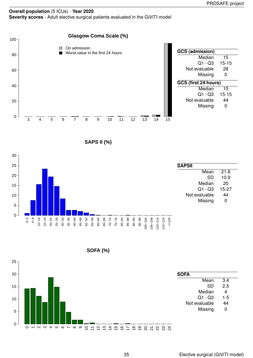#### **Overall population** (5 ICUs) - **Year 2020 Severity scores** - Adult elective surgical patients evaluated in the GiViTI model







**SOFA (%)**

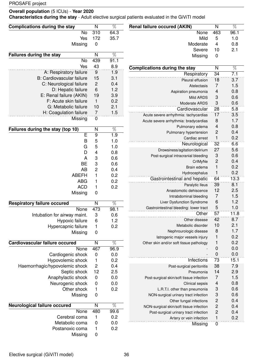### **Overall population** (5 ICUs) - **Year 2020**

**Characteristics during the stay** - Adult elective surgical patients evaluated in the GiViTI model

| <b>Complications during the stay</b>                | N                            | $\overline{\%}$ | <b>Renal failure occured (AKIN)</b>      | $\overline{\mathsf{N}}$    | $\overline{\%}$ |
|-----------------------------------------------------|------------------------------|-----------------|------------------------------------------|----------------------------|-----------------|
| No                                                  | 310                          | 64.3            | None                                     | 463                        | 96.1            |
| Yes                                                 | 172                          | 35.7            | Mild                                     | 5                          | 1.0             |
| Missing                                             | $\pmb{0}$                    |                 | Moderate                                 | $\overline{4}$             | 0.8             |
|                                                     |                              |                 | Severe                                   | 10                         | 2.1             |
| <b>Failures during the stay</b>                     | N                            | $\overline{\%}$ | Missing                                  | $\mathbf 0$                |                 |
| <b>No</b>                                           | 439                          | 91.1            |                                          |                            |                 |
| Yes                                                 | 43                           | 8.9             | <b>Complications during the stay</b>     | N                          | $\overline{\%}$ |
| A: Respiratory failure                              | 9                            | 1.9             | Respiratory                              | 34                         | 7.1             |
| <b>B: Cardiovascular failure</b>                    | 15                           | 3.1             | Pleural effusion                         | 18                         | 3.7             |
| C: Neurological failure                             | $\mathbf 2$                  | 0.4             | Atelectasis                              | 7                          | 1.5             |
| D: Hepatic failure                                  | 6                            | 1.2             | Aspiration pneumonia                     | 4                          | 0.8             |
| E: Renal failure (AKIN)                             | 19                           | 3.9             | Mild ARDS                                | 3                          | 0.6             |
| F: Acute skin failure                               | $\mathbf{1}$                 | 0.2             | Moderate ARDS                            | 3                          | 0.6             |
| G: Metabolic failure                                | 10                           | 2.1             | Cardiovascular                           | 28                         | 5.8             |
| H: Coagulation failure                              | 7                            | 1.5             | Acute severe arrhythmia: tachycardias    | 17                         | 3.5             |
| Missing                                             | $\pmb{0}$                    |                 | Acute severe arrhythmia: bradycardias    | 8                          | 1.7             |
| Failures during the stay (top 10)                   | N                            | $\overline{\%}$ | Pulmonary edema                          | 4                          | 0.8             |
| $\overline{\mathsf{E}}$                             | 9                            | 1.9             | Pulmonary hypertension                   | 2                          | 0.4             |
| B                                                   | 5                            | 1.0             | Cardiac arrest                           | $\mathbf{1}$               | 0.2             |
| G                                                   | 5                            | 1.0             | Neurological                             | 32                         | 6.6             |
| D                                                   | 4                            | 0.8             | Drowsiness/agitation/delirium            | 27                         | 5.6             |
| $\overline{A}$                                      | 3                            | 0.6             | Post-surgical intracranial bleeding      | 3                          | 0.6             |
| <b>BE</b>                                           | 3                            | 0.6             | CrIMyNe                                  | $\overline{c}$             | 0.4             |
| <b>AB</b>                                           | $\overline{c}$               | 0.4             | Brain edema                              | $\mathbf{1}$               | 0.2             |
| <b>ABEFH</b>                                        | 1                            | 0.2             | Hydrocephalus                            | 1                          | 0.2             |
| <b>ABG</b>                                          | 1                            | 0.2             | Gastrointestinal and hepatic             | 64                         | 13.3            |
| <b>ACD</b>                                          | 1                            | 0.2             | Paralytic Ileus                          | 39                         | 8.1             |
| Missing                                             | 0                            |                 | Anastomotic dehiscence                   | 12                         | 2.5             |
|                                                     |                              |                 | Intrabdominal bleeding                   | $\overline{7}$             | 1.5             |
| <b>Respiratory failure occured</b>                  | N                            | $\overline{\%}$ | Liver Dysfunction Syndrome               | $6\phantom{1}6$            | 1.2             |
| None                                                | 473                          | 98.1            | Gastrointestinal bleeding: lower tract   | 5                          | 1.0             |
| Intubation for airway maint.                        | 3                            | 0.6             | Other                                    | 57                         | 11.8            |
| Hypoxic failure                                     | 6                            | 1.2             | Other disease                            | 42                         | 8.7             |
| Hypercapnic failure                                 | 1                            | 0.2             | Metabolic disorder                       | 10                         | 2.1             |
| Missing                                             | 0                            |                 | Nephrourologic disease                   | 8                          | 1.7             |
|                                                     |                              |                 | latrogenic major vessels injury          | 1                          | 0.2<br>0.2      |
| Cardiovascular failure occured                      | $\mathsf{N}$                 | $\overline{\%}$ | Other skin and/or soft tissue pathology  | 1                          | 0.0             |
| <b>None</b>                                         | 467                          | 96.9            |                                          | $\mathbf 0$<br>$\mathbf 0$ | 0.0             |
| Cardiogenic shock                                   | $\pmb{0}$                    | 0.0<br>0.2      | Infections                               | 73                         | 15.1            |
| Hypovolemic shock<br>Haemorrhagic/hypovolemic shock | 1<br>$\overline{\mathbf{c}}$ | 0.4             |                                          | 38                         | 7.9             |
| Septic shock                                        | 12                           | 2.5             | Post-surgical peritonitis<br>Pneumonia   | 14                         | 2.9             |
| Anaphylactic shock                                  | $\pmb{0}$                    | 0.0             | Post-surgical skin/soft tissue infection | 7                          | 1.5             |
| Neurogenic shock                                    | $\boldsymbol{0}$             | 0.0             | Clinical sepsis                          | $\overline{\mathcal{L}}$   | 0.8             |
| Other shock                                         | 1                            | 0.2             | L.R.T.I. other than pneumonia            | 3                          | 0.6             |
| Missing                                             | 0                            |                 | NON-surgical urinary tract infection     | 3                          | 0.6             |
|                                                     |                              |                 | Other fungal infections                  | $\overline{\mathbf{c}}$    | 0.4             |
| <b>Neurological failure occured</b>                 | N                            | $\overline{\%}$ | NON-surgical skin/soft tissue infection  | $\overline{c}$             | 0.4             |
| None                                                | 480                          | 99.6            | Post-surgical urinary tract infection    | $\overline{c}$             | 0.4             |
| Cerebral coma                                       | 1                            | 0.2             | Artery or vein infection                 | $\mathbf{1}$               | 0.2             |
| Metabolic coma                                      | 0                            | 0.0             | Missing                                  | $\mathbf 0$                |                 |
| Postanoxic coma                                     | 1                            | 0.2             |                                          |                            |                 |
| Missing                                             | $\pmb{0}$                    |                 |                                          |                            |                 |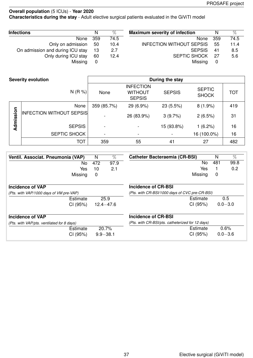**Characteristics during the stay** - Adult elective surgical patients evaluated in the GiViTI model

| <b>Infections</b>                | N     | $\%$ | <b>Maximum severity of infection</b> | N    | $\%$ |
|----------------------------------|-------|------|--------------------------------------|------|------|
| None                             | - 359 | 74.5 | None                                 | -359 | 74.5 |
| Only on admission 50             |       | 10.4 | <b>INFECTION WITHOUT SEPSIS</b>      | 55   | 11.4 |
| On admission and during ICU stay | 13    | 2.7  | <b>SEPSIS</b>                        | 41   | 8.5  |
| Only during ICU stay             | 60    | 12.4 | <b>SEPTIC SHOCK</b>                  | -27  | 5.6  |
| Missing                          | 0     |      | Missing                              | 0    |      |

|           | <b>Severity evolution</b>       |                          |                                                     | During the stay |                               |            |
|-----------|---------------------------------|--------------------------|-----------------------------------------------------|-----------------|-------------------------------|------------|
|           | N(R %)                          | None                     | <b>INFECTION</b><br><b>WITHOUT</b><br><b>SEPSIS</b> | <b>SEPSIS</b>   | <b>SEPTIC</b><br><b>SHOCK</b> | <b>TOT</b> |
|           | None                            | 359 (85.7%)              | 29 (6.9%)                                           | 23 (5.5%)       | $8(1.9\%)$                    | 419        |
| Admission | <b>INFECTION WITHOUT SEPSIS</b> |                          | 26 (83.9%)                                          | 3(9.7%)         | 2(6.5%)                       | 31         |
|           | <b>SEPSIS</b>                   | $\overline{\phantom{a}}$ |                                                     | 15 (93.8%)      | 1(6.2%)                       | 16         |
|           | SEPTIC SHOCK                    | $\blacksquare$           |                                                     |                 | 16 (100.0%)                   | 16         |
|           | ТОТ                             | 359                      | 55                                                  | 41              | 27                            | 482        |

| Ventil. Associat. Pneumonia (VAP)          | N   | $\%$          | <b>Catheter Bacteraemia (CR-BSI)</b>             | N   | %           |
|--------------------------------------------|-----|---------------|--------------------------------------------------|-----|-------------|
| No.                                        | 472 | 97.9          | No                                               | 481 | 99.8        |
| Yes                                        | 10  | 2.1           | Yes                                              |     | 0.2         |
| Missing                                    | 0   |               | Missing                                          | 0   |             |
| Incidence of VAP                           |     |               | <b>Incidence of CR-BSI</b>                       |     |             |
| (Pts. with VAP/1000 days of VM pre-VAP)    |     |               | (Pts. with CR-BSI/1000 days of CVC pre-CR-BSI)   |     |             |
| Estimate                                   |     | 25.9          | Estimate                                         |     | 0.5         |
| CI (95%)                                   |     | $12.4 - 47.6$ | CI (95%)                                         |     | $0.0 - 3.0$ |
| Incidence of VAP                           |     |               | Incidence of CR-BSI                              |     |             |
| (Pts. with VAP/pts. ventilated for 8 days) |     |               | (Pts. with CR-BSI/pts. catheterized for 12 days) |     |             |
| Estimate                                   |     | 20.7%         | Estimate                                         |     | 0.6%        |
| CI (95%)                                   |     | $9.9 - 38.1$  | CI (95%)                                         |     | $0.0 - 3.6$ |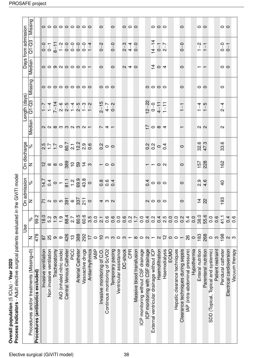| Process indicators - Adult elective surgical patients evaluated in the GiViTI model<br>Overall population (5 ICUs) - Year 2020 |     |          |              |              |     |                          |                               |  |
|--------------------------------------------------------------------------------------------------------------------------------|-----|----------|--------------|--------------|-----|--------------------------|-------------------------------|--|
|                                                                                                                                |     | Use      | On admission | On discharge |     | ength (days)             |                               |  |
| Procedures and/or treatments (Missing=0)                                                                                       |     |          |              |              |     |                          | Median   Q1-Q3   Missing   Me |  |
| Procedures (antibiotics excluded)                                                                                              | 478 | ვ.<br>მა |              |              |     |                          |                               |  |
| ilation<br>Invasive venti                                                                                                      |     | 18.0     | 14.7         |              | 2.5 | $\overline{\phantom{0}}$ |                               |  |

| Process indicators - Adult elective surgical patients evaluated in th<br>Overall population (5 ICUs) - Year 2020 |                                  |                  |                                                                                               | e GiViTI model                                                                                                                            |                          |                   |                                                  |                                         |                           |                                                                 |                                                                                                                                                                                                                                                                                                                                                                                                                                                                                                     |                 |
|------------------------------------------------------------------------------------------------------------------|----------------------------------|------------------|-----------------------------------------------------------------------------------------------|-------------------------------------------------------------------------------------------------------------------------------------------|--------------------------|-------------------|--------------------------------------------------|-----------------------------------------|---------------------------|-----------------------------------------------------------------|-----------------------------------------------------------------------------------------------------------------------------------------------------------------------------------------------------------------------------------------------------------------------------------------------------------------------------------------------------------------------------------------------------------------------------------------------------------------------------------------------------|-----------------|
|                                                                                                                  |                                  | ⊍se              | On admission                                                                                  |                                                                                                                                           |                          | On discharge      |                                                  | ength (days)                            |                           |                                                                 | Days from admission                                                                                                                                                                                                                                                                                                                                                                                                                                                                                 |                 |
| Procedures and/or treatments (Missing=0)                                                                         | Z                                | $\aleph$         | $\mid$ z                                                                                      | $\approx$                                                                                                                                 | z                        | $\delta$          | Median                                           | $Q1-C3$                                 | <b>Missing</b>            | Median                                                          | $Q1-Q3$                                                                                                                                                                                                                                                                                                                                                                                                                                                                                             | Missing         |
| Procedures (antibiotics excluded)                                                                                | 478                              | 99.2             |                                                                                               |                                                                                                                                           |                          |                   |                                                  |                                         |                           |                                                                 |                                                                                                                                                                                                                                                                                                                                                                                                                                                                                                     |                 |
| Invasive ventilation                                                                                             | $\overline{8}$                   | 18.0             | $\kappa$ < $\sim$ $\sim$ $\frac{1}{2}$ $\approx$ $\frac{1}{2}$ $\approx$ $\frac{1}{2}$ $\sim$ |                                                                                                                                           | ယ္ စစ္တစ္တိုင္ လွဴ ႏွဴ မ |                   |                                                  |                                         |                           |                                                                 |                                                                                                                                                                                                                                                                                                                                                                                                                                                                                                     |                 |
| Non invasive ventilation                                                                                         | 25                               | 5.2              |                                                                                               |                                                                                                                                           |                          |                   |                                                  |                                         |                           |                                                                 |                                                                                                                                                                                                                                                                                                                                                                                                                                                                                                     |                 |
| Tracheostomy                                                                                                     | $\infty$                         | $\ddot{1}$ .9    |                                                                                               |                                                                                                                                           |                          |                   |                                                  |                                         |                           |                                                                 |                                                                                                                                                                                                                                                                                                                                                                                                                                                                                                     |                 |
| iNO (inhaled nitric oxide)                                                                                       | $\circ$                          | $\frac{0}{1}$    |                                                                                               | $\frac{1}{4} \frac{4}{9} = -\frac{1}{12} \frac{1}{9} \frac{1}{9} \frac{1}{9} \frac{1}{9} \frac{1}{9} \frac{1}{9} \frac{1}{9} \frac{1}{9}$ |                          |                   | $\sim$ $\sim$ $\sim$ $\sim$ $\sim$ $\sim$ $\sim$ |                                         | 000000000                 | $\circ$ $\circ$ $\circ$ $\circ$ $\circ$ $\circ$ $\circ$ $\circ$ | $\begin{array}{ccccccccccccc}\n0 & - & - & \cdots & - & \cdots & - & \cdots & - & \cdots & - & \cdots & - & \cdots & - & \cdots & - & \cdots & - & \cdots & - & \cdots & - & \cdots & - & \cdots & - & \cdots & - & \cdots & - & \cdots & - & \cdots & - & \cdots & - & \cdots & - & \cdots & - & \cdots & - & \cdots & - & \cdots & - & \cdots & - & \cdots & - & \cdots & - & \cdots & - & \cdots & - & \cdots & - & \cdots & - & \cdots & - & \cdots & - & \cdots & - & \cdots & - & \cdots & -$ | 000000000       |
| Central Venous Catheter                                                                                          | 426                              | 88.4             |                                                                                               |                                                                                                                                           |                          |                   |                                                  |                                         |                           |                                                                 |                                                                                                                                                                                                                                                                                                                                                                                                                                                                                                     |                 |
| PICC                                                                                                             | $\frac{1}{2}$                    | 2.7              |                                                                                               |                                                                                                                                           |                          |                   |                                                  |                                         |                           |                                                                 |                                                                                                                                                                                                                                                                                                                                                                                                                                                                                                     |                 |
| <b>Arterial Catheter</b>                                                                                         | 388                              | 80.5             |                                                                                               |                                                                                                                                           |                          |                   |                                                  |                                         |                           |                                                                 |                                                                                                                                                                                                                                                                                                                                                                                                                                                                                                     |                 |
| Vasoactive drugs                                                                                                 | 292                              | 60.6             |                                                                                               |                                                                                                                                           |                          |                   |                                                  |                                         |                           |                                                                 |                                                                                                                                                                                                                                                                                                                                                                                                                                                                                                     |                 |
| Antiarrhythmics                                                                                                  | $\overline{1}$                   | 3.5              |                                                                                               |                                                                                                                                           |                          |                   |                                                  |                                         |                           |                                                                 |                                                                                                                                                                                                                                                                                                                                                                                                                                                                                                     |                 |
| <b>IABP</b>                                                                                                      | $\circ$                          |                  |                                                                                               |                                                                                                                                           |                          |                   |                                                  |                                         |                           |                                                                 |                                                                                                                                                                                                                                                                                                                                                                                                                                                                                                     |                 |
| Invasive monitoring of C.O.                                                                                      | $\frac{1}{1}$                    | 0,7,0            | 4 W U                                                                                         | 0.004                                                                                                                                     | $-00$                    | $\frac{N}{C}$ 0 0 | $\overline{r}$ 4 $\overline{r}$                  | $2 - 15$<br>$4 - 7$<br>$0 - 2$          | $\circ \circ \circ$       | $\circ$                                                         | $0 - 2$                                                                                                                                                                                                                                                                                                                                                                                                                                                                                             | $\circ$         |
| Continous monitoring of ScVO2                                                                                    |                                  |                  |                                                                                               |                                                                                                                                           |                          |                   |                                                  |                                         |                           |                                                                 |                                                                                                                                                                                                                                                                                                                                                                                                                                                                                                     |                 |
| Temporary pacing                                                                                                 |                                  | 0.6              |                                                                                               |                                                                                                                                           |                          |                   |                                                  |                                         |                           | $\circ$                                                         | $0 - 0$                                                                                                                                                                                                                                                                                                                                                                                                                                                                                             | $\circ$         |
| Ventricular assistance                                                                                           | $\circ$ $\circ$ $\circ$ $\circ$  | 0.0              |                                                                                               |                                                                                                                                           |                          |                   |                                                  |                                         |                           |                                                                 |                                                                                                                                                                                                                                                                                                                                                                                                                                                                                                     |                 |
| DC-shock                                                                                                         |                                  | 0.6              |                                                                                               |                                                                                                                                           |                          |                   |                                                  |                                         |                           |                                                                 |                                                                                                                                                                                                                                                                                                                                                                                                                                                                                                     |                 |
| <b>CPR</b>                                                                                                       |                                  | $0.\overline{2}$ |                                                                                               |                                                                                                                                           |                          |                   |                                                  |                                         |                           | $Q \neq Q$                                                      | $\begin{array}{c} 0 & 4 & 0 \\ 0 & 0 & 0 \\ 0 & 0 & 0 \end{array}$                                                                                                                                                                                                                                                                                                                                                                                                                                  | 000             |
| Massive blood transfusion                                                                                        |                                  |                  |                                                                                               |                                                                                                                                           |                          |                   |                                                  |                                         |                           |                                                                 |                                                                                                                                                                                                                                                                                                                                                                                                                                                                                                     |                 |
| ICP monitoring without CSF drainage                                                                              |                                  | $\overline{0}$   |                                                                                               |                                                                                                                                           |                          |                   |                                                  |                                         |                           |                                                                 |                                                                                                                                                                                                                                                                                                                                                                                                                                                                                                     |                 |
| ICP monitoring with CSF drainage                                                                                 | $-\infty$ $\circ$ $\sim$ $-$     | 0.4              |                                                                                               | $\frac{1}{4}$ o o o                                                                                                                       |                          | 0.00004           | $\stackrel{1}{\sim}$ 0 $\upalpha$ 4              | $\frac{12-22}{0-0}$<br>$\frac{4}{1}$ 11 |                           |                                                                 |                                                                                                                                                                                                                                                                                                                                                                                                                                                                                                     |                 |
| External ventricular drainage without ICP                                                                        |                                  | 0.2              |                                                                                               |                                                                                                                                           |                          |                   |                                                  |                                         |                           |                                                                 |                                                                                                                                                                                                                                                                                                                                                                                                                                                                                                     |                 |
| Haemofiltration                                                                                                  | $\alpha$ $\frac{\alpha}{\Gamma}$ | $0.4$<br>2.5     | QQQQQ                                                                                         |                                                                                                                                           | $  \circ$ $\circ$        |                   |                                                  |                                         | $\circ \circ \circ \circ$ | $rac{1}{4}$ 0 4                                                 | $14-14$<br>0-1<br>2-7                                                                                                                                                                                                                                                                                                                                                                                                                                                                               | 000             |
| Haemodialysis                                                                                                    |                                  |                  |                                                                                               |                                                                                                                                           |                          |                   |                                                  |                                         |                           |                                                                 |                                                                                                                                                                                                                                                                                                                                                                                                                                                                                                     |                 |
| ECMO                                                                                                             | $\circ$                          | 0.0              |                                                                                               |                                                                                                                                           |                          |                   |                                                  |                                         |                           |                                                                 |                                                                                                                                                                                                                                                                                                                                                                                                                                                                                                     |                 |
| Hepatic clearance techniques                                                                                     | $\circ$                          | $\overline{0}$ . |                                                                                               |                                                                                                                                           |                          |                   |                                                  |                                         |                           |                                                                 |                                                                                                                                                                                                                                                                                                                                                                                                                                                                                                     |                 |
| Clearance techniques during sepsis                                                                               |                                  | 0.2              | $\circ$                                                                                       | $\circ$                                                                                                                                   | $\circ$                  | $\circ$           |                                                  | $\overline{1}$                          | $\circ$                   | $\circ$                                                         | $0 - 0$                                                                                                                                                                                                                                                                                                                                                                                                                                                                                             | $\circ$         |
| IAP (intra-abdominal pressure)                                                                                   | 26                               | 5.4              |                                                                                               |                                                                                                                                           |                          |                   |                                                  |                                         |                           |                                                                 |                                                                                                                                                                                                                                                                                                                                                                                                                                                                                                     |                 |
| Hypothermia                                                                                                      | $\circ$                          | 0.0              |                                                                                               |                                                                                                                                           |                          |                   |                                                  |                                         |                           |                                                                 |                                                                                                                                                                                                                                                                                                                                                                                                                                                                                                     |                 |
| Enteral nutrition                                                                                                | 183                              | 38.0             | $rac{4}{5}$ $rac{2}{5}$                                                                       | 0<br>2<br>4<br>4                                                                                                                          | <b>157</b><br>228        | 32.6<br>47.3      | $\sim$ $\sim$                                    | $\frac{1}{4}$ – 5                       | $\circ$                   |                                                                 | $\frac{N}{1}$<br>— <del>—</del>                                                                                                                                                                                                                                                                                                                                                                                                                                                                     | $\circ$ $\circ$ |
| Parenteral nutrition                                                                                             | 268                              | 55.6             |                                                                                               |                                                                                                                                           |                          |                   |                                                  |                                         |                           |                                                                 |                                                                                                                                                                                                                                                                                                                                                                                                                                                                                                     |                 |
| SDD (Topical, Topical and systemic)                                                                              | $\circ$                          | 0.0              |                                                                                               |                                                                                                                                           |                          |                   |                                                  |                                         |                           |                                                                 |                                                                                                                                                                                                                                                                                                                                                                                                                                                                                                     |                 |
| Patient restraint                                                                                                | S                                | 0.6              |                                                                                               |                                                                                                                                           |                          |                   |                                                  |                                         |                           |                                                                 |                                                                                                                                                                                                                                                                                                                                                                                                                                                                                                     |                 |
| Peridural catheter                                                                                               | 198                              | 41.1             | 83<br>$\overline{\phantom{0}}$                                                                | $\frac{1}{2}$                                                                                                                             | 162                      | 33.6              | $\mathbf{\Omega}$                                | $\frac{4}{1}$<br>$\mathbf{C}$           | $\circ$                   | $\circ$ $\circ$                                                 | $0 - 1$                                                                                                                                                                                                                                                                                                                                                                                                                                                                                             | $\circ$ $\circ$ |
| Electrical cardioversion                                                                                         | $\alpha$                         | 0.4              |                                                                                               |                                                                                                                                           |                          |                   |                                                  |                                         |                           |                                                                 |                                                                                                                                                                                                                                                                                                                                                                                                                                                                                                     |                 |
| Vacuum therapy                                                                                                   |                                  | 0.6              |                                                                                               |                                                                                                                                           |                          |                   |                                                  |                                         |                           |                                                                 |                                                                                                                                                                                                                                                                                                                                                                                                                                                                                                     |                 |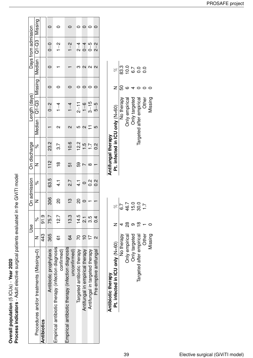Overall population (5 ICUs) - Year 2020<br>Process indicators - Adult elective surgical patients evaluated in the GiViTI model **Process indicators** - Adult elective surgical patients evaluated in the GiViTI model **Overall population** (5 ICUs) - **Year 2020**

|                                                                   | Use     |                | On admission |                  | On discharge   |                  |                   | Length (days)           |         |                   | Days from admission |                |
|-------------------------------------------------------------------|---------|----------------|--------------|------------------|----------------|------------------|-------------------|-------------------------|---------|-------------------|---------------------|----------------|
| Procedures and/or treatments (Missing=0)                          |         | <sup>o</sup>   | Z            | $\delta$         | Z              | <sub>So</sub>    |                   | $M$ edian   Q1-Q3   $M$ | Vissing | ledian<br>        | Q1-Q3               | <b>Missing</b> |
| Antibiotics                                                       | 43<br>4 | თ.<br>51       |              |                  |                |                  |                   |                         |         |                   |                     |                |
| Antibiotic prophylaxis                                            | 365     | 75.7           | 306          | 63.5             | $\frac{2}{11}$ | 23.2             |                   | $0 - 2$                 |         |                   | $0-$                |                |
| Empirical antibiotic therapy (infection diagnosis<br>confirmed)   | 61      | 12.7           | 20           | न<br>प           | $\frac{8}{1}$  | $\overline{3.7}$ | $\sim$            | $\frac{1}{1}$           |         |                   | $1 - 2$             |                |
| Empirical antibiotic therapy (infection diagnosis<br>unconfirmed) | 64      | 13.3           | က္           | $\overline{2.7}$ | 5              | 10.6             | $\mathbf{\Omega}$ | $1 - 4$                 |         |                   | $1 - 2$             |                |
| Targeted antibiotic therapy                                       | 20      | 14.5           | ္လ           | $\frac{1}{4}$    | 59             | 12.2             | <u>က</u>          | $2 - 11$                |         |                   | $2 - 4$             |                |
| Antifungal in empirical therapy                                   |         | ب<br>آب        |              | $\circ$          |                | $\frac{5}{1}$    | $\mathbf{\Omega}$ | $\frac{6}{1}$           |         | $\mathbf{\Omega}$ | $0 - 4$             |                |
| Antifungal in targeted therapy                                    |         | 3.5            |              | $\frac{2}{5}$    | ∞              | Ŀг               |                   | $3 - 15$                |         | $\sim$            | $0 - 5$             |                |
| Pre-emptive antifungal                                            |         | $\overline{0}$ |              | $\frac{2}{5}$    |                | א<br>O           | 5                 | 5–5                     |         | $\mathbf{\Omega}$ | $2 - 2$             |                |
|                                                                   |         |                |              |                  |                |                  |                   |                         |         |                   |                     |                |

| Antibiotic therapy              |               |               |
|---------------------------------|---------------|---------------|
| Pt. infected in ICU only (N=60) |               | R             |
| No therapy                      |               | 7 .<br>ق      |
| <b>Jnly empirical</b>           | $\frac{8}{2}$ | 16.7          |
| Only targeted                   |               | $\frac{0}{5}$ |
| Targeted after empirical        |               | 30.0          |
| <b>Other</b>                    |               |               |
| dissing                         |               |               |

| Antifungal therapy              |    |         |
|---------------------------------|----|---------|
| Pt. infected in ICU only (N=60) |    | R       |
| No therapy                      | 50 | .<br>೧೦ |
| <b>Only empirical</b>           | c  | o<br>Q  |
| Only targeted                   |    | 6.7     |
| Targeted after empirical        |    | o<br>O  |
| Other                           |    | o.<br>O |
| Missing                         |    |         |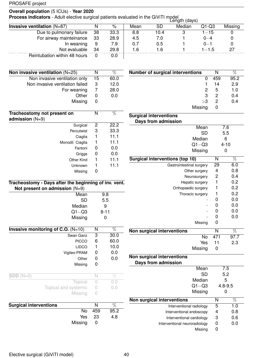### **Overall population** (5 ICUs) - **Year 2020**

**Process indicators** - Adult elective surgical patients evaluated in the GiViTI model<br>**Process indicators** - Adult elective surgical patients evaluated in the GiViTI model

|                               |     |      |      |      | Luigui (uayo) |           |         |
|-------------------------------|-----|------|------|------|---------------|-----------|---------|
| Invasive ventilation $(N=87)$ |     | %    | Mean | SD   | Median        | $Q1-Q3$   | Missing |
| Due to pulmonary failure      | -38 | 33.3 | 8.8  | 10.4 |               | $1 - 15$  |         |
| For airway mainteinance       | 33  | 28.9 | 4.5  | 7.0  |               | $0 - 4$   |         |
| In weaning                    | 9   | 7.9  | 0.7  | 0.5  |               | $0 - 1$   |         |
| Not evaluable                 | 34  | 29.8 | 1.6  | 1.6  |               | $1 - 1.5$ |         |
| Reintubation within 48 hours  |     | 0.0  |      |      |               |           |         |

| Non invasive ventilation $(N=25)$                                                         | N              | %    |
|-------------------------------------------------------------------------------------------|----------------|------|
| Non invasive ventilation only                                                             | 15             | 60.0 |
| Non invasive ventilation failed                                                           | 3              | 12.0 |
| For weaning                                                                               | $\overline{7}$ | 28.0 |
| Other                                                                                     | 0              | 0.0  |
| Missing                                                                                   | 0              |      |
| Tracheostomy not present on                                                               | N              | %    |
| admission $(N=9)$                                                                         |                |      |
| Surgical                                                                                  | 2              | 22.2 |
| Percutwist                                                                                | 3              | 33.3 |
| Ciaglia                                                                                   | 1              | 11.1 |
| Monodil. Ciaglia                                                                          | 1              | 11.1 |
| Fantoni                                                                                   | 0              | 0.0  |
| Griggs                                                                                    | 0              | 0.0  |
| Other Kind                                                                                | 1              | 11.1 |
| Unknown                                                                                   | 1              | 11.1 |
| Missing                                                                                   | 0              |      |
| Tracheostomy - Days after the beginning of inv. vent.<br>Not present on admission $(N=9)$ |                |      |
| Mean                                                                                      |                | 9.8  |
|                                                                                           |                |      |

| <b>SD</b>                            |             | 5.5      |
|--------------------------------------|-------------|----------|
| Median                               |             | 9        |
| $Q1 - Q3$                            |             | $8 - 11$ |
| Missing                              |             | 0        |
| Invasive monitoring of C.O. $(N=10)$ | N           | %        |
| Swan Ganz                            | 3           | 30.0     |
| <b>PICCO</b>                         | 6           | 60.0     |
| <b>LIDCO</b>                         | 1           | 10.0     |
| Vigileo-PRAM                         | 0           | 0.0      |
| Other                                | 0           | 0.0      |
| Missing                              | 0           |          |
| $SDD(N=0)$                           | $\mathbb N$ | $\%$     |
| Topical                              | $\sqrt{a}$  | 0.0      |
| Topical and systemic                 | 0           | 0.0      |
| Missing                              | 0           |          |
| <b>Surgical interventions</b>        | N           | %        |
| No                                   | 459         | 95.2     |
| Yes                                  | 23          | 4.8      |

Missing 0

| <b>Number of surgical interventions</b> |    | N             | %    |
|-----------------------------------------|----|---------------|------|
|                                         | ŋ  | 459           | 95.2 |
|                                         | 1  | 14            | 2.9  |
|                                         | 2  | 5             | 1.0  |
|                                         | 3  | 2             | 0.4  |
|                                         | >3 | $\mathcal{P}$ | 0.4  |
| Missing                                 |    |               |      |

| <b>Surgical interventions</b>                     |     |                 |
|---------------------------------------------------|-----|-----------------|
| Days from admission                               |     |                 |
| Mean                                              |     | 7.6             |
| <b>SD</b>                                         |     | 5.5             |
| Median                                            |     | 6               |
| $Q1 - Q3$                                         |     | $4 - 10$        |
| Missing                                           |     | 0               |
| <b>Surgical interventions (top 10)</b>            | N   | %               |
| Gastrointestinal surgery                          | 29  | 6.0             |
| Other surgery                                     | 4   | 0.8             |
| Neurosurgery                                      | 2   | 0.4             |
| Hepatic surgery                                   | 1   | 0.2             |
| Orthopaedic surgery                               | 1   | 0.2             |
| Thoracic surgery                                  | 1   | 0.2             |
|                                                   | 0   | 0.0             |
|                                                   | 0   | 0.0             |
|                                                   | 0   | 0.0             |
|                                                   | ი   | 0.0             |
| Missing                                           | 0   |                 |
| Non surgical interventions                        | N   | $\overline{\%}$ |
| <b>No</b>                                         | 471 | 97.7            |
| Yes                                               | 11  | 2.3             |
| Missing                                           | 0   |                 |
| Non surgical interventions<br>Days from admission |     |                 |

| Mean                          |   | 7.5         |
|-------------------------------|---|-------------|
| SD                            |   | 5.2         |
| Median                        |   | 5           |
| $Q1 - Q3$                     |   | $4.8 - 9.5$ |
| Missing                       |   |             |
| Non surgical interventions    | N | $\%$        |
| Interventional radiology      | 5 | 1.0         |
| Interventional endoscopy      | 4 | 0.8         |
| Interventional cardiology     | 3 | 0.6         |
| Interventional neuroradiology | 0 | 0.0         |
| Missing                       |   |             |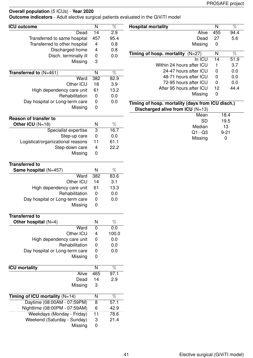**Outcome indicators** - Adult elective surgical patients evaluated in the GiViTI model

| <b>ICU outcome</b>                | N                         | $\overline{\%}$ | <b>Hospital mortality</b>                        | $\overline{N}$  | $\overline{\%}$ |
|-----------------------------------|---------------------------|-----------------|--------------------------------------------------|-----------------|-----------------|
| Dead                              | 14                        | 2.9             | Alive                                            | 455             | 94.4            |
| Transferred to same hospital      | 457                       | 95.4            | Dead                                             | 27              | 5.6             |
| Transferred to other hospital     | 4                         | 0.8             | Missing                                          | $\pmb{0}$       |                 |
| Discharged home                   | 4                         | 0.8             |                                                  | $\mathsf{N}$    | $\overline{\%}$ |
| Disch. terminally ill             | $\pmb{0}$                 | 0.0             | Timing of hosp. mortality (N=27)<br>In ICU       | $\overline{14}$ | 51.9            |
| Missing                           | 3                         |                 | Within 24 hours after ICU                        | 1               | 3.7             |
|                                   |                           |                 | 24-47 hours after ICU                            | $\mathbf 0$     | 0.0             |
| Transferred to $(N=461)$          | $\mathsf{N}$              | $\overline{\%}$ | 48-71 hours after ICU                            | 0               | 0.0             |
| Ward                              | 382                       | 82.9            | 72-95 hours after ICU                            | 0               | 0.0             |
| Other ICU                         | 18                        | 3.9             | After 95 hours after ICU                         | 12              | 44.4            |
| High dependency care unit         | 61                        | 13.2            | Missing                                          | $\pmb{0}$       |                 |
| Rehabilitation                    | $\mathbf 0$               | 0.0             |                                                  |                 |                 |
| Day hospital or Long-term care    | $\boldsymbol{0}$          | 0.0             | Timing of hosp. mortality (days from ICU disch.) |                 |                 |
| Missing                           | 0                         |                 | Discharged alive from ICU (N=13)                 |                 |                 |
| <b>Reason of transfer to</b>      |                           |                 | Mean                                             |                 | 18.4            |
|                                   |                           |                 | <b>SD</b>                                        |                 | 19.5            |
| Other ICU (N=18)                  | N                         | $\%$            | Median                                           |                 | 13              |
| Specialist expertise              | $\overline{3}$            | 16.7            | $Q1 - Q3$                                        |                 | $9 - 21$        |
| Step-up care                      | $\mathbf 0$               | 0.0             | Missing                                          |                 | $\mathbf 0$     |
| Logistical/organizational reasons | 11                        | 61.1            |                                                  |                 |                 |
| Step-down care                    | 4                         | 22.2            |                                                  |                 |                 |
| Missing                           | 0                         |                 |                                                  |                 |                 |
| <b>Transferred to</b>             |                           |                 |                                                  |                 |                 |
| Same hospital (N=457)             | $\mathsf{N}$              | $\%$            |                                                  |                 |                 |
| Ward                              | 382                       | 83.6            |                                                  |                 |                 |
| Other ICU                         | 14                        | 3.1             |                                                  |                 |                 |
| High dependency care unit         | 61                        | 13.3            |                                                  |                 |                 |
| Rehabilitation                    | $\boldsymbol{0}$          | 0.0             |                                                  |                 |                 |
| Day hospital or Long-term care    | $\boldsymbol{0}$          | 0.0             |                                                  |                 |                 |
| Missing                           | 0                         |                 |                                                  |                 |                 |
|                                   |                           |                 |                                                  |                 |                 |
| <b>Transferred to</b>             |                           |                 |                                                  |                 |                 |
| Other hospital $(N=4)$            | $\mathsf{N}$              | $\%$            |                                                  |                 |                 |
| Ward                              | $\pmb{0}$                 | 0.0             |                                                  |                 |                 |
| Other ICU                         | 4                         | 100.0           |                                                  |                 |                 |
| High dependency care unit         | 0                         | 0.0             |                                                  |                 |                 |
| Rehabilitation                    | 0                         | 0.0             |                                                  |                 |                 |
| Day hospital or Long-term care    | $\boldsymbol{0}$          | 0.0             |                                                  |                 |                 |
| Missing                           | 0                         |                 |                                                  |                 |                 |
|                                   |                           |                 |                                                  |                 |                 |
| <b>ICU mortality</b>              | $\mathsf{N}$              | $\overline{\%}$ |                                                  |                 |                 |
| Alive                             | 465                       | 97.1            |                                                  |                 |                 |
| Dead                              | 14                        | 2.9             |                                                  |                 |                 |
| Missing                           | $\ensuremath{\mathsf{3}}$ |                 |                                                  |                 |                 |
|                                   |                           |                 |                                                  |                 |                 |
| Timing of ICU mortality $(N=14)$  | N                         | $\overline{\%}$ |                                                  |                 |                 |
| Daytime (08:00AM - 07:59PM)       | $\overline{8}$            | 57.1            |                                                  |                 |                 |
| Nighttime (08:00PM - 07:59AM)     | 6                         | 42.9            |                                                  |                 |                 |
| Weekdays (Monday - Friday)        | 11                        | 78.6            |                                                  |                 |                 |
| Weekend (Saturday - Sunday)       | 3                         | 21.4            |                                                  |                 |                 |
| Missing                           | $\mathbf 0$               |                 |                                                  |                 |                 |
|                                   |                           |                 |                                                  |                 |                 |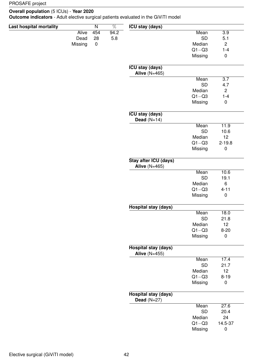#### **Overall population** (5 ICUs) - **Year 2020**

**Outcome indicators** - Adult elective surgical patients evaluated in the GiViTI model

| Last hospital mortality |              | $\overline{\mathsf{N}}$ | $\overline{\%}$ | <b>ICU stay (days)</b>                        |           |                  |
|-------------------------|--------------|-------------------------|-----------------|-----------------------------------------------|-----------|------------------|
|                         | <b>Alive</b> | 454                     | 94.2            |                                               | Mean      | $\overline{3.9}$ |
|                         | Dead         | 28                      | 5.8             |                                               | <b>SD</b> | 5.1              |
|                         | Missing      | $\pmb{0}$               |                 |                                               | Median    | $\overline{c}$   |
|                         |              |                         |                 |                                               | $Q1 - Q3$ | $1 - 4$          |
|                         |              |                         |                 |                                               | Missing   | $\pmb{0}$        |
|                         |              |                         |                 |                                               |           |                  |
|                         |              |                         |                 | <b>ICU stay (days)</b><br>Alive $(N=465)$     |           |                  |
|                         |              |                         |                 |                                               | Mean      | $\overline{3.7}$ |
|                         |              |                         |                 |                                               | <b>SD</b> | 4.7              |
|                         |              |                         |                 |                                               | Median    | $\overline{c}$   |
|                         |              |                         |                 |                                               | $Q1 - Q3$ | $1 - 4$          |
|                         |              |                         |                 |                                               | Missing   | $\pmb{0}$        |
|                         |              |                         |                 | <b>ICU stay (days)</b><br>Dead $(N=14)$       |           |                  |
|                         |              |                         |                 |                                               | Mean      | 11.9             |
|                         |              |                         |                 |                                               | <b>SD</b> | 10.6             |
|                         |              |                         |                 |                                               | Median    | 12               |
|                         |              |                         |                 |                                               | $Q1 - Q3$ | $2 - 19.8$       |
|                         |              |                         |                 |                                               | Missing   | $\pmb{0}$        |
|                         |              |                         |                 | Stay after ICU (days)<br><b>Alive (N=465)</b> |           |                  |
|                         |              |                         |                 |                                               | Mean      | 10.6             |
|                         |              |                         |                 |                                               | <b>SD</b> | 19.1             |
|                         |              |                         |                 |                                               | Median    | $\,6\,$          |
|                         |              |                         |                 |                                               | $Q1 - Q3$ | $4 - 11$         |
|                         |              |                         |                 |                                               | Missing   | $\pmb{0}$        |
|                         |              |                         |                 | <b>Hospital stay (days)</b>                   |           |                  |
|                         |              |                         |                 |                                               | Mean      | 18.0             |
|                         |              |                         |                 |                                               | <b>SD</b> | 21.8             |
|                         |              |                         |                 |                                               | Median    | 12               |
|                         |              |                         |                 |                                               | $Q1 - Q3$ | $8 - 20$         |
|                         |              |                         |                 |                                               | Missing   | $\mathbf 0$      |
|                         |              |                         |                 | Hospital stay (days)<br>Alive $(N=455)$       |           |                  |
|                         |              |                         |                 |                                               | Mean      | 17.4             |
|                         |              |                         |                 |                                               | SD        | 21.7             |
|                         |              |                         |                 |                                               | Median    | 12               |
|                         |              |                         |                 |                                               | $Q1 - Q3$ | $8 - 19$         |
|                         |              |                         |                 |                                               | Missing   | $\pmb{0}$        |
|                         |              |                         |                 | <b>Hospital stay (days)</b><br>Dead $(N=27)$  |           |                  |
|                         |              |                         |                 |                                               | Mean      | 27.6             |
|                         |              |                         |                 |                                               | <b>SD</b> | 20.4             |
|                         |              |                         |                 |                                               | Median    | 24               |
|                         |              |                         |                 |                                               | $Q1 - Q3$ | 14.5-37          |
|                         |              |                         |                 |                                               | Missing   | $\pmb{0}$        |
|                         |              |                         |                 |                                               |           |                  |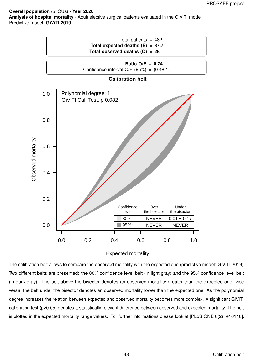**Overall population** (5 ICUs) - **Year 2020 Analysis of hospital mortality** - Adult elective surgical patients evaluated in the GiViTI model Predictive model: **GiViTI 2019**



#### Expected mortality

The calibration belt allows to compare the observed mortality with the expected one (predictive model: GiViTI 2019). Two different belts are presented: the 80% confidence level belt (in light gray) and the 95% confidence level belt (in dark gray). The belt above the bisector denotes an observed mortality greater than the expected one; vice versa, the belt under the bisector denotes an observed mortality lower than the expected one. As the polynomial degree increases the relation between expected and observed mortality becomes more complex. A significant GiViTI calibration test (p<0.05) denotes a statistically relevant difference between observed and expected mortality. The belt is plotted in the expected mortality range values. For further informations please look at [PLoS ONE 6(2): e16110].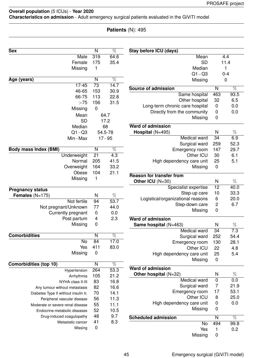### **Overall population** (5 ICUs) - **Year 2020 Characteristics on admission** - Adult emergency surgical patients evaluated in the GiViTI model

### **Patients** (N): 495

| <b>Sex</b>                           | N                | $\overline{\%}$  | Stay before ICU (days)            |                  |                 |
|--------------------------------------|------------------|------------------|-----------------------------------|------------------|-----------------|
| Male                                 | 319              | 64.6             | Mean                              |                  | 4.4             |
| Female                               | 175              | 35.4             | <b>SD</b>                         |                  | 11.4            |
| Missing                              | 1                |                  | Median                            |                  | 1               |
|                                      |                  |                  | $Q1 - Q3$                         |                  | $0 - 4$         |
| Age (years)                          | N                | $\overline{\%}$  | Missing                           |                  | $\mathbf 0$     |
| $17 - 45$                            | 73               | 14.7             | <b>Source of admission</b>        | $\mathsf{N}$     | $\overline{\%}$ |
| 46-65                                | 153              | 30.9             | Same hospital                     | 463              | 93.5            |
| 66-75                                | 113              | 22.8             | Other hospital                    | 32               | 6.5             |
| >75                                  | 156              | 31.5             | Long-term chronic care hospital   | $\mathbf 0$      | 0.0             |
| Missing                              | $\mathbf 0$      |                  | Directly from the community       | $\mathbf 0$      | 0.0             |
| Mean                                 |                  | 64.7             | Missing                           | $\mathbf 0$      |                 |
| <b>SD</b>                            |                  | 17.2             |                                   |                  |                 |
| Median                               |                  | 68               | <b>Ward of admission</b>          |                  |                 |
| $Q1 - Q3$                            |                  | 54.5-78          | Hospital (N=495)                  | N                | $\%$            |
| Min-Max                              |                  | $17 - 95$        | Medical ward                      | $\overline{34}$  | 6.9             |
|                                      |                  |                  | Surgical ward                     | 259              | 52.3            |
| <b>Body mass Index (BMI)</b>         | N                | $\overline{\%}$  | Emergency room                    | 147              | 29.7            |
| Underweight                          | $\overline{21}$  | $\overline{4.3}$ | Other ICU                         | 30               | 6.1             |
| Normal                               | 205              | 41.5             | High dependency care unit         | 25               | 5.1             |
| Overweight                           | 164              | 33.2             | Missing                           | $\mathbf 0$      |                 |
| Obese                                | 104              | 21.1             |                                   |                  |                 |
| Missing                              | 1                |                  | <b>Reason for transfer from</b>   |                  |                 |
|                                      |                  |                  | Other ICU (N=30)                  | N                | $\%$            |
| <b>Pregnancy status</b>              |                  |                  | Specialist expertise              | 12               | 40.0            |
| Females $(N=175)$                    | N                | $\%$             | Step-up care                      | 10               | 33.3            |
| Not fertile                          | 94               | 53.7             | Logistical/organizational reasons | 6                | 20.0            |
| Not pregnant/Unknown                 | 77               | 44.0             | Step-down care                    | $\overline{c}$   | 6.7             |
| Currently pregnant                   | $\mathbf 0$      | 0.0              | Missing                           | $\mathbf 0$      |                 |
| Post partum                          | 4                | 2.3              | <b>Ward of admission</b>          |                  |                 |
| Missing                              | 0                |                  | Same hospital (N=463)             | N                | $\%$            |
|                                      |                  |                  | Medical ward                      | $\overline{34}$  | 7.3             |
| <b>Comorbidities</b>                 | N                | $\overline{\%}$  | Surgical ward                     | 252              | 54.4            |
| <b>No</b>                            | 84               | 17.0             | Emergency room                    | 130              | 28.1            |
| Yes                                  | 411              | 83.0             | Other ICU                         | 22               | 4.8             |
| Missing                              | $\pmb{0}$        |                  | High dependency care unit         | 25               | 5.4             |
|                                      |                  |                  | Missing                           | $\mathbf 0$      |                 |
| <b>Comorbidities (top 10)</b>        | N                | $\overline{\%}$  |                                   |                  |                 |
| Hypertension                         | 264              | 53.3             | <b>Ward of admission</b>          |                  |                 |
| Arrhythmia                           | 105              | 21.2             | Other hospital (N=32)             | N                | %               |
| NYHA class II-III                    | 83               | 16.8             | Medical ward                      | $\pmb{0}$        | 0.0             |
| Any tumour without metastasis        | 82               | 16.6             | Surgical ward                     | $\overline{7}$   | 21.9            |
| Diabetes Type II without insulin tr. | 70               | 14.1             | Emergency room                    | 17               | 53.1            |
| Peripheral vascular disease          | 56               | 11.3             | Other ICU                         | 8                | 25.0            |
| Moderate or severe renal disease     | 55               | 11.1             | High dependency care unit         | $\boldsymbol{0}$ | 0.0             |
| Endocrine-metabolic diseases         | 52               | 10.5             | Missing                           | 0                |                 |
| Drug-induced coagulopathy            | 48               | 9.7              |                                   |                  |                 |
| Metastatic cancer                    | 41               | 8.3              | <b>Scheduled admission</b>        | N                | $\overline{\%}$ |
| Missing                              | $\boldsymbol{0}$ |                  | No                                | 494              | 99.8            |
|                                      |                  |                  | Yes                               | 1                | 0.2             |
|                                      |                  |                  | Missing                           | $\boldsymbol{0}$ |                 |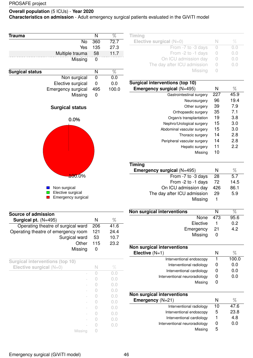**Characteristics on admission** - Adult emergency surgical patients evaluated in the GiViTI model

| Trauma                 | N   | $\overline{\%}$ |
|------------------------|-----|-----------------|
| <b>No</b>              | 360 | 72.7            |
| Yes                    | 135 | 27.3            |
| Multiple trauma        | 58  | 11.7            |
| Missing                | 0   |                 |
|                        |     |                 |
| <b>Surgical status</b> | N   | %               |
| Non surgical           | 0   | 0.0             |
| Elective surgical      | 0   | 0.0             |
| Emergency surgical     | 495 | 100.0           |
| Missing                | 0   |                 |
| <b>Surgical status</b> |     |                 |
| 0.0%                   |     |                 |
|                        |     |                 |
|                        |     |                 |
|                        |     |                 |
|                        |     |                 |
|                        |     |                 |
|                        |     |                 |
|                        |     |                 |

| <b>Tall</b>                                                                                                           | Non surgical              |
|-----------------------------------------------------------------------------------------------------------------------|---------------------------|
|                                                                                                                       | Elective surgical         |
| <b>The Contract of the Contract of the Contract of the Contract of the Contract of the Contract of the Contract o</b> | <b>Emergency surgical</b> |
|                                                                                                                       |                           |

100.0%

| <b>Timing</b>               |      |     |
|-----------------------------|------|-----|
| Elective surgical $(N=0)$   | - IN | Vn. |
| From -7 to -3 days          |      | 0.0 |
| From -2 to -1 days          |      | 0.0 |
| On ICU admission day        |      | 0.0 |
| The day after ICU admission |      | 0.0 |
| Missing                     |      |     |

| Surgical interventions (top 10) |     |      |
|---------------------------------|-----|------|
| Emergency surgical (N=495)      | N   | %    |
| Gastrointestinal surgery        | 227 | 45.9 |
| Neurosurgery                    | 96  | 19.4 |
| Other surgery                   | 39  | 7.9  |
| Orthopaedic surgery             | 35  | 7.1  |
| Organ/s transplantation         | 19  | 3.8  |
| Nephro/Urological surgery       | 15  | 3.0  |
| Abdominal vascular surgery      | 15  | 3.0  |
| Thoracic surgery                | 14  | 2.8  |
| Peripheral vascular surgery     | 14  | 2.8  |
| Hepatic surgery                 | 11  | 22   |
| Missing                         | 10  |      |
|                                 |     |      |

| <b>Timing</b>               |     |      |
|-----------------------------|-----|------|
| Emergency surgical (N=495)  | N   | %    |
| From -7 to -3 days          | 28  | 5.7  |
| From -2 to -1 days          | 72  | 14.5 |
| On ICU admission day        | 426 | 86.1 |
| The day after ICU admission | 29  | 5.9  |
| Missing                     |     |      |

| Non surgical interventions |    |      |
|----------------------------|----|------|
| None 473                   |    | 95.6 |
| Elective                   |    | 0.2  |
| Emergency                  | 21 | 4.2  |
| Missing                    |    |      |

| Non surgical interventions    |   |       |
|-------------------------------|---|-------|
| Elective $(N=1)$              | N | %     |
| Interventional endoscopy      |   | 100.0 |
| Interventional radiology      | O | 0.0   |
| Interventional cardiology     | 0 | 0.0   |
| Interventional neuroradiology | O | 0.0   |
| Missing                       |   |       |
|                               |   |       |

| Non surgical interventions    |    |      |
|-------------------------------|----|------|
| <b>Emergency</b> $(N=21)$     | N  | %    |
| Interventional radiology      | 10 | 47.6 |
| Interventional endoscopy      | 5  | 23.8 |
| Interventional cardiology     |    | 4.8  |
| Interventional neuroradiology | O  | 0.0  |
| Missing                       | ხ  |      |

| Source of admission                 |     |      |
|-------------------------------------|-----|------|
| Surgical pt. $(N=495)$              | N   | %    |
| Operating theatre of surgical ward  | 206 | 41.6 |
| Operating theatre of emergency room | 121 | 24.4 |
| Surgical ward                       | 53  | 10.7 |
| Other                               | 115 | 23.2 |
| Missing                             |     |      |

| <b>Surgical interventions (top 10)</b> |   |         |
|----------------------------------------|---|---------|
| Elective surgical $(N=0)$              | N | $\%$    |
|                                        |   | ( ) ( ) |
|                                        |   | D.O     |
|                                        |   |         |
|                                        |   |         |
|                                        |   | 0.0     |
|                                        |   | 0.0     |
|                                        |   | ( ) ( ) |
|                                        |   | D.O     |
|                                        |   | D.O     |
|                                        |   |         |
| Missing                                |   |         |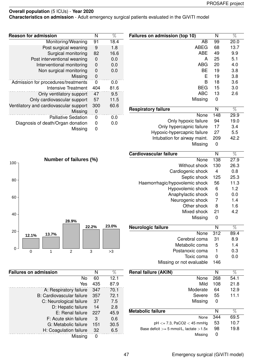**Characteristics on admission** - Adult emergency surgical patients evaluated in the GiViTI model

| $\overline{\%}$ | Failures on admission (top 10)              | N                       | $\overline{\%}$ |  |  |  |  |  |
|-----------------|---------------------------------------------|-------------------------|-----------------|--|--|--|--|--|
| 18.4            | AB                                          | 99                      | 20.0            |  |  |  |  |  |
| 1.8             | 68<br><b>ABEG</b><br>13.7                   |                         |                 |  |  |  |  |  |
|                 |                                             |                         |                 |  |  |  |  |  |
| 16.6            | <b>ABE</b>                                  | 49                      | 9.9             |  |  |  |  |  |
| 0.0             | A                                           | 25                      | 5.1             |  |  |  |  |  |
| 0.0             | <b>ABG</b>                                  | 20                      | 4.0             |  |  |  |  |  |
| 0.0             | <b>BE</b>                                   | 19                      | 3.8             |  |  |  |  |  |
|                 | Ε                                           | 19                      | 3.8             |  |  |  |  |  |
| 0.0             | B                                           | 18                      | 3.6             |  |  |  |  |  |
|                 |                                             | 15                      |                 |  |  |  |  |  |
| 81.6            | <b>BEG</b>                                  | 3.0                     |                 |  |  |  |  |  |
| 9.5             | <b>ABC</b>                                  | 13                      | 2.6             |  |  |  |  |  |
| 11.5            | Missing                                     | 0                       |                 |  |  |  |  |  |
| 60.6            |                                             |                         |                 |  |  |  |  |  |
|                 | <b>Respiratory failure</b>                  | $\overline{N}$          | $\overline{\%}$ |  |  |  |  |  |
| 0.0             | None                                        | 148                     | 29.9            |  |  |  |  |  |
|                 | Only hypoxic failure                        | 94                      | 19.0            |  |  |  |  |  |
| 0.0             | Only hypercapnic failure                    | 17                      | 3.4             |  |  |  |  |  |
|                 | Hypoxic-hypercapnic failure                 | 27                      | 5.5             |  |  |  |  |  |
|                 |                                             |                         |                 |  |  |  |  |  |
|                 | Intubation for airway maint.                | 209                     | 42.2            |  |  |  |  |  |
|                 | Missing                                     | $\mathbf 0$             |                 |  |  |  |  |  |
|                 |                                             |                         |                 |  |  |  |  |  |
|                 | Cardiovascular failure                      | N                       | %               |  |  |  |  |  |
|                 | None                                        | 138                     | 27.9            |  |  |  |  |  |
|                 | Without shock                               | 130                     | 26.3            |  |  |  |  |  |
|                 | Cardiogenic shock                           | $\overline{4}$          | 0.8             |  |  |  |  |  |
|                 | Septic shock                                | 125                     | 25.3            |  |  |  |  |  |
|                 |                                             |                         |                 |  |  |  |  |  |
|                 | Haemorrhagic/hypovolemic shock              | 56                      | 11.3            |  |  |  |  |  |
|                 | Hypovolemic shock                           | 6                       | 1.2             |  |  |  |  |  |
|                 | Anaphylactic shock                          | 0                       | 0.0             |  |  |  |  |  |
|                 | Neurogenic shock                            | $\overline{7}$          | 1.4             |  |  |  |  |  |
|                 | Other shock                                 | 8                       | 1.6             |  |  |  |  |  |
|                 | Mixed shock                                 | 21                      | 4.2             |  |  |  |  |  |
|                 |                                             |                         |                 |  |  |  |  |  |
|                 | Missing                                     | 0                       |                 |  |  |  |  |  |
| 23.0%           | Neurologic failure                          | N                       | %               |  |  |  |  |  |
|                 | None                                        | 312                     | 89.4            |  |  |  |  |  |
|                 |                                             |                         |                 |  |  |  |  |  |
|                 | Cerebral coma                               | 31                      | 8.9             |  |  |  |  |  |
|                 | Metabolic coma                              | 5                       | 1.4             |  |  |  |  |  |
| >3              | Postanoxic coma                             | 1                       | 0.3             |  |  |  |  |  |
|                 | Toxic coma                                  | $\mathbf 0$             | 0.0             |  |  |  |  |  |
|                 | Missing or not evaluable                    | 146                     |                 |  |  |  |  |  |
|                 |                                             |                         |                 |  |  |  |  |  |
| %               | <b>Renal failure (AKIN)</b>                 | $\overline{\mathsf{N}}$ | $\overline{\%}$ |  |  |  |  |  |
| 12.1            | None                                        | 268                     | 54.1            |  |  |  |  |  |
| 87.9            | Mild                                        | 108                     | 21.8            |  |  |  |  |  |
| 70.1            | Moderate                                    | 64                      | 12.9            |  |  |  |  |  |
|                 |                                             |                         |                 |  |  |  |  |  |
| 72.1            | Severe                                      | 55                      | 11.1            |  |  |  |  |  |
| 7.5             | Missing                                     | 0                       |                 |  |  |  |  |  |
| 2.8             |                                             |                         |                 |  |  |  |  |  |
| 45.9            | <b>Metabolic failure</b>                    | N                       | $\overline{\%}$ |  |  |  |  |  |
| 0.6             | None                                        | 344                     | 69.5            |  |  |  |  |  |
| 30.5            | $pH \le 7.3$ , PaCO2 $<$ 45 mmHg            | 53                      | 10.7            |  |  |  |  |  |
|                 | Base deficit $>= 5$ mmol/L, lactate $>1.5x$ | 98                      | 19.8            |  |  |  |  |  |
| 6.5             |                                             | 0                       |                 |  |  |  |  |  |
|                 | Missing                                     |                         |                 |  |  |  |  |  |

| <b>Reason for admission</b>            | N        | $\%$ |
|----------------------------------------|----------|------|
| Monitoring/Weaning                     | 91       | 18.4 |
| Post surgical weaning                  | 9        | 1.8  |
| Surgical monitoring                    | 82       | 16.6 |
| Post interventional weaning            | 0        | 0.0  |
| Interventional monitoring              | 0        | 0.0  |
| Non surgical monitoring                | 0        | 0.0  |
| Missing                                | 0        |      |
| Admission for procedures/treatments    | $\Omega$ | 0.0  |
| <b>Intensive Treatment</b>             | 404      | 81.6 |
| Only ventilatory support               | 47       | 9.5  |
| Only cardiovascular support            | 57       | 11.5 |
| Ventilatory and cardiovascular support |          | 60.6 |
| Missing                                | 0        |      |
| <b>Palliative Sedation</b>             | 0        | 0.0  |
| Diagnosis of death/Organ donation      | 0        | 0.O  |
| Missing                                | ი        |      |



| <b>Failures on admission</b>     | N   | $\%$ |
|----------------------------------|-----|------|
| No                               | 60  | 12.1 |
| Yes                              | 435 | 87.9 |
| A: Respiratory failure           | 347 | 70.1 |
| <b>B: Cardiovascular failure</b> | 357 | 72.1 |
| C: Neurological failure          | 37  | 7.5  |
| D: Hepatic failure               | 14  | 2.8  |
| E: Renal failure                 | 227 | 45.9 |
| F: Acute skin failure            | 3   | 0.6  |
| G: Metabolic failure             | 151 | 30.5 |
| H: Coagulation failure           | 32  | 6.5  |
| Missing                          | O   |      |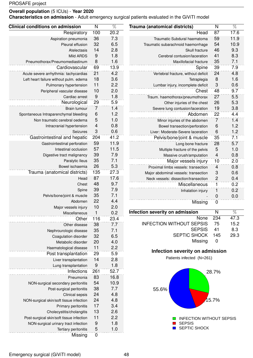**Characteristics on admission** - Adult emergency surgical patients evaluated in the GiViTI model

| <b>Clinical conditions on admission</b>  | N              | $\overline{\%}$ | Trauma (anatomical districts)        | N               | $\overline{\%}$ |
|------------------------------------------|----------------|-----------------|--------------------------------------|-----------------|-----------------|
| Respiratory                              | 100            | 20.2            | Head                                 | 87              | 17.6            |
| Aspiration pneumonia                     | 36             | 7.3             | Traumatic Subdural haematoma         | 59              | 11.9            |
| Pleural effusion                         | 32             | 6.5             | Traumatic subarachnoid haemorrhage   | 54              | 10.9            |
| Atelectasis                              | 14             | 2.8             | Skull fracture                       | 46              | 9.3             |
| Mild ARDS                                | 9              | 1.8             | Cerebral contusion/laceration        | 41              | 8.3             |
| Pneumothorax/Pneumomediastinum           | 8              | 1.6             | Maxillofacial fracture               | 35              | 7.1             |
| Cardiovascular                           | 69             | 13.9            | Spine                                | 39              | 7.9             |
| Acute severe arrhythmia: tachycardias    | 21             | 4.2             | Vertebral fracture, without deficit  | 24              | 4.8             |
| Left heart failure without pulm. edema   | 18             | 3.6             | Tetraplegia                          | 8               | 1.6             |
| Pulmonary hypertension                   | 11             | 2.2             | Lumbar injury, incomplete deficit    | 3               | 0.6             |
| Peripheral vascular disease              | 10             | 2.0             | Chest                                | 48              | 9.7             |
| Cardiac arrest                           | 9              | 1.8             | Traum. haemothorax/pneumothorax      | 27              | 5.5             |
| Neurological                             | 29             | 5.9             | Other injuries of the chest          | 26              | 5.3             |
| Brain tumour                             | $\overline{7}$ | 1.4             | Severe lung contusion/laceration     | 19              | 3.8             |
| Spontaneous Intraparenchymal bleeding    | 6              | 1.2             | Abdomen                              | 22              | 4.4             |
| Non traumatic cerebral oedema            | 5              | 1.0             | Minor injuries of the abdomen        | $\overline{7}$  | 1.4             |
| Intracranial hypertension                | $\overline{4}$ | 0.8             | Bowel transection/perforation        | $6\phantom{1}6$ | 1.2             |
| Seizures                                 | 3              | 0.6             | Liver: Moderate-Severe laceration    | $6\phantom{1}6$ | 1.2             |
| Gastrointestinal and hepatic             | 204            | 41.2            | Pelvis/bone/joint & muscle           | 35              | 7.1             |
| Gastrointestinal perforation             | 59             | 11.9            | Long bone fracture                   | 28              | 5.7             |
| Intestinal occlusion                     | 57             | 11.5            | Multiple fracture of the pelvis      | 5               | 1.0             |
| Digestive tract malignancy               | 39             | 7.9             | Massive crush/amputation             | $\overline{4}$  | 0.8             |
| Paralytic Ileus                          | 35             | 7.1             | Major vessels injury                 | 10              | 2.0             |
| Bowel ischaemia                          | 26             | 5.3             | Proximal limbs vessels: transection  | $\overline{4}$  | 0.8             |
| Trauma (anatomical districts)            | 135            | 27.3            | Major abdominal vessels: transection | $\sqrt{3}$      | 0.6             |
| Head                                     | 87             | 17.6            | Neck vessels: dissection/transection | $\overline{c}$  | 0.4             |
| Chest                                    | 48             | 9.7             | Miscellaneous                        | $\mathbf{1}$    | 0.2             |
| Spine                                    | 39             | 7.9             | Inhalation injury                    | $\mathbf{1}$    | 0.2             |
| Pelvis/bone/joint & muscle               | 35             | 7.1             |                                      | $\mathbf 0$     | 0.0             |
| Abdomen                                  | 22             | 4.4             | Missing                              | $\mathbf 0$     |                 |
| Major vessels injury                     | 10             | 2.0             |                                      |                 |                 |
| Miscellaneous                            | 1              | 0.2             | Infection severity on admission      | N               | $\%$            |
| Other                                    | 116            | 23.4            | None                                 | 234             | 47.3            |
| Other disease                            | 38             | 7.7             | <b>INFECTION WITHOUT SEPSIS</b>      | 75              | 15.2            |
| Nephrourologic disease                   | 35             | 7.1             | <b>SEPSIS</b>                        | 41              | 8.3             |
| Coagulation disorder                     | 32             | 6.5             | SEPTIC SHOCK                         | 145             | 29.3            |
| Metabolic disorder                       | 20             | 4.0             | Missing                              | $\mathbf 0$     |                 |
| Haematological disease                   | 11             | 2.2             |                                      |                 |                 |
| Post transplantation                     | 29             | 5.9             | Infection severity on admission      |                 |                 |
| Liver transplantation                    | 14             | 2.8             | Patients infected (N=261)            |                 |                 |
| Lung transplantation                     | 9              | 1.8             |                                      |                 |                 |
| Infections                               | 261            | 52.7            |                                      | 28.7%           |                 |
| Pneumonia                                | 83             | 16.8            |                                      |                 |                 |
| NON-surgical secondary peritonitis       | 54             | 10.9            |                                      |                 |                 |
| Post-surgical peritonitis                | 38             | 7.7             | 55.6%                                |                 |                 |
| Clinical sepsis                          | 24             | 4.8             |                                      |                 |                 |
| NON-surgical skin/soft tissue infection  | 24             | 4.8             |                                      | 15.7%           |                 |
| Primary peritonitis                      | 17             | 3.4             |                                      |                 |                 |
| Cholecystitis/cholangitis                | 13             | 2.6             |                                      |                 |                 |
| Post-surgical skin/soft tissue infection | 11             | 2.2             | <b>INFECTION WITHOUT SEPSIS</b>      |                 |                 |
| NON-surgical urinary tract infection     | 9              | 1.8             | <b>SEPSIS</b>                        |                 |                 |
| Tertiary peritonitis                     | 5              | 1.0             | SEPTIC SHOCK                         |                 |                 |
| Missing                                  | $\mathbf 0$    |                 |                                      |                 |                 |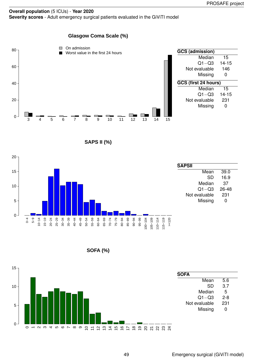#### **Overall population** (5 ICUs) - **Year 2020 Severity scores** - Adult emergency surgical patients evaluated in the GiViTI model

### **Glasgow Coma Scale (%)**



**SAPS II (%)**



**SOFA (%)**

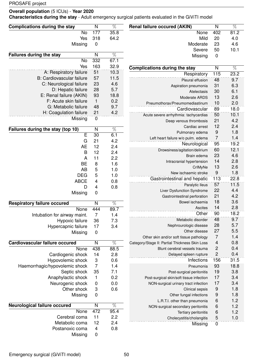### **Overall population** (5 ICUs) - **Year 2020**

**Characteristics during the stay** - Adult emergency surgical patients evaluated in the GiViTI model

| <b>Complications during the stay</b>                        | N                | $\overline{\%}$ | <b>Renal failure occured (AKIN)</b>                        | $\overline{\mathsf{N}}$ | $\overline{\%}$ |
|-------------------------------------------------------------|------------------|-----------------|------------------------------------------------------------|-------------------------|-----------------|
| <b>No</b>                                                   | 177              | 35.8            | None                                                       | 402                     | 81.2            |
| Yes                                                         | 318              | 64.2            | Mild                                                       | 20                      | 4.0             |
| Missing                                                     | $\pmb{0}$        |                 | Moderate                                                   | 23                      | 4.6             |
|                                                             |                  |                 | Severe                                                     | 50                      | 10.1            |
| <b>Failures during the stay</b>                             | N                | $\overline{\%}$ | Missing                                                    | $\mathbf 0$             |                 |
| <b>No</b>                                                   | 332              | 67.1            |                                                            |                         |                 |
| Yes                                                         | 163              | 32.9            | <b>Complications during the stay</b>                       | $\mathsf{N}$            | $\overline{\%}$ |
| A: Respiratory failure                                      | 51               | 10.3            | Respiratory                                                | $\overline{115}$        | 23.2            |
| <b>B: Cardiovascular failure</b><br>C: Neurological failure | 57               | 11.5<br>4.6     | Pleural effusion                                           | 48                      | 9.7             |
| D: Hepatic failure                                          | 23<br>28         | 5.7             | Aspiration pneumonia                                       | 31                      | 6.3             |
| E: Renal failure (AKIN)                                     | 93               | 18.8            | Atelectasis                                                | 30                      | 6.1             |
| F: Acute skin failure                                       | $\mathbf{1}$     | 0.2             | Moderate ARDS                                              | 13                      | 2.6             |
| G: Metabolic failure                                        | 48               | 9.7             | Pneumothorax/Pneumomediastinum                             | 10                      | 2.0             |
| H: Coagulation failure                                      | 21               | 4.2             | Cardiovascular                                             | 89                      | 18.0            |
| Missing                                                     | $\boldsymbol{0}$ |                 | Acute severe arrhythmia: tachycardias                      | 50                      | 10.1            |
|                                                             |                  |                 | Deep venous thrombosis                                     | 21                      | 4.2             |
| Failures during the stay (top 10)                           | N                | $\overline{\%}$ | Cardiac arrest                                             | 12                      | 2.4             |
| $\overline{\mathsf{E}}$                                     | 30               | 6.1             | Pulmonary edema                                            | 9                       | 1.8             |
| G                                                           | 21               | 4.2             | Left heart failure w/o pulm. edema                         | $\overline{7}$          | 1.4             |
| <b>AE</b>                                                   | 12               | 2.4             | Neurological                                               | 95                      | 19.2            |
| B                                                           | 12               | 2.4             | Drowsiness/agitation/delirium                              | 60                      | 12.1            |
| A                                                           | 11               | 2.2             | Brain edema                                                | 23                      | 4.6             |
| <b>BE</b>                                                   | 8                | 1.6             | Intracranial hypertension                                  | 14                      | 2.8             |
| <b>AB</b>                                                   | 5                | 1.0             | CrIMyNe                                                    | 13                      | 2.6             |
| <b>DEG</b>                                                  | 5                | 1.0             | New ischaemic stroke                                       | $\overline{9}$          | 1.8             |
| <b>ABCE</b>                                                 | 4                | 0.8             | Gastrointestinal and hepatic                               | 113                     | 22.8            |
| D                                                           | 4                | 0.8             | Paralytic Ileus                                            | 57<br>22                | 11.5<br>4.4     |
| Missing                                                     | $\mathbf 0$      |                 | Liver Dysfunction Syndrome<br>Gastrointestinal perforation | 21                      | 4.2             |
|                                                             |                  |                 | Bowel ischaemia                                            | 18                      | 3.6             |
| <b>Respiratory failure occured</b>                          | N                | $\overline{\%}$ | Ascites                                                    | 14                      | 2.8             |
| <b>None</b>                                                 | 444              | 89.7            | Other                                                      | 90                      | 18.2            |
| Intubation for airway maint.                                | 7                | 1.4             | Metabolic disorder                                         | 48                      | 9.7             |
| Hypoxic failure                                             | 36               | 7.3             | Nephrourologic disease                                     | 28                      | 5.7             |
| Hypercapnic failure<br>Missing                              | 17<br>0          | 3.4             | Other disease                                              | 27                      | 5.5             |
|                                                             |                  |                 | Other skin and/or soft tissue pathology                    | $\overline{7}$          | 1.4             |
| Cardiovascular failure occured                              | N                | $\overline{\%}$ | Category/Stage II: Partial Thickness Skin Loss             | 4                       | 0.8             |
| None                                                        | 438              | 88.5            | Blunt cerebral vessels trauma                              | $\overline{c}$          | 0.4             |
| Cardiogenic shock                                           | 14               | 2.8             | Delayed spleen rupture                                     | $\overline{c}$          | 0.4             |
| Hypovolemic shock                                           | 3                | 0.6             | Infections                                                 | 156                     | 31.5            |
| Haemorrhagic/hypovolemic shock                              | $\overline{7}$   | 1.4             | Pneumonia                                                  | 93                      | 18.8            |
| Septic shock                                                | 35               | 7.1             | Post-surgical peritonitis                                  | 19                      | 3.8             |
| Anaphylactic shock                                          | 1                | 0.2             | Post-surgical skin/soft tissue infection                   | 17                      | 3.4             |
| Neurogenic shock                                            | $\boldsymbol{0}$ | 0.0             | NON-surgical urinary tract infection                       | 17                      | 3.4             |
| Other shock                                                 | 3                | 0.6             | Clinical sepsis                                            | 9                       | 1.8             |
| Missing                                                     | 0                |                 | Other fungal infections                                    | 9                       | 1.8             |
|                                                             |                  |                 | L.R.T.I. other than pneumonia                              | 6                       | 1.2             |
| Neurological failure occured                                | N                | $\overline{\%}$ | NON-surgical secondary peritonitis                         | $6\phantom{1}6$         | 1.2             |
| None                                                        | 472              | 95.4            | Tertiary peritonitis                                       | $6\phantom{1}6$         | 1.2             |
| Cerebral coma                                               | 11               | 2.2             | Cholecystitis/cholangitis                                  | 5                       | 1.0             |
| Metabolic coma                                              | 12               | 2.4             | Missing                                                    | $\overline{0}$          |                 |
| Postanoxic coma                                             | 4                | 0.8             |                                                            |                         |                 |
| Missing                                                     | 0                |                 |                                                            |                         |                 |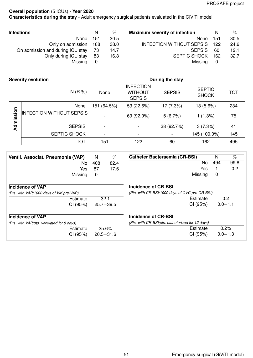**Characteristics during the stay** - Adult emergency surgical patients evaluated in the GiViTI model

| <b>Infections</b>                | N   | %    | <b>Maximum severity of infection</b> | N   | %    |
|----------------------------------|-----|------|--------------------------------------|-----|------|
| None                             | 151 | 30.5 | None                                 | 151 | 30.5 |
| Only on admission                | 188 | 38.0 | <b>INFECTION WITHOUT SEPSIS</b>      | 122 | 24.6 |
| On admission and during ICU stay | 73  | 14.7 | <b>SEPSIS</b>                        | 60  | 12.1 |
| Only during ICU stay             | 83  | 16.8 | <b>SEPTIC SHOCK</b>                  | 162 | 32.7 |
| Missing                          | 0   |      | Missing                              | 0   |      |

|           | <b>Severity evolution</b>       |                          |                                                     | During the stay |                               |            |
|-----------|---------------------------------|--------------------------|-----------------------------------------------------|-----------------|-------------------------------|------------|
|           | N(R %)                          | None                     | <b>INFECTION</b><br><b>WITHOUT</b><br><b>SEPSIS</b> | <b>SEPSIS</b>   | <b>SEPTIC</b><br><b>SHOCK</b> | <b>TOT</b> |
|           | None                            | 151 (64.5%)              | 53 (22.6%)                                          | 17 (7.3%)       | 13 (5.6%)                     | 234        |
| Admission | <b>INFECTION WITHOUT SEPSIS</b> | $\blacksquare$           | 69 (92.0%)                                          | 5(6.7%)         | 1(1.3%)                       | 75         |
|           | <b>SEPSIS</b>                   | $\overline{\phantom{a}}$ |                                                     | 38 (92.7%)      | 3(7.3%)                       | 41         |
|           | SEPTIC SHOCK                    | $\overline{\phantom{a}}$ |                                                     |                 | 145 (100.0%)                  | 145        |
|           | <b>TOT</b>                      | 151                      | 122                                                 | 60              | 162                           | 495        |

| Ventil. Associat. Pneumonia (VAP)          | N   | $\%$          | <b>Catheter Bacteraemia (CR-BSI)</b>             | N   | $\%$        |
|--------------------------------------------|-----|---------------|--------------------------------------------------|-----|-------------|
| No.                                        | 408 | 82.4          | No.                                              | 494 | 99.8        |
| Yes                                        | 87  | 17.6          | Yes                                              |     | 0.2         |
| Missing                                    | 0   |               | Missing                                          | 0   |             |
| Incidence of VAP                           |     |               | Incidence of CR-BSI                              |     |             |
| (Pts. with VAP/1000 days of VM pre-VAP)    |     |               | (Pts. with CR-BSI/1000 days of CVC pre-CR-BSI)   |     |             |
| Estimate                                   |     | 32.1          | Estimate                                         |     | 0.2         |
| CI (95%)                                   |     | $25.7 - 39.5$ | CI (95%)                                         |     | $0.0 - 1.1$ |
| <b>Incidence of VAP</b>                    |     |               | Incidence of CR-BSI                              |     |             |
| (Pts. with VAP/pts. ventilated for 8 days) |     |               | (Pts. with CR-BSI/pts. catheterized for 12 days) |     |             |
| Estimate                                   |     | 25.6%         | Estimate                                         |     | 0.2%        |
| CI (95%)                                   |     | $20.5 - 31.6$ | CI (95%)                                         |     | $0.0 - 1.3$ |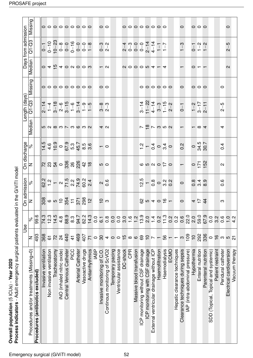| Process indicators - Adult emergency surgical patients evaluated<br>Overall population (5 ICUs) - Year 2020 |                          |                  |                                                                                                                                                           | in the GiViTI model                       |                                                                                                                                                                          |                                                     |                                                     |                                                                                                                                                                                                                                                             |                     |                                                                                    |                                                                                                                                                                                               |                     |
|-------------------------------------------------------------------------------------------------------------|--------------------------|------------------|-----------------------------------------------------------------------------------------------------------------------------------------------------------|-------------------------------------------|--------------------------------------------------------------------------------------------------------------------------------------------------------------------------|-----------------------------------------------------|-----------------------------------------------------|-------------------------------------------------------------------------------------------------------------------------------------------------------------------------------------------------------------------------------------------------------------|---------------------|------------------------------------------------------------------------------------|-----------------------------------------------------------------------------------------------------------------------------------------------------------------------------------------------|---------------------|
|                                                                                                             |                          | ⊍se              |                                                                                                                                                           | On admission                              |                                                                                                                                                                          | On discharge                                        |                                                     | Length (days)                                                                                                                                                                                                                                               |                     |                                                                                    | Days from admission                                                                                                                                                                           |                     |
| Procedures and/or treatments (Missing=0)                                                                    | ∣z                       | $\approx$        | z                                                                                                                                                         | $\approx$                                 | ∣z                                                                                                                                                                       | $\delta$                                            | Median                                              | $Q1 - Q3$                                                                                                                                                                                                                                                   | Missing             | Median                                                                             | $Q1 - Q3$                                                                                                                                                                                     | Missing             |
| Procedures (antibiotics excluded)                                                                           | 493                      | 99.6             |                                                                                                                                                           |                                           |                                                                                                                                                                          |                                                     |                                                     |                                                                                                                                                                                                                                                             |                     |                                                                                    |                                                                                                                                                                                               |                     |
| Invasive ventilation                                                                                        | 368                      | 74.3             | $\frac{1}{8}$ $\frac{1}{8}$ $\frac{1}{8}$ $\frac{1}{8}$ $\frac{1}{8}$ $\frac{1}{8}$ $\frac{1}{8}$ $\frac{1}{8}$ $\frac{1}{8}$ $\frac{1}{8}$ $\frac{1}{8}$ |                                           | $\mathbb{R}$ $\mathbb{S}$ $\mathbb{S}$ $\mathbb{S}$ $\mathbb{S}$ $\mathbb{S}$ $\mathbb{S}$ $\mathbb{S}$ $\mathbb{S}$ $\mathbb{S}$ $\mathbb{S}$ $\mathbb{S}$ $\mathbb{S}$ |                                                     |                                                     |                                                                                                                                                                                                                                                             |                     | $\overline{0}$ 4 $\overline{0}$ 4 $\overline{0}$ 6 $\overline{0}$ 6 $\overline{0}$ |                                                                                                                                                                                               |                     |
| Non invasive ventilation                                                                                    | 51                       | 12.3             |                                                                                                                                                           |                                           |                                                                                                                                                                          |                                                     |                                                     |                                                                                                                                                                                                                                                             |                     |                                                                                    |                                                                                                                                                                                               |                     |
| Tracheostomy                                                                                                | 72                       | 14.5             |                                                                                                                                                           |                                           |                                                                                                                                                                          |                                                     | 10 N 8 M N M 6 M N                                  | $\frac{1}{2}$ $\frac{1}{4}$ $\frac{1}{2}$ $\frac{1}{2}$ $\frac{1}{2}$ $\frac{1}{2}$ $\frac{1}{2}$ $\frac{1}{2}$ $\frac{1}{2}$ $\frac{1}{2}$ $\frac{1}{2}$ $\frac{1}{2}$ $\frac{1}{2}$ $\frac{1}{2}$ $\frac{1}{2}$ $\frac{1}{2}$ $\frac{1}{2}$ $\frac{1}{2}$ | 000000000           |                                                                                    |                                                                                                                                                                                               | 000000000           |
| iNO (inhaled nitric oxide)                                                                                  | $\overline{24}$          | $\frac{4}{3}$    |                                                                                                                                                           |                                           |                                                                                                                                                                          |                                                     |                                                     |                                                                                                                                                                                                                                                             |                     |                                                                                    |                                                                                                                                                                                               |                     |
| Central Venous Catheter                                                                                     | 440                      | 88.9             |                                                                                                                                                           |                                           |                                                                                                                                                                          |                                                     |                                                     |                                                                                                                                                                                                                                                             |                     |                                                                                    |                                                                                                                                                                                               |                     |
| PICC                                                                                                        | $\frac{1}{4}$            | 8.3              |                                                                                                                                                           |                                           |                                                                                                                                                                          |                                                     |                                                     |                                                                                                                                                                                                                                                             |                     |                                                                                    |                                                                                                                                                                                               |                     |
| <b>Arterial Catheter</b>                                                                                    | 469                      | 94.7             |                                                                                                                                                           |                                           |                                                                                                                                                                          |                                                     |                                                     |                                                                                                                                                                                                                                                             |                     |                                                                                    |                                                                                                                                                                                               |                     |
| Vasoactive drugs                                                                                            | 407                      | 82.2             |                                                                                                                                                           |                                           |                                                                                                                                                                          |                                                     |                                                     |                                                                                                                                                                                                                                                             |                     |                                                                                    |                                                                                                                                                                                               |                     |
| Antiarrhythmics                                                                                             | $\overline{7}$           | 14.3             |                                                                                                                                                           |                                           |                                                                                                                                                                          |                                                     |                                                     |                                                                                                                                                                                                                                                             |                     |                                                                                    |                                                                                                                                                                                               |                     |
| <b>IABP</b>                                                                                                 | $\circ$                  | 0.0              |                                                                                                                                                           |                                           |                                                                                                                                                                          |                                                     |                                                     |                                                                                                                                                                                                                                                             |                     |                                                                                    |                                                                                                                                                                                               |                     |
| Invasive monitoring of C.O.                                                                                 | 30                       | $\overline{6}$ . | ာ ပ                                                                                                                                                       | $\frac{8}{10}$                            | ს<br>ი                                                                                                                                                                   | $\overline{C}$                                      | 4 <sub>o</sub>                                      | $\begin{array}{c} 0 \\ 0 \\ 0 \end{array}$                                                                                                                                                                                                                  | $\circ$             | $ \alpha$                                                                          | $\begin{array}{c} 0 \\ -2 \\ 0 \end{array}$                                                                                                                                                   | $\circ$ $\circ$     |
| Continous monitoring of ScVO2                                                                               |                          | $0.\overline{8}$ |                                                                                                                                                           |                                           |                                                                                                                                                                          |                                                     |                                                     |                                                                                                                                                                                                                                                             |                     |                                                                                    |                                                                                                                                                                                               |                     |
| Temporary pacing                                                                                            | 400                      | 0.0              |                                                                                                                                                           |                                           |                                                                                                                                                                          |                                                     |                                                     |                                                                                                                                                                                                                                                             |                     |                                                                                    |                                                                                                                                                                                               |                     |
| Ventricular assistance                                                                                      |                          | $\overline{0}$   |                                                                                                                                                           |                                           |                                                                                                                                                                          |                                                     |                                                     |                                                                                                                                                                                                                                                             |                     |                                                                                    |                                                                                                                                                                                               |                     |
| DC-shock                                                                                                    |                          | 3.0              |                                                                                                                                                           |                                           |                                                                                                                                                                          |                                                     |                                                     |                                                                                                                                                                                                                                                             |                     |                                                                                    |                                                                                                                                                                                               |                     |
| CPR                                                                                                         | $\frac{10}{2}$ $\infty$  | 1.6              |                                                                                                                                                           |                                           |                                                                                                                                                                          |                                                     |                                                     |                                                                                                                                                                                                                                                             |                     |                                                                                    |                                                                                                                                                                                               |                     |
| Massive blood transfusion                                                                                   |                          | 1.2              |                                                                                                                                                           |                                           |                                                                                                                                                                          |                                                     |                                                     |                                                                                                                                                                                                                                                             |                     |                                                                                    |                                                                                                                                                                                               |                     |
| ICP monitoring without CSF drainage                                                                         | 69                       | 13.9             |                                                                                                                                                           |                                           |                                                                                                                                                                          |                                                     |                                                     |                                                                                                                                                                                                                                                             |                     |                                                                                    |                                                                                                                                                                                               |                     |
| ICP monitoring with CSF drainage                                                                            | $\frac{1}{2}$            | 2.0              |                                                                                                                                                           |                                           |                                                                                                                                                                          |                                                     |                                                     |                                                                                                                                                                                                                                                             |                     |                                                                                    |                                                                                                                                                                                               |                     |
| External ventricular drainage without ICP                                                                   |                          | 1.4              |                                                                                                                                                           |                                           |                                                                                                                                                                          |                                                     |                                                     |                                                                                                                                                                                                                                                             |                     |                                                                                    |                                                                                                                                                                                               |                     |
| Haemofiltration                                                                                             | $\overline{\phantom{m}}$ | 0.2              | $\frac{60}{60}$ to $\frac{4}{60}$ to $\frac{4}{60}$ to $\frac{4}{60}$ to $\frac{4}{60}$                                                                   | $\frac{1}{9} - \frac{1}{9} - \frac{1}{9}$ | $O \nightharpoonup O$ a $O$                                                                                                                                              | $\frac{1}{2} - \frac{1}{4} \circ \frac{1}{4} \circ$ | $\sim$ $\frac{\infty}{2}$ $\sim$ $\frac{\infty}{4}$ | $3-14$<br>$11-22$<br>$4-14$<br>$3-3$<br>$1-15$<br>$2-2$                                                                                                                                                                                                     | 000000              | $\begin{array}{ccccccccccccccccc}\n0 & 0 & 0 & 0 & 0 & 4 & -4 \\ \end{array}$      | $\begin{array}{c c c c c} \hline 0 & 0 & 0 & 0 & 0 & 0 & 0 \\ \hline 0 & 0 & 0 & 0 & 0 & 0 & 0 \\ \hline 0 & 0 & 0 & 0 & 0 & 0 & 0 \\ \hline 0 & 0 & 0 & 0 & 0 & 0 & 0 \\ \hline \end{array}$ | 00000000            |
| Haemodialysis                                                                                               | 56                       | 11.3             |                                                                                                                                                           |                                           |                                                                                                                                                                          |                                                     |                                                     |                                                                                                                                                                                                                                                             |                     |                                                                                    |                                                                                                                                                                                               |                     |
| ECMO                                                                                                        | $\overline{\phantom{m}}$ | 0.2              |                                                                                                                                                           |                                           |                                                                                                                                                                          |                                                     |                                                     |                                                                                                                                                                                                                                                             |                     |                                                                                    |                                                                                                                                                                                               |                     |
| Hepatic clearance techniques                                                                                | $\overline{ }$           | $0.\overline{2}$ |                                                                                                                                                           |                                           |                                                                                                                                                                          |                                                     |                                                     |                                                                                                                                                                                                                                                             |                     |                                                                                    | $-1$                                                                                                                                                                                          |                     |
| Clearance techniques during sepsis                                                                          | $\infty$                 | 0.6              |                                                                                                                                                           | $\circ$                                   | $\overline{\phantom{0}}$                                                                                                                                                 | $\frac{5}{2}$                                       | $\overline{\phantom{0}}$                            | $\overline{0}$                                                                                                                                                                                                                                              | $\circ$             |                                                                                    |                                                                                                                                                                                               | $\circ$             |
| IAP (intra-abdominal pressure)                                                                              | 109                      | 22.0             |                                                                                                                                                           |                                           |                                                                                                                                                                          |                                                     |                                                     |                                                                                                                                                                                                                                                             |                     |                                                                                    |                                                                                                                                                                                               |                     |
| Hypothermia                                                                                                 | $\overline{0}$           | 2.0              |                                                                                                                                                           | 0 0 1<br>0 0 0<br>0 0 0                   | $0,71$<br>$-152$                                                                                                                                                         | 080.7                                               | $ \infty$ 4                                         | $1 - 2$<br>$1 - 7$<br>$2 - 11$                                                                                                                                                                                                                              | $\circ \circ \circ$ | $\circ$ $\overline{ }$ $\overline{ }$ $\overline{ }$                               | $-7 - 2$<br>$-7 - 2$                                                                                                                                                                          | $\circ \circ \circ$ |
| Enteral nutrition                                                                                           | 292                      | 59.0             |                                                                                                                                                           |                                           |                                                                                                                                                                          |                                                     |                                                     |                                                                                                                                                                                                                                                             |                     |                                                                                    |                                                                                                                                                                                               |                     |
| Parenteral nutrition                                                                                        | 336                      | 67.9             |                                                                                                                                                           |                                           |                                                                                                                                                                          |                                                     |                                                     |                                                                                                                                                                                                                                                             |                     |                                                                                    |                                                                                                                                                                                               |                     |
| SDD (Topical, Topical and systemic)                                                                         | $\circ$                  | 0.0              |                                                                                                                                                           |                                           |                                                                                                                                                                          |                                                     |                                                     |                                                                                                                                                                                                                                                             |                     |                                                                                    |                                                                                                                                                                                               |                     |
| Patient restraint                                                                                           | $\frac{6}{1}$            | 3.2              |                                                                                                                                                           |                                           |                                                                                                                                                                          |                                                     |                                                     |                                                                                                                                                                                                                                                             |                     |                                                                                    |                                                                                                                                                                                               |                     |
| Peridural catheter                                                                                          | ო ო _                    | $0.\overline{6}$ | ო                                                                                                                                                         | $0.\overline{6}$                          | $\mathbf{a}$                                                                                                                                                             | 0.4                                                 | 4                                                   | ြ<br>$\mathbf{\Omega}$                                                                                                                                                                                                                                      | $\circ$             |                                                                                    |                                                                                                                                                                                               |                     |
| Electrical cardioversion                                                                                    |                          | $\frac{0}{1}$    |                                                                                                                                                           |                                           |                                                                                                                                                                          |                                                     |                                                     |                                                                                                                                                                                                                                                             |                     | $\mathbf{\Omega}$                                                                  | $2 - 5$                                                                                                                                                                                       | 0                   |
| Vacuum therapy                                                                                              |                          | 4.2              |                                                                                                                                                           |                                           |                                                                                                                                                                          |                                                     |                                                     |                                                                                                                                                                                                                                                             |                     |                                                                                    |                                                                                                                                                                                               |                     |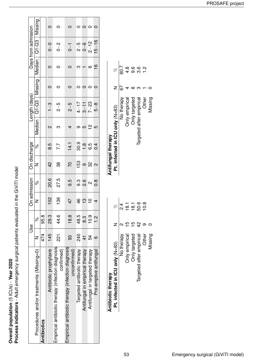Overall population (5 ICUs) - Year 2020<br>Process indicators - Adult emergency surgical patients evaluated in the GiViTI model **Process indicators** - Adult emergency surgical patients evaluated in the GiViTI model **Overall population** (5 ICUs) - **Year 2020**

|                                                                   |     | Use            |                 | On admission      |                        | On discharge  |            | Length (days) |         |               | Days from admission |         |
|-------------------------------------------------------------------|-----|----------------|-----------------|-------------------|------------------------|---------------|------------|---------------|---------|---------------|---------------------|---------|
| Procedures and/or treatments (Missing=0)   N                      |     | <sub>o</sub> c |                 | ž                 |                        | ಸಿ            | Median     | <br> C1-03    | Missing | <b>Median</b> | Q1-Q3               | Missing |
| Antibiotics                                                       | 474 | 95.8           |                 |                   |                        |               |            |               |         |               |                     |         |
| Antibiotic prophylaxis                                            | 145 | ვ.<br>მ        | 10 <sup>2</sup> | 20.6              | $\frac{2}{4}$          | 8.5           | N          | $\frac{3}{1}$ |         |               | $0-$                | c       |
| Empirical antibiotic therapy (infection diagnosis<br>confirmed)   | ដូ  | 44.6           | 136             | 27.5              | 38                     | 7.7           | ო          | $2 - 5$       |         |               | $0 - 2$             |         |
| Empirical antibiotic therapy (infection diagnosis<br>uncontirmed) | 93  | $\frac{8}{18}$ | $\frac{4}{7}$   | 9.5               | 20                     | 14.1          | 4          | $2 - 5$       |         |               | $\overline{0}$      |         |
| Targeted antibiotic therapy                                       | 240 | 48.5           | 4 m<br>13       | တ္ပ               | 153                    | 30.9          | თ          | $4 - 17$      |         |               | $\frac{5}{2}$       |         |
| Antifungal in empirical therapy                                   |     | က္ပ            |                 | 2.6               | $\infty$               | $\frac{8}{1}$ | <u>ს გ</u> | $3 - 11$      |         |               | $0 - 6$             |         |
| Antifungal in targeted therapy                                    | 54  | 10.9           | $\frac{1}{2}$   | $\mathbf{\Omega}$ | $\frac{2}{3}$ $\alpha$ | 6.5           |            | $7 - 23$      |         | ဖ             | $2 - 12$            |         |
| Pre-emptive antifungal                                            |     | $\frac{2}{1}$  |                 | o.o               |                        | $\frac{4}{1}$ | LO         | $5 - 8$       | $\circ$ | $\frac{8}{1}$ | $15 - 16$           |         |
|                                                                   |     |                |                 |                   |                        |               |            |               |         |               |                     |         |

| Antibiotic therapy              |        |                  |
|---------------------------------|--------|------------------|
| Pt. infected in ICU only (N=83) |        | R                |
| No therapy                      |        | $\frac{4}{2}$    |
| <b>Jnly empirical</b>           |        | $\overline{8}$ . |
| <b>Only targeted</b>            |        | 18.1             |
| Targeted after empirical        | 2<br>4 | 50.6             |
| Other                           |        | $\frac{8}{2}$    |
| dissing                         |        |                  |

| Antifungal therapy              |    |               |
|---------------------------------|----|---------------|
| Pt. infected in ICD only (N=83) |    | R             |
| No therapy                      | 67 | 80.7          |
| <b>Dnly empirical</b>           |    | $\frac{4}{3}$ |
| Only targeted                   |    | စ<br>၈        |
| Targeted after empirical        |    | လ<br>က        |
| Other                           |    |               |
| Viissing                        |    |               |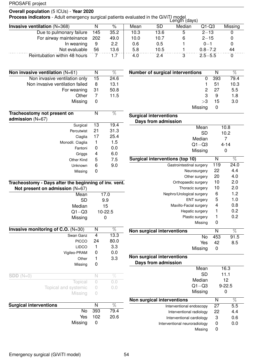### **Overall population** (5 ICUs) - **Year 2020**

**Process indicators** - Adult emergency surgical patients evaluated in the GiViTI model<br>Length (days)

|                                       |     |      |      |           | $-0.1901 (0.070)$ |             |         |
|---------------------------------------|-----|------|------|-----------|-------------------|-------------|---------|
| <b>Invasive ventilation</b> $(N=368)$ |     | %    | Mean | <b>SD</b> | Median            | $Q1-Q3$     | Missing |
| Due to pulmonary failure              | 145 | 35.2 | 10.3 | 13.6      | ხ                 | $2 - 13$    |         |
| For airway mainteinance               | 202 | 49.0 | 10.0 | 10.7      | 6                 | $2 - 15$    |         |
| In weaning                            | 9   | 2.2  | 0.6  | 0.5       |                   | $0 - 1$     |         |
| Not evaluable                         | 56  | 13.6 | 5.8  | 10.5      |                   | $0.8 - 7.2$ | 44      |
| Reintubation within 48 hours          |     |      | 4.0  | 2.4       |                   | $2.5 - 5.5$ |         |

| Non invasive ventilation $(N=61)$                     | N  | $\overline{\%}$ |
|-------------------------------------------------------|----|-----------------|
| Non invasive ventilation only                         | 15 | 24.6            |
| Non invasive ventilation failed                       | 8  | 13.1            |
| For weaning                                           | 31 | 50.8            |
| Other                                                 | 7  | 11.5            |
| Missing                                               | 0  |                 |
| Tracheostomy not present on                           | N  | %               |
| admission (N=67)                                      |    |                 |
| Surgical                                              | 13 | 19.4            |
| Percutwist                                            | 21 | 31.3            |
| Ciaglia                                               | 17 | 25.4            |
| Monodil. Ciaglia                                      | 1  | 1.5             |
| Fantoni                                               | 0  | 0.0             |
| Griggs                                                | 4  | 6.0             |
| Other Kind                                            | 5  | 7.5             |
| Unknown                                               | 6  | 9.0             |
| Missing                                               | 0  |                 |
| Tracheostomy - Days after the beginning of inv. vent. |    |                 |
| Not present on admission $(N=67)$                     |    |                 |
| Mean                                                  |    | 17.0            |
| <b>SD</b>                                             |    | 9.9             |
| Median                                                |    | 15              |
| $\mathsf{Q1}\text{--}\mathsf{Q3}$                     |    | 10-22.5         |
| Missing                                               |    | 0               |

| Invasive monitoring of C.O. (N=30) | N                | $\overline{\%}$ |
|------------------------------------|------------------|-----------------|
| Swan Ganz                          | 4                | 13.3            |
| <b>PICCO</b>                       | 24               | 80.0            |
| <b>LIDCO</b>                       |                  | 3.3             |
| Vigileo-PRAM                       | 0                | 0.0             |
| Other                              |                  | 3.3             |
| Missing                            | 0                |                 |
| $SDD(N=0)$                         | N                | %               |
| <b>Topical</b>                     |                  | 0.0             |
| Topical and systemic               | $\left( \right)$ | 0.0             |
| Missing                            |                  |                 |
| <b>Surgical interventions</b>      | N                | %               |
| No                                 | 393              | 79.4            |

| <b>Number of surgical interventions</b> |    | N   | %    |
|-----------------------------------------|----|-----|------|
|                                         |    | 393 | 79.4 |
|                                         |    | 51  | 10.3 |
|                                         | 2  | 27  | 5.5  |
|                                         | 3  | 9   | 1.8  |
|                                         | >3 | 15  | 3.0  |
| Missing                                 |    |     |      |

| <b>Surgical interventions</b><br>Days from admission |     |          |
|------------------------------------------------------|-----|----------|
| Mean                                                 |     | 10.8     |
| <b>SD</b>                                            |     | 10.2     |
| Median                                               |     | 7        |
| $Q1 - Q3$                                            |     | $4 - 14$ |
| Missing                                              |     | 0        |
| <b>Surgical interventions (top 10)</b>               | N   | %        |
| Gastrointestinal surgery                             | 119 | 24.0     |
| Neurosurgery                                         | 22  | 4.4      |
| Other surgery                                        | 20  | 4.0      |
| Orthopaedic surgery                                  | 10  | 2.0      |
| Thoracic surgery                                     | 10  | 2.0      |
| Nephro/Urological surgery                            | 6   | 1.2      |
| <b>ENT</b> surgery                                   | 5   | 1.0      |
| Maxillo-Facial surgery                               | 4   | 0.8      |
| Hepatic surgery                                      | 1   | 0.2      |
| Plastic surgery                                      | 1   | 0.2      |
| Missing                                              | 0   |          |
| Non surgical interventions                           | N   | %        |
| No                                                   | 453 | 91.5     |
| Yes                                                  | 42  | 8.5      |
| Missing                                              | 0   |          |
| Non surgical interventions                           |     |          |

| NG SUNGGERIG PERSONS<br>Days from admission |    |            |  |
|---------------------------------------------|----|------------|--|
| Mean                                        |    | 16.3       |  |
| SD                                          |    | 11.1       |  |
| Median                                      |    | 12         |  |
| $Q1 - Q3$                                   |    | $9 - 22.5$ |  |
| Missing                                     |    |            |  |
| <b>Non surgical interventions</b>           | N  | %          |  |
| Interventional endoscopy                    | 27 | 5.5        |  |
| Interventional radiology                    | 22 | 4.4        |  |
| Interventional cardiology                   | 3  | 0.6        |  |
| Interventional neuroradiology               |    | 0.0        |  |
| Missina                                     |    |            |  |

Yes 102 20.6

Missing 0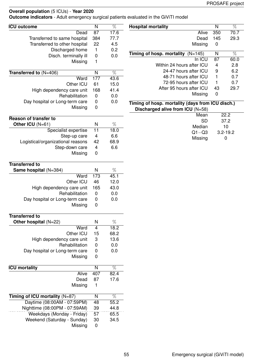**Outcome indicators** - Adult emergency surgical patients evaluated in the GiViTI model

| <b>ICU outcome</b>                | $\overline{\mathsf{N}}$   | $\overline{\%}$ | <b>Hospital mortality</b>                        | $\overline{\mathsf{N}}$ | $\overline{\%}$ |
|-----------------------------------|---------------------------|-----------------|--------------------------------------------------|-------------------------|-----------------|
| Dead                              | 87                        | 17.6            | Alive                                            | 350                     | 70.7            |
| Transferred to same hospital      | 384                       | 77.7            | Dead                                             | 145                     | 29.3            |
| Transferred to other hospital     | 22                        | 4.5             | Missing                                          | 0                       |                 |
| Discharged home                   | $\mathbf{1}$              | 0.2             | Timing of hosp. mortality $(N=145)$              | N                       | $\overline{\%}$ |
| Disch. terminally ill             | $\pmb{0}$                 | 0.0             | In ICU                                           | 87                      | 60.0            |
| Missing                           | $\mathbf{1}$              |                 | Within 24 hours after ICU                        |                         | 2.8             |
|                                   |                           |                 | 24-47 hours after ICU                            | 4                       |                 |
| Transferred to $(N=406)$          | $\overline{N}$            | $\overline{\%}$ |                                                  | 9                       | 6.2             |
| Ward                              | 177                       | 43.6            | 48-71 hours after ICU                            | 1                       | 0.7             |
| Other ICU                         | 61                        | 15.0            | 72-95 hours after ICU                            | 1                       | 0.7             |
| High dependency care unit         | 168                       | 41.4            | After 95 hours after ICU                         | 43                      | 29.7            |
| Rehabilitation                    | $\pmb{0}$                 | 0.0             | Missing                                          | 0                       |                 |
| Day hospital or Long-term care    | 0                         | 0.0             | Timing of hosp. mortality (days from ICU disch.) |                         |                 |
| Missing                           | 0                         |                 | Discharged alive from ICU (N=58)                 |                         |                 |
|                                   |                           |                 | Mean                                             |                         | 22.2            |
| <b>Reason of transfer to</b>      |                           |                 | <b>SD</b>                                        |                         | 37.2            |
| Other ICU (N=61)                  | N                         | $\%$            | Median                                           |                         | 10              |
| Specialist expertise              | $\overline{11}$           | 18.0            | $Q1 - Q3$                                        |                         | $3.2 - 19.2$    |
| Step-up care                      | $\overline{\mathbf{4}}$   | 6.6             |                                                  |                         |                 |
| Logistical/organizational reasons | 42                        | 68.9            | Missing                                          |                         | 0               |
| Step-down care                    | $\overline{4}$            | 6.6             |                                                  |                         |                 |
| Missing                           | 0                         |                 |                                                  |                         |                 |
|                                   |                           |                 |                                                  |                         |                 |
| <b>Transferred to</b>             |                           |                 |                                                  |                         |                 |
| Same hospital (N=384)             | N                         | $\%$            |                                                  |                         |                 |
| Ward                              | 173                       | 45.1            |                                                  |                         |                 |
| Other ICU                         | 46                        | 12.0            |                                                  |                         |                 |
| High dependency care unit         | 165                       | 43.0            |                                                  |                         |                 |
| Rehabilitation                    | $\pmb{0}$                 | 0.0             |                                                  |                         |                 |
| Day hospital or Long-term care    | $\boldsymbol{0}$          | 0.0             |                                                  |                         |                 |
| Missing                           | $\pmb{0}$                 |                 |                                                  |                         |                 |
|                                   |                           |                 |                                                  |                         |                 |
| <b>Transferred to</b>             |                           |                 |                                                  |                         |                 |
| Other hospital (N=22)             | N                         | $\%$            |                                                  |                         |                 |
| Ward                              | $\overline{4}$            | 18.2            |                                                  |                         |                 |
| Other ICU                         | 15                        | 68.2            |                                                  |                         |                 |
| High dependency care unit         | $\ensuremath{\mathsf{3}}$ | 13.6            |                                                  |                         |                 |
| Rehabilitation                    | 0                         | 0.0             |                                                  |                         |                 |
| Day hospital or Long-term care    | $\boldsymbol{0}$          | 0.0             |                                                  |                         |                 |
| Missing                           | 0                         |                 |                                                  |                         |                 |
|                                   |                           |                 |                                                  |                         |                 |
| <b>ICU mortality</b>              | N                         | $\overline{\%}$ |                                                  |                         |                 |
| Alive                             | 407                       | 82.4            |                                                  |                         |                 |
| Dead                              | 87                        | 17.6            |                                                  |                         |                 |
| Missing                           | 1                         |                 |                                                  |                         |                 |
|                                   |                           |                 |                                                  |                         |                 |
| Timing of ICU mortality (N=87)    | N                         | $\overline{\%}$ |                                                  |                         |                 |
| Daytime (08:00AM - 07:59PM)       | 48                        | 55.2            |                                                  |                         |                 |
| Nighttime (08:00PM - 07:59AM)     | 39                        | 44.8            |                                                  |                         |                 |
| Weekdays (Monday - Friday)        | 57                        | 65.5            |                                                  |                         |                 |
| Weekend (Saturday - Sunday)       | 30                        | 34.5            |                                                  |                         |                 |
| Missing                           | $\boldsymbol{0}$          |                 |                                                  |                         |                 |
|                                   |                           |                 |                                                  |                         |                 |
|                                   |                           |                 |                                                  |                         |                 |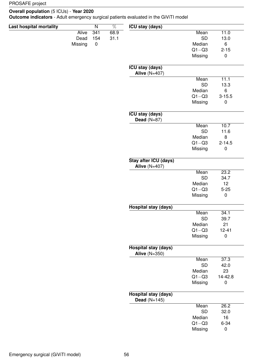### **Overall population** (5 ICUs) - **Year 2020**

**Outcome indicators** - Adult emergency surgical patients evaluated in the GiViTI model

| Last hospital mortality |              | $\overline{\mathsf{N}}$ | $\overline{\%}$ | <b>ICU stay (days)</b>                              |           |            |
|-------------------------|--------------|-------------------------|-----------------|-----------------------------------------------------|-----------|------------|
|                         | <b>Alive</b> | 341                     | 68.9            |                                                     | Mean      | 11.0       |
|                         | Dead         | 154                     | 31.1            |                                                     | <b>SD</b> | 13.0       |
|                         | Missing      | $\pmb{0}$               |                 |                                                     | Median    | 6          |
|                         |              |                         |                 |                                                     | $Q1 - Q3$ | $2 - 15$   |
|                         |              |                         |                 |                                                     | Missing   | $\pmb{0}$  |
|                         |              |                         |                 | <b>ICU stay (days)</b><br>Alive $(N=407)$           |           |            |
|                         |              |                         |                 |                                                     | Mean      | 11.1       |
|                         |              |                         |                 |                                                     | <b>SD</b> | 13.3       |
|                         |              |                         |                 |                                                     | Median    | 6          |
|                         |              |                         |                 |                                                     | $Q1 - Q3$ | $3 - 15.5$ |
|                         |              |                         |                 |                                                     | Missing   | 0          |
|                         |              |                         |                 | <b>ICU stay (days)</b><br>Dead $(N=87)$             |           |            |
|                         |              |                         |                 |                                                     | Mean      | 10.7       |
|                         |              |                         |                 |                                                     | <b>SD</b> | 11.6       |
|                         |              |                         |                 |                                                     | Median    | 8          |
|                         |              |                         |                 |                                                     | $Q1 - Q3$ | $2 - 14.5$ |
|                         |              |                         |                 |                                                     | Missing   | $\pmb{0}$  |
|                         |              |                         |                 | Stay after ICU (days)<br>Alive $(N=407)$            |           |            |
|                         |              |                         |                 |                                                     | Mean      | 23.2       |
|                         |              |                         |                 |                                                     | <b>SD</b> | 34.7       |
|                         |              |                         |                 |                                                     | Median    | 12         |
|                         |              |                         |                 |                                                     | $Q1 - Q3$ | $5 - 25$   |
|                         |              |                         |                 |                                                     | Missing   | $\pmb{0}$  |
|                         |              |                         |                 | <b>Hospital stay (days)</b>                         |           |            |
|                         |              |                         |                 |                                                     | Mean      | 34.1       |
|                         |              |                         |                 |                                                     | SD        | 39.7       |
|                         |              |                         |                 |                                                     | Median    | 21         |
|                         |              |                         |                 |                                                     | $Q1 - Q3$ | $12 - 41$  |
|                         |              |                         |                 |                                                     | Missing   | $\pmb{0}$  |
|                         |              |                         |                 | <b>Hospital stay (days)</b><br><b>Alive (N=350)</b> |           |            |
|                         |              |                         |                 |                                                     | Mean      | 37.3       |
|                         |              |                         |                 |                                                     | <b>SD</b> | 42.0       |
|                         |              |                         |                 |                                                     | Median    | 23         |
|                         |              |                         |                 |                                                     | $Q1 - Q3$ | 14-42.8    |
|                         |              |                         |                 |                                                     | Missing   | $\pmb{0}$  |
|                         |              |                         |                 | <b>Hospital stay (days)</b><br>Dead $(N=145)$       |           |            |
|                         |              |                         |                 |                                                     | Mean      | 26.2       |
|                         |              |                         |                 |                                                     | <b>SD</b> | 32.0       |
|                         |              |                         |                 |                                                     |           |            |
|                         |              |                         |                 |                                                     | Median    | 16         |
|                         |              |                         |                 |                                                     | $Q1 - Q3$ | $6 - 34$   |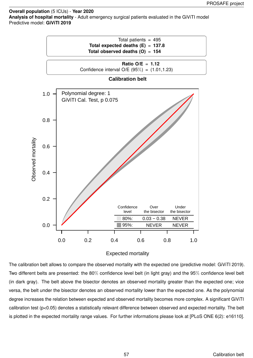**Overall population** (5 ICUs) - **Year 2020 Analysis of hospital mortality** - Adult emergency surgical patients evaluated in the GiViTI model Predictive model: **GiViTI 2019**



#### Expected mortality

The calibration belt allows to compare the observed mortality with the expected one (predictive model: GiViTI 2019). Two different belts are presented: the 80% confidence level belt (in light gray) and the 95% confidence level belt (in dark gray). The belt above the bisector denotes an observed mortality greater than the expected one; vice versa, the belt under the bisector denotes an observed mortality lower than the expected one. As the polynomial degree increases the relation between expected and observed mortality becomes more complex. A significant GiViTI calibration test (p<0.05) denotes a statistically relevant difference between observed and expected mortality. The belt is plotted in the expected mortality range values. For further informations please look at [PLoS ONE 6(2): e16110].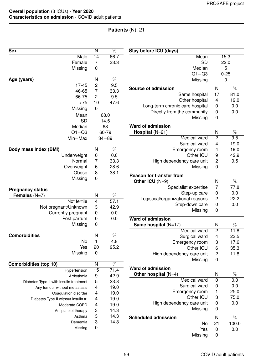| <b>Sex</b>                              | N                         | $\overline{\%}$ | Stay before ICU (days)            |                                    |                 |
|-----------------------------------------|---------------------------|-----------------|-----------------------------------|------------------------------------|-----------------|
| Male                                    | $\overline{14}$           | 66.7            | Mean                              |                                    | 15.3            |
| Female                                  | 7                         | 33.3            | <b>SD</b>                         |                                    | 22.0            |
| Missing                                 | 0                         |                 | Median                            |                                    | 5               |
|                                         |                           |                 | $Q1 - Q3$                         |                                    | $0 - 25$        |
| Age (years)                             | $\overline{N}$            | $\overline{\%}$ | Missing                           |                                    | $\mathbf 0$     |
| $17 - 45$                               | $\overline{2}$            | 9.5             | <b>Source of admission</b>        | N                                  | %               |
| 46-65                                   | 7                         | 33.3            | Same hospital                     | $\overline{17}$                    | 81.0            |
| 66-75                                   | 2                         | 9.5             | Other hospital                    | 4                                  | 19.0            |
| >75                                     | 10                        | 47.6            | Long-term chronic care hospital   | $\boldsymbol{0}$                   | 0.0             |
| Missing                                 | 0                         |                 | Directly from the community       | $\boldsymbol{0}$                   | 0.0             |
| Mean                                    |                           | 68.0            | Missing                           | 0                                  |                 |
| <b>SD</b>                               |                           | 14.5            |                                   |                                    |                 |
| Median                                  |                           | 68              | <b>Ward of admission</b>          |                                    |                 |
| $Q1 - Q3$                               |                           | 60-79           | Hospital $(N=21)$                 | N                                  | %               |
| Min-Max                                 |                           | $34 - 89$       | <b>Medical ward</b>               | 2                                  | 9.5             |
|                                         |                           |                 | Surgical ward                     | 4                                  | 19.0            |
| <b>Body mass Index (BMI)</b>            | N                         | $\overline{\%}$ | Emergency room                    | 4                                  | 19.0            |
| Underweight                             | $\pmb{0}$                 | 0.0             | Other ICU                         | 9                                  | 42.9            |
| Normal                                  | 7                         | 33.3            | High dependency care unit         | 2                                  | 9.5             |
| Overweight                              | 6                         | 28.6            | Missing                           | $\pmb{0}$                          |                 |
| Obese                                   | 8                         | 38.1            | <b>Reason for transfer from</b>   |                                    |                 |
| Missing                                 | 0                         |                 | Other ICU (N=9)                   | N                                  | $\%$            |
|                                         |                           |                 | Specialist expertise              | 7                                  | 77.8            |
| <b>Pregnancy status</b>                 |                           |                 | Step-up care                      | $\boldsymbol{0}$                   | 0.0             |
| Females $(N=7)$                         | N                         | $\%$            | Logistical/organizational reasons | 2                                  | 22.2            |
| Not fertile                             | 4                         | 57.1            | Step-down care                    | $\pmb{0}$                          | 0.0             |
| Not pregnant/Unknown                    | 3                         | 42.9            | Missing                           | $\pmb{0}$                          |                 |
| Currently pregnant                      | 0                         | 0.0             |                                   |                                    |                 |
| Post partum                             | 0                         | 0.0             | <b>Ward of admission</b>          |                                    |                 |
| Missing                                 | 0                         |                 | Same hospital $(N=17)$            | N                                  | $\%$            |
| <b>Comorbidities</b>                    | N                         | $\overline{\%}$ | Medical ward                      | $\mathbf{2}$                       | 11.8            |
| No                                      | $\mathbf{1}$              | 4.8             | Surgical ward                     | $\overline{\mathbf{4}}$            | 23.5            |
| Yes                                     | 20                        | 95.2            | Emergency room<br>Other ICU       | 3                                  | 17.6<br>35.3    |
| Missing                                 | 0                         |                 | High dependency care unit         | $\,6$                              | 11.8            |
|                                         |                           |                 |                                   | $\overline{c}$<br>$\boldsymbol{0}$ |                 |
| Comorbidities (top 10)                  | N                         | $\overline{\%}$ | Missing                           |                                    |                 |
| Hypertension                            | 15                        | 71.4            | <b>Ward of admission</b>          |                                    |                 |
| Arrhythmia                              | 9                         | 42.9            | Other hospital $(N=4)$            | N                                  | $\%$            |
| Diabetes Type II with insulin treatment | 5                         | 23.8            | Medical ward                      | $\pmb{0}$                          | 0.0             |
| Any tumour without metastasis           | $\overline{\mathbf{4}}$   | 19.0            | Surgical ward                     | $\boldsymbol{0}$                   | 0.0             |
| Coagulation disorder                    | 4                         | 19.0            | Emergency room                    | 1                                  | 25.0            |
| Diabetes Type II without insulin tr.    | 4                         | 19.0            | Other ICU                         | 3                                  | 75.0            |
| Moderate COPD                           | 4                         | 19.0            | High dependency care unit         | $\boldsymbol{0}$                   | 0.0             |
| Antiplatelet therapy                    | 3                         | 14.3            | Missing                           | 0                                  |                 |
| Asthma                                  | 3                         | 14.3            | <b>Scheduled admission</b>        | N                                  | $\overline{\%}$ |
| Dementia                                | $\ensuremath{\mathsf{3}}$ | 14.3            | No                                | 21                                 | 100.0           |
| Missing                                 | 0                         |                 | Yes                               | $\pmb{0}$                          | 0.0             |
|                                         |                           |                 | Missing                           | 0                                  |                 |
|                                         |                           |                 |                                   |                                    |                 |

**Patients** (N): 21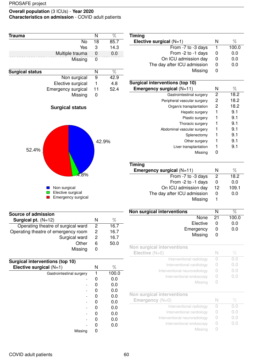| <b>Trauma</b>                           | N     | $\%$            |
|-----------------------------------------|-------|-----------------|
| <b>No</b>                               | 18    | 85.7            |
| Yes                                     | 3     | 14.3            |
| Multiple trauma                         | 0     | 0.0             |
| Missing                                 | 0     |                 |
| <b>Surgical status</b>                  | N     | $\overline{\%}$ |
| Non surgical                            | 9     | 42.9            |
| Elective surgical                       | 1     | 4.8             |
| Emergency surgical                      | 11    | 52.4            |
| Missing                                 | 0     |                 |
| <b>Surgical status</b><br>52.4%<br>4.8% | 42.9% |                 |
| Non surgical<br>Elective surgical       |       |                 |

| <b>Timing</b>                   |   |       |
|---------------------------------|---|-------|
| Elective surgical $(N=1)$       | N | %     |
| From -7 to -3 days              | 1 | 100.0 |
| From -2 to -1 days              | 0 | 0.0   |
| On ICU admission day            | 0 | 0.0   |
| The day after ICU admission     | 0 | 0.0   |
| Missing                         | O |       |
|                                 |   |       |
| Surgical interventions (top 10) |   |       |

| <b>Emergency surgical</b> $(N=11)$ | N | %    |
|------------------------------------|---|------|
| Gastrointestinal surgery           | 2 | 18.2 |
| Peripheral vascular surgery        | 2 | 18.2 |
| Organ/s transplantation            | 2 | 18.2 |
| Hepatic surgery                    | 1 | 9.1  |
| Plastic surgery                    |   | 9.1  |
| Thoracic surgery                   |   | 9.1  |
| Abdominal vascular surgery         |   | 9.1  |
| Splenectomy                        |   | 9.1  |
| Other surgery                      |   | 9.1  |
| Liver transplantation              | 1 | 9.1  |
| Missina                            |   |      |

| <b>Timing</b>               |              |       |
|-----------------------------|--------------|-------|
| Emergency surgical (N=11)   | N            | %     |
| From -7 to -3 days          | 2            | 18.2  |
| From -2 to -1 days          | O            | 0.0   |
| On ICU admission day        | 12           | 109.1 |
| The day after ICU admission | $\mathbf{0}$ | 0.0   |
| Missing                     |              |       |

| Non surgical interventions |  |       |
|----------------------------|--|-------|
| None 21                    |  | 100.0 |
| Elective                   |  | 0.0   |
| Emergency                  |  | 0.0   |
| Missing                    |  |       |

| Elective $(N=0)$              | N | ℅                              |
|-------------------------------|---|--------------------------------|
| Interventional radiology      |   | $( )_{\alpha} ( )$             |
| Interventional cardiology     |   | O.O                            |
| Interventional neuroradiology |   | $( )_{\alpha} ( )$             |
| Interventional endoscopy      |   | $U,$ <sup><math>O</math></sup> |
| Missing                       |   |                                |

| N | Vn.                |
|---|--------------------|
|   | 0.0                |
|   | $( )_{\alpha} ( )$ |
|   | ( ) ( )            |
|   | ( ) ( )            |
|   |                    |
|   |                    |

| N | ℅    |
|---|------|
| 2 | 16.7 |
| 2 | 16.7 |
| 2 | 16.7 |
| 6 | 50.0 |
|   |      |
|   |      |

**Emergency surgical** 

| <b>Surgical interventions (top 10)</b> |   |       |
|----------------------------------------|---|-------|
| Elective surgical $(N=1)$              | N | %     |
| Gastrointestinal surgery               |   | 100.0 |
|                                        |   | 0.0   |
|                                        |   | 0.0   |
|                                        |   | 0.0   |
|                                        |   | 0.0   |
|                                        |   | 0.0   |
|                                        |   | 0.0   |
|                                        |   | 0.0   |
|                                        |   | 0.0   |
|                                        |   | 0.0   |
| Missing                                |   |       |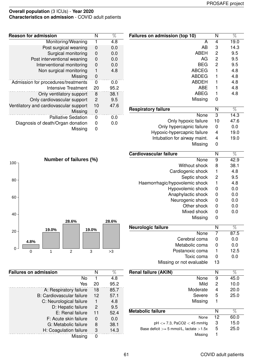| Failures on admission (top 10) | N                       | %               |
|--------------------------------|-------------------------|-----------------|
| A                              | 4                       | 19.0            |
| AB                             | 3                       | 14.3            |
| <b>ABEH</b>                    | 2                       | 9.5             |
| AG                             | $\overline{c}$          | 9.5             |
| <b>BEG</b>                     | $\overline{c}$          | 9.5             |
| <b>ABCEG</b>                   | $\mathbf{1}$            | 4.8             |
| <b>ABDEG</b>                   | 1                       | 4.8             |
| <b>ABDEH</b>                   | 1                       | 4.8             |
| <b>ABE</b>                     | 1                       | 4.8             |
| <b>ABEG</b>                    | 1                       | 4.8             |
| Missing                        | 0                       |                 |
| <b>Respiratory failure</b>     | N                       | $\overline{\%}$ |
| None                           | 3                       | 14.3            |
| Only hypoxic failure           | 10                      | 47.6            |
| Only hypercapnic failure       | 0                       | 0.0             |
| Hypoxic-hypercapnic failure    | 4                       | 19.0            |
| Intubation for airway maint.   | 4                       | 19.0            |
| Missing                        | $\mathbf 0$             |                 |
| <b>Cardiovascular failure</b>  | N                       | $\overline{\%}$ |
| None                           | 9                       | 42.9            |
| Without shock                  | 8                       | 38.1            |
| Cardiogenic shock              | 1                       | 4.8             |
| Septic shock                   | $\overline{\mathbf{c}}$ | 9.5             |
| Haemorrhagic/hypovolemic shock | 1                       | 4.8             |
| Hypovolemic shock              | 0                       | 0.0             |
| Anaphylactic shock             | 0                       | 0.0             |
| Neurogenic shock               | 0                       | 0.0             |
| Other shock                    | 0                       | 0.0             |
| Mixed shock                    | 0                       | 0.0             |
| Missing                        | 0                       |                 |
|                                |                         |                 |
| Neurologic failure             | N                       | $\%$            |
| None                           | 7                       | 87.5            |
| Cerebral coma                  | 0                       | 0.0             |
| Metabolic coma                 | 0                       | 0.0             |
| Postanoxic coma                | 1                       | 12.5            |
| Toxic coma                     | 0                       | 0.0             |
| Missing or not evaluable       | 13                      |                 |
| <b>Renal failure (AKIN)</b>    | N                       | %               |
| None                           | 9                       | 45.0            |
| Mild                           | 2                       | 10.0            |
| Moderate                       | 4                       | 20.0            |
| Severe                         | 5                       | 25.0            |
| Missing                        | 1                       |                 |
| <b>Metabolic failure</b>       | N                       | %               |

| <b>Reason for admission</b>            | N  | %    |
|----------------------------------------|----|------|
| Monitoring/Weaning                     | 1  | 4.8  |
| Post surgical weaning                  | 0  | 0.0  |
| Surgical monitoring                    | 0  | 0.0  |
| Post interventional weaning            | 0  | 0.0  |
| Interventional monitoring              | 0  | 0.0  |
| Non surgical monitoring                |    | 4.8  |
| Missing                                | 0  |      |
| Admission for procedures/treatments    | 0  | 0.0  |
| <b>Intensive Treatment</b>             | 20 | 95.2 |
| Only ventilatory support               | 8  | 38.1 |
| Only cardiovascular support            | 2  | 9.5  |
| Ventilatory and cardiovascular support | 10 | 47.6 |
| Missing                                | 0  |      |
| <b>Palliative Sedation</b>             | 0  | 0.0  |
| Diagnosis of death/Organ donation      | 0  | 0.0  |
| Missing                                | 0  |      |
|                                        |    |      |



| <b>Failures on admission</b> | N             | %    |
|------------------------------|---------------|------|
| Nο                           |               | 4.8  |
| Yes                          | 20            | 95.2 |
| A: Respiratory failure       | 18            | 85.7 |
| B: Cardiovascular failure    | 12            | 57.1 |
| C: Neurological failure      |               | 4.8  |
| D: Hepatic failure           | $\mathcal{P}$ | 9.5  |
| E: Renal failure             | 11            | 52.4 |
| F: Acute skin failure        | 0             | 0.0  |
| G: Metabolic failure         | 8             | 38.1 |
| H: Coagulation failure       | 3             | 14.3 |
| Missing                      | ŋ             |      |

None 12 60.0

pH *<*= 7.3, PaCO2 *<* 45 mmHg 3 15.0

Missing 1

Base deficit *>*= 5 mmol/L, lactate *>*1.5x 5 25.0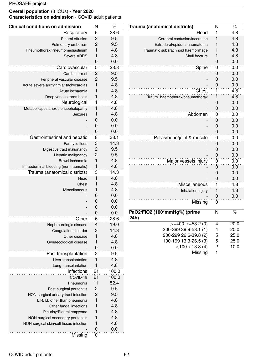| <b>Clinical conditions on admission</b> | N                       | %     |
|-----------------------------------------|-------------------------|-------|
| Respiratory                             | 6                       | 28.6  |
| Pleural effusion                        | 2                       | 9.5   |
| Pulmonary embolism                      | $\overline{c}$          | 9.5   |
| Pneumothorax/Pneumomediastinum          | $\mathbf{1}$            | 4.8   |
| Severe ARDS                             | $\mathbf{1}$            | 4.8   |
|                                         | 0                       | 0.0   |
| Cardiovascular                          | 5                       | 23.8  |
| Cardiac arrest                          | $\overline{c}$          | 9.5   |
| Peripheral vascular disease             | $\overline{c}$          | 9.5   |
| Acute severe arrhythmia: tachycardias   | $\mathbf{1}$            | 4.8   |
| Acute ischaemia                         | 1                       | 4.8   |
|                                         | 1                       | 4.8   |
| Deep venous thrombosis                  |                         |       |
| Neurological                            | 1                       | 4.8   |
| Metabolic/postanoxic encephalopathy     | 1                       | 4.8   |
| Seizures                                | 1                       | 4.8   |
|                                         | 0                       | 0.0   |
|                                         | 0                       | 0.0   |
|                                         | 0                       | 0.0   |
| Gastrointestinal and hepatic            | 8                       | 38.1  |
| Paralytic Ileus                         | 3                       | 14.3  |
| Digestive tract malignancy              | $\overline{\mathbf{c}}$ | 9.5   |
| Hepatic malignancy                      | $\overline{c}$          | 9.5   |
| Bowel ischaemia                         | $\mathbf{1}$            | 4.8   |
| Intrabdominal bleeding (non traumatic)  | 1                       | 4.8   |
| Trauma (anatomical districts)           | 3                       | 14.3  |
| Head                                    | 1                       | 4.8   |
| Chest                                   | 1                       | 4.8   |
| Miscellaneous                           | 1                       | 4.8   |
|                                         | 0                       | 0.0   |
|                                         | 0                       | 0.0   |
|                                         | 0                       | 0.0   |
|                                         | 0                       | 0.0   |
|                                         |                         |       |
| Other                                   | 6                       | 28.6  |
| Nephrourologic disease                  | $\overline{4}$          | 19.0  |
| Coagulation disorder                    | 3                       | 14.3  |
| Other disease                           | 1                       | 4.8   |
| Gynaecological disease                  | 1                       | 4.8   |
|                                         | 0                       | 0.0   |
| Post transplantation                    | $\overline{2}$          | 9.5   |
| Liver transplantation                   | 1                       | 4.8   |
| Lung transplantation                    | 1                       | 4.8   |
| Infections                              | 21                      | 100.0 |
| COVID-19                                | 21                      | 100.0 |
| Pneumonia                               | 11                      | 52.4  |
| Post-surgical peritonitis               | $\overline{c}$          | 9.5   |
| NON-surgical urinary tract infection    | $\overline{c}$          | 9.5   |
| L.R.T.I. other than pneumonia           | 1                       | 4.8   |
| Other fungal infections                 | 1                       | 4.8   |
| Pleurisy/Pleural empyema                | 1                       | 4.8   |
| NON-surgical secondary peritonitis      | 1                       | 4.8   |
| NON-surgical skin/soft tissue infection | 1                       | 4.8   |
|                                         | 0                       |       |
|                                         |                         | 0.0   |
| Missing                                 | $\mathbf 0$             |       |

| Trauma (anatomical districts)        | N                       | $\overline{\%}$ |
|--------------------------------------|-------------------------|-----------------|
| Head                                 | 1                       | 4.8             |
| Cerebral contusion/laceration        | 1                       | 4.8             |
| Extradural/epidural haematoma        | 1                       | 4.8             |
| Traumatic subarachnoid haemorrhage   | 1                       | 4.8             |
| Skull fracture                       | 1                       | 4.8             |
|                                      | 0                       | 0.0             |
| Spine                                | 0                       | 0.0             |
|                                      | 0                       | 0.0             |
|                                      | 0                       | 0.0             |
|                                      | 0                       | 0.0             |
| Chest                                | 1                       | 4.8             |
| Traum. haemothorax/pneumothorax      | 1                       | 4.8             |
|                                      | 0                       | 0.0             |
|                                      | 0                       | 0.0             |
| Abdomen                              | 0                       | 0.0             |
|                                      | 0                       | 0.0             |
|                                      | 0                       | 0.0             |
|                                      | 0                       | 0.0             |
| Pelvis/bone/joint & muscle           | 0                       | 0.0             |
|                                      | 0                       | 0.0             |
|                                      | 0                       | 0.0             |
|                                      | 0                       | 0.0             |
| Major vessels injury                 | 0                       | 0.0             |
|                                      | 0                       | 0.0             |
|                                      | 0                       | 0.0             |
|                                      | 0                       | 0.0             |
| Miscellaneous                        | 1                       | 4.8             |
| Inhalation injury                    | 1                       | 4.8             |
|                                      | 0                       | 0.0             |
| Missing                              | 0                       |                 |
| PaO2/FiO2 (100*mmHg%) (prime<br>24h) | N                       | $\overline{\%}$ |
| $>=$ 400 $>=$ 53.2 (0)               | 4                       | 20.0            |
| 300-399 39.9-53.1 (1)                | 4                       | 20.0            |
| 200-299 26.6-39.8 (2)                | 5                       | 25.0            |
| 100-199 13.3-26.5 (3)                | 5                       | 25.0            |
| $<$ 100 $<$ 13.3 (4)                 | $\overline{\mathbf{c}}$ | 10.0            |
| Missing                              | 1                       |                 |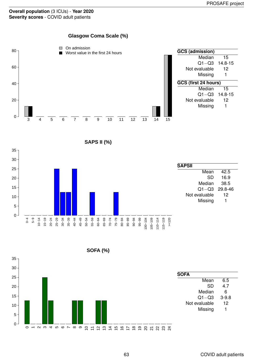**Glasgow Coma Scale (%)**





**SOFA (%)**

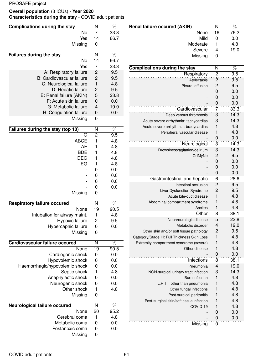### **Overall population** (3 ICUs) - **Year 2020 Characteristics during the stay** - COVID adult patients

| <b>Complications during the stay</b> | N                | $\overline{\%}$ | <b>Renal failure occured (AKIN)</b>                   | $\overline{\mathsf{N}}$   | $\overline{\%}$ |
|--------------------------------------|------------------|-----------------|-------------------------------------------------------|---------------------------|-----------------|
| <b>No</b>                            | $\overline{7}$   | 33.3            | None                                                  | $\overline{16}$           | 76.2            |
| Yes                                  | 14               | 66.7            | Mild                                                  | 0                         | 0.0             |
| Missing                              | $\mathbf 0$      |                 | Moderate                                              | 1                         | 4.8             |
|                                      |                  |                 | Severe                                                | 4                         | 19.0            |
| <b>Failures during the stay</b>      | N                | $\overline{\%}$ | Missing                                               | 0                         |                 |
| No                                   | 14               | 66.7            |                                                       |                           |                 |
| Yes                                  | $\overline{7}$   | 33.3            | <b>Complications during the stay</b>                  | N                         | $\overline{\%}$ |
| A: Respiratory failure               | $\overline{c}$   | 9.5             | Respiratory                                           | $\overline{2}$            | 9.5             |
| <b>B: Cardiovascular failure</b>     | $\overline{c}$   | 9.5             | Atelectasis                                           | 2                         | 9.5             |
| C: Neurological failure              | $\mathbf{1}$     | 4.8             | Pleural effusion                                      | $\overline{c}$            | 9.5             |
| D: Hepatic failure                   | $\overline{c}$   | 9.5             |                                                       | 0                         | 0.0             |
| E: Renal failure (AKIN)              | 5                | 23.8            |                                                       | 0                         | 0.0             |
| F: Acute skin failure                | $\pmb{0}$        | 0.0             |                                                       | 0                         | 0.0             |
| G: Metabolic failure                 | $\overline{4}$   | 19.0            | Cardiovascular                                        | 7                         | 33.3            |
| H: Coagulation failure               | $\boldsymbol{0}$ | 0.0             | Deep venous thrombosis                                | 3                         | 14.3            |
| Missing                              | $\boldsymbol{0}$ |                 | Acute severe arrhythmia: tachycardias                 | 3                         | 14.3            |
|                                      |                  |                 | Acute severe arrhythmia: bradycardias                 | 1                         | 4.8             |
| Failures during the stay (top 10)    | N                | $\overline{\%}$ | Peripheral vascular disease                           | 1                         | 4.8             |
| $\overline{G}$                       | $\overline{2}$   | 9.5             |                                                       | 0                         | 0.0             |
| <b>ABCE</b>                          | 1                | 4.8             | Neurological                                          | $\ensuremath{\mathsf{3}}$ | 14.3            |
| <b>AE</b>                            | 1                | 4.8             | Drowsiness/agitation/delirium                         | 3                         | 14.3            |
| <b>BDE</b>                           |                  | 4.8             | CrIMyNe                                               | $\overline{\mathbf{c}}$   | 9.5             |
| <b>DEG</b>                           | 1                | 4.8             |                                                       | 0                         | 0.0             |
| EG                                   | 1                | 4.8             |                                                       | 0                         | 0.0             |
|                                      | 0                | 0.0             |                                                       | 0                         | 0.0             |
|                                      | 0                | 0.0             | Gastrointestinal and hepatic                          | 6                         | 28.6            |
|                                      | 0                | 0.0             |                                                       |                           |                 |
|                                      | $\mathbf 0$      | 0.0             | Intestinal occlusion                                  | $\overline{c}$            | 9.5             |
| Missing                              | 0                |                 | Liver Dysfunction Syndrome<br>Acute bile-duct disease | $\overline{c}$<br>1       | 9.5<br>4.8      |
|                                      |                  |                 |                                                       |                           |                 |
| <b>Respiratory failure occured</b>   | $\mathsf{N}$     | $\overline{\%}$ | Abdominal compartment syndrome                        | 1<br>$\mathbf{1}$         | 4.8<br>4.8      |
| None                                 | $\overline{19}$  | 90.5            | Ascites<br>∩ther                                      |                           |                 |
| Intubation for airway maint.         | $\mathbf{1}$     | 4.8             |                                                       | 8                         | 38.1            |
| Hypoxic failure                      | $\overline{c}$   | 9.5             | Nephrourologic disease                                | 5                         | 23.8            |
| Hypercapnic failure                  | $\boldsymbol{0}$ | 0.0             | Metabolic disorder                                    | 4                         | 19.0            |
| Missing                              | $\mathbf 0$      |                 | Other skin and/or soft tissue pathology               | $\overline{c}$            | 9.5             |
|                                      |                  |                 | Category/Stage III: Full Thickness Skin Loss          | $\mathbf{1}$              | 4.8             |
| Cardiovascular failure occured       | $\mathsf{N}$     | $\overline{\%}$ | Extremity compartment syndrome (severe)               | 1                         | 4.8             |
| None                                 | 19               | 90.5            | Other disease                                         | 1                         | 4.8             |
| Cardiogenic shock                    | $\boldsymbol{0}$ | 0.0             |                                                       | $\mathbf 0$               | 0.0             |
| Hypovolemic shock                    | $\pmb{0}$        | 0.0             | Infections                                            | $\,8\,$                   | 38.1            |
| Haemorrhagic/hypovolemic shock       | $\boldsymbol{0}$ | 0.0             | Pneumonia                                             | 4                         | 19.0            |
| Septic shock                         | $\mathbf{1}$     | 4.8             | NON-surgical urinary tract infection                  | 3                         | 14.3            |
| Anaphylactic shock                   | $\boldsymbol{0}$ | 0.0             | <b>Burn</b> infection                                 | 1                         | 4.8             |
| Neurogenic shock                     | $\boldsymbol{0}$ | 0.0             | L.R.T.I. other than pneumonia                         | 1                         | 4.8             |
| Other shock                          | $\mathbf{1}$     | 4.8             | Other fungal infections                               | $\mathbf{1}$              | 4.8             |
| Missing                              | $\mathbf 0$      |                 | Post-surgical peritonitis                             | $\mathbf{1}$              | 4.8             |
|                                      |                  |                 | Post-surgical skin/soft tissue infection              | $\mathbf{1}$              | 4.8             |
| <b>Neurological failure occured</b>  | $\overline{N}$   | $\overline{\%}$ | COVID-19                                              | 1                         | 4.8             |
| None                                 | 20               | 95.2            |                                                       | $\mathbf 0$               | 0.0             |
| Cerebral coma                        | $\mathbf{1}$     | 4.8             |                                                       | $\mathbf 0$               | 0.0             |
| Metabolic coma                       | $\boldsymbol{0}$ | 0.0             | Missing                                               | $\mathbf 0$               |                 |
| Postanoxic coma                      | $\mathbf 0$      | 0.0             |                                                       |                           |                 |

Missing 0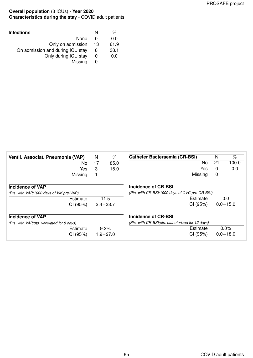#### **Overall population** (3 ICUs) - **Year 2020 Characteristics during the stay** - COVID adult patients

| <b>Infections</b>                |              |      |
|----------------------------------|--------------|------|
| <b>None</b>                      | $\mathbf{0}$ | 0.0  |
| Only on admission                | 13           | 61.9 |
| On admission and during ICU stay | 8            | 38.1 |
| Only during ICU stay             | O            | 0.0  |
| Missing                          |              |      |

| Ventil. Associat. Pneumonia (VAP)          | N  | $\%$         | <b>Catheter Bacteraemia (CR-BSI)</b>             | N            | $\overline{\%}$ |
|--------------------------------------------|----|--------------|--------------------------------------------------|--------------|-----------------|
| No.                                        | 17 | 85.0         | No                                               | 21           | 100.0           |
| Yes                                        | 3  | 15.0         | Yes                                              | $\mathbf{0}$ | 0.0             |
| Missing                                    |    |              | Missing                                          | 0            |                 |
| <b>Incidence of VAP</b>                    |    |              | Incidence of CR-BSI                              |              |                 |
| (Pts. with VAP/1000 days of VM pre-VAP)    |    |              | (Pts. with CR-BSI/1000 days of CVC pre-CR-BSI)   |              |                 |
| Estimate                                   |    | 11.5         | Estimate                                         |              | 0.0             |
| CI (95%)                                   |    | $2.4 - 33.7$ | CI (95%)                                         |              | $0.0 - 15.0$    |
| <b>Incidence of VAP</b>                    |    |              | Incidence of CR-BSI                              |              |                 |
| (Pts. with VAP/pts. ventilated for 8 days) |    |              | (Pts. with CR-BSI/pts. catheterized for 12 days) |              |                 |
| Estimate                                   |    | 9.2%         | Estimate                                         |              | 0.0%            |
| CI (95%)                                   |    | $1.9 - 27.0$ | CI (95%)                                         |              | $0.0 - 18.0$    |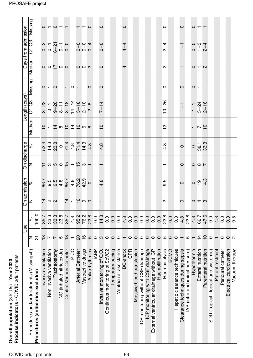| Process indicators - COVID adult patients<br>Overall population (3 ICUs) - Year 2020 |                                                      |                  |                                   |                                                    |                                                                                                                               |                                               |                |                         |                          |                                 |                                 |         |
|--------------------------------------------------------------------------------------|------------------------------------------------------|------------------|-----------------------------------|----------------------------------------------------|-------------------------------------------------------------------------------------------------------------------------------|-----------------------------------------------|----------------|-------------------------|--------------------------|---------------------------------|---------------------------------|---------|
|                                                                                      |                                                      | Use              |                                   | On admission                                       | On discharge                                                                                                                  |                                               |                | Length (days)           |                          |                                 | Days from admission             |         |
| Procedures and/or treatments (Missing=0)                                             | z                                                    | ಸಿ               | z                                 | ್ನೆ                                                | z                                                                                                                             | ್ನೆ                                           | Median         | $\overline{O}$ -C3      | Missing                  | Median                          | $Q1 - Q3$                       | Missing |
| Procedures (antibiotics excluded)                                                    | ត                                                    | 100.0            |                                   |                                                    |                                                                                                                               |                                               |                |                         |                          |                                 |                                 |         |
| Invasive ventilation                                                                 | $\frac{\infty}{2}$                                   | 85.7             |                                   | 66.7                                               |                                                                                                                               | 84<br>84 36 4 36 4 36 4<br>84 36 4 36 4 36 36 |                |                         |                          |                                 |                                 | $\circ$ |
| Non invasive ventilation                                                             | $\overline{\phantom{0}}$                             | 33.3             |                                   |                                                    |                                                                                                                               |                                               |                |                         |                          |                                 |                                 |         |
| Tracheostomy                                                                         | $\frac{1}{2}$                                        | 33.3             |                                   |                                                    |                                                                                                                               |                                               |                |                         |                          |                                 |                                 | $\circ$ |
| iNO (inhaled nitric oxide)                                                           |                                                      | 23.8             | $14$ $9$ $9$ $ 14$ $ 16$ $ 9$ $-$ | 0.0.4.00.4.00.9<br>0.0.4.00.9.9.0<br>0.0.4.0.9.9.0 | $\frac{1}{2}$ a $\frac{1}{2}$ a $\frac{1}{2}$ a $\frac{1}{2}$ a $\frac{1}{2}$ a $\frac{1}{2}$ a $\frac{1}{2}$ a $\frac{1}{2}$ |                                               | もっけけりのでし       |                         | $0-0-0-0-0$              | $\circ \circ \zeta \circ \circ$ |                                 |         |
| Central Venous Catheter                                                              | $rac{\infty}{1}$ –                                   | 85.7             |                                   |                                                    |                                                                                                                               |                                               |                |                         |                          |                                 |                                 |         |
| PICC                                                                                 |                                                      | $4.\overline{8}$ |                                   |                                                    |                                                                                                                               |                                               |                |                         |                          |                                 |                                 |         |
| <b>Arterial Catheter</b>                                                             | 20                                                   | 95.2             |                                   |                                                    |                                                                                                                               |                                               |                |                         |                          |                                 |                                 |         |
| Vasoactive drugs                                                                     |                                                      | 76.2             |                                   |                                                    |                                                                                                                               |                                               |                |                         |                          | $\circ$ $\circ$ $\circ$         |                                 |         |
| Antiarrhythmics                                                                      |                                                      | 23.8             |                                   |                                                    |                                                                                                                               |                                               |                |                         |                          |                                 |                                 | $\circ$ |
| <b>IABP</b>                                                                          |                                                      | 0.0              |                                   |                                                    |                                                                                                                               |                                               |                |                         |                          |                                 |                                 |         |
| Invasive monitoring of C.O.                                                          |                                                      | 14.3             |                                   | 4.8                                                |                                                                                                                               | $4.\overline{8}$                              | $\overline{C}$ | $7 - 14$                | $\circ$                  | $\circ$                         | $0 - 0$                         | $\circ$ |
| Continous monitoring of ScVO2                                                        | $\begin{array}{c} 0.00000 \\ 0.00000 \\ \end{array}$ | 0.0              |                                   |                                                    |                                                                                                                               |                                               |                |                         |                          |                                 |                                 |         |
| Temporary pacing                                                                     |                                                      | 0.0              |                                   |                                                    |                                                                                                                               |                                               |                |                         |                          |                                 |                                 |         |
| Ventricular assistance                                                               |                                                      | 0.0              |                                   |                                                    |                                                                                                                               |                                               |                |                         |                          |                                 |                                 |         |
| DC-shock                                                                             |                                                      | 4.8              |                                   |                                                    |                                                                                                                               |                                               |                |                         |                          | 4                               | $4 - 4$                         | $\circ$ |
| CPR                                                                                  | ○                                                    | $\overline{0}$   |                                   |                                                    |                                                                                                                               |                                               |                |                         |                          |                                 |                                 |         |
| Massive blood transfusion                                                            |                                                      | 0.0              |                                   |                                                    |                                                                                                                               |                                               |                |                         |                          |                                 |                                 |         |
| ICP monitoring without CSF drainage                                                  | 0000000                                              | 000000           |                                   |                                                    |                                                                                                                               |                                               |                |                         |                          |                                 |                                 |         |
| ICP monitoring with CSF drainage                                                     |                                                      |                  |                                   |                                                    |                                                                                                                               |                                               |                |                         |                          |                                 |                                 |         |
| External ventricular drainage without ICP                                            |                                                      |                  |                                   |                                                    |                                                                                                                               |                                               |                |                         |                          |                                 |                                 |         |
| Haemofiltration                                                                      |                                                      | 0.0              |                                   |                                                    |                                                                                                                               |                                               |                |                         |                          |                                 |                                 |         |
| Haemodialysis                                                                        |                                                      | 23.8             | $\mathbf{N}$                      | 9.5                                                |                                                                                                                               | 4.8                                           | $\frac{1}{2}$  | $10 - 26$               | $\circ$                  | $\mathbf{\alpha}$               | $2 - 4$                         | 0       |
| ECMO                                                                                 |                                                      | 0.0              |                                   |                                                    |                                                                                                                               |                                               |                |                         |                          |                                 |                                 |         |
| Hepatic clearance techniques                                                         | $\circ$                                              | $\overline{0}$   |                                   |                                                    |                                                                                                                               |                                               |                |                         |                          |                                 |                                 |         |
| Clearance techniques during sepsis                                                   |                                                      | 4.8              | $\circ$                           | $\circ$                                            | $\circ$                                                                                                                       | $\circ$                                       |                | $1 - 1$                 | $\circ$                  | $\overline{\phantom{0}}$        | $\overline{1}$                  | $\circ$ |
| IAP (intra-abdominal pressure)                                                       | LO                                                   | 23.8             |                                   |                                                    |                                                                                                                               |                                               |                |                         |                          |                                 |                                 |         |
| Hypothermia                                                                          |                                                      | $4.\overline{8}$ |                                   |                                                    |                                                                                                                               |                                               |                |                         | $\circ$                  |                                 |                                 | $\circ$ |
| Enteral nutrition                                                                    | $\frac{1}{4}$ 0                                      | 66.7             | $\circ$ 4 $\omega$                | 0.99                                               | $\circ$ $\circ$ $\sim$                                                                                                        | 0<br>38.3<br>33.3                             | $- 7$          | $1 - 1$<br>5-24<br>2-16 | $\overline{\phantom{0}}$ | $O - N$                         | $0 - 7$<br>$-7$<br>$-7$<br>$-7$ |         |
| Parenteral nutrition                                                                 |                                                      | 47.6             |                                   |                                                    |                                                                                                                               |                                               |                |                         |                          |                                 |                                 |         |
| SDD (Topical, Topical and systemic)                                                  | $\circ$                                              | 0.0              |                                   |                                                    |                                                                                                                               |                                               |                |                         |                          |                                 |                                 |         |
| Patient restraint                                                                    |                                                      | 4.8              |                                   |                                                    |                                                                                                                               |                                               |                |                         |                          |                                 |                                 |         |
| Peridural catheter                                                                   | $\circ$                                              | 0.0              |                                   |                                                    |                                                                                                                               |                                               |                |                         |                          |                                 |                                 |         |
| Electrical cardioversion                                                             | $\circ$ $\circ$                                      | 0.0              |                                   |                                                    |                                                                                                                               |                                               |                |                         |                          |                                 |                                 |         |
| Vacuum therapy                                                                       |                                                      | 9.5              |                                   |                                                    |                                                                                                                               |                                               |                |                         |                          |                                 |                                 |         |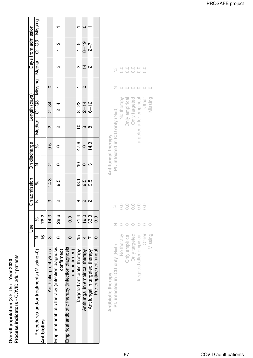Overall population (3 ICUs) - Year 2020<br>Process indicators - COVID adult patients **Process indicators** - COVID adult patients **Overall population** (3 ICUs) - **Year 2020**

|                                                                   |                | Use           |        | On admission | On discharge            |                |          | Length (days) |                             |                   | Days from admission         |  |
|-------------------------------------------------------------------|----------------|---------------|--------|--------------|-------------------------|----------------|----------|---------------|-----------------------------|-------------------|-----------------------------|--|
| Procedures and/or treatments (Missing=0)                          |                | ಸಿ            |        | ৡ            | Z                       | <sub>o</sub> c |          |               | $M$ edian   Q1-Q3   Missing |                   | Median   Q1-Q3   Missing    |  |
| Antibiotics                                                       | $\frac{c}{1}$  | 76.2          |        |              |                         |                |          |               |                             |                   |                             |  |
| Antibiotic prophylaxis                                            |                | 14.3          |        | 14.3         | $\mathbf{\Omega}$       | 9.5            | Ν        | $2 - 34$      |                             |                   |                             |  |
| Empirical antibiotic therapy (infection diagnosis<br>confirmed)   | c              | 8.6<br>82     | Ν      | 9.5          |                         |                | Ν        | $\frac{4}{2}$ |                             | $\mathbf{\Omega}$ | $\frac{2}{1}$               |  |
| Empirical antibiotic therapy (infection diagnosis<br>uncontirmed) |                | $\frac{0}{0}$ |        |              |                         |                |          |               |                             |                   |                             |  |
| Targeted antibiotic therapy                                       | $\overline{5}$ | 71.4          |        | -86.1        | $\mathop{=}^\mathsf{O}$ | 47.6<br>0      |          | $8 - 22$      |                             | $\mathbf{\Omega}$ | $1 - 5$                     |  |
| Antifungal in empirical therapy                                   |                | 19.0          | N      | 9.5          |                         |                | $\infty$ | $2 - 14$      |                             | $\overline{4}$    | $8 - 19$                    |  |
| Antifungal in targeted therapy                                    |                | 33.3          | $\sim$ | 9.5          | က                       | 14.3           | $\infty$ | $6 - 12$      |                             | $\sim$            | $\overline{C}-\overline{C}$ |  |
| Pre-emptive antifungal                                            |                | 0.0           |        |              |                         |                |          |               |                             |                   |                             |  |
|                                                                   |                |               |        |              |                         |                |          |               |                             |                   |                             |  |

|                    | R                              | $\overline{C}$ | $\overline{O}$ . | $\overline{O}$ . | $\frac{1}{2}$            | $\frac{1}{2}$ |         |
|--------------------|--------------------------------|----------------|------------------|------------------|--------------------------|---------------|---------|
| Antibiotic therapy | Pt. infected in ICU only (N=0) | No therapy     | Only empirical   | Only targeted    | largeted after empirical | Other         | Missing |

| Antifungal therapy             |                  |  |
|--------------------------------|------------------|--|
| Pt. infected in ICU only (N=0) | R                |  |
| No therapy                     | $\circ$ .        |  |
| <b>Only empirical</b>          | 0.0              |  |
| Only targeted                  | 0.0              |  |
| argeted after empirical        | $\circ$ .        |  |
| Other                          | $\overline{0}$ . |  |
| Missing                        |                  |  |

Other Missing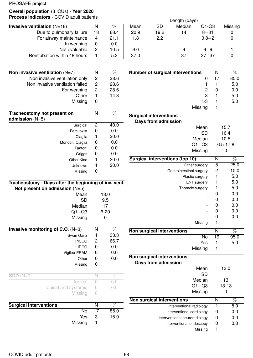# **Overall population** (3 ICUs) - **Year 2020**

| <b>Process indicators</b> - COVID adult patients |          |      | Length (days) |      |        |           |         |
|--------------------------------------------------|----------|------|---------------|------|--------|-----------|---------|
| Invasive ventilation $(N=18)$                    |          | $\%$ | Mean          | SD   | Median | $Q1-Q3$   | Missing |
| Due to pulmonary failure                         | 13       | 68.4 | 20.9          | 19.2 | 14     | $8 - 31$  |         |
| For airway mainteinance                          | 4        | 21.1 | 1.8           | 2.2  |        | $0.8 - 2$ |         |
| In weaning                                       | $\bf{0}$ | 0.0  |               |      |        |           |         |
| Not evaluable                                    | 2        | 10.5 | 9.0           |      | 9      | $9 - 9$   |         |
| Reintubation within 48 hours                     |          | 5.3  | 37.0          |      | 37     | $37 - 37$ |         |

| Non invasive ventilation $(N=7)$                 | N | %    |
|--------------------------------------------------|---|------|
| Non invasive ventilation only                    | 2 | 28.6 |
| Non invasive ventilation failed                  | 2 | 28.6 |
| For weaning                                      | 2 | 28.6 |
| Other                                            | 1 | 14.3 |
| Missing                                          | 0 |      |
| Tracheostomy not present on<br>admission $(N=5)$ | N | %    |
| Surgical                                         | 2 | 40.0 |
| Percutwist                                       | 0 | 0.0  |
| Ciaglia                                          | 1 | 20.0 |
| Monodil. Ciaglia                                 | 0 | 0.0  |
| Fantoni                                          | O | 0.0  |
| Griggs                                           | 0 | 0.0  |
| Other Kind                                       |   | 20.0 |
| Unknown                                          |   | 20.0 |
| Missing                                          | O |      |
|                                                  |   |      |

| Tracheostomy - Days after the beginning of inv. vent. |  |
|-------------------------------------------------------|--|
| Not present on admission $(N=5)$                      |  |

| Mean                                |    | 13.0     |
|-------------------------------------|----|----------|
| <b>SD</b>                           |    | 9.5      |
| Median                              |    | 17       |
| $Q1 - Q3$                           |    | $6 - 20$ |
| Missing                             |    | 0        |
| Invasive monitoring of C.O. $(N=3)$ | Ν  | %        |
| Swan Ganz                           | 1  | 33.3     |
| <b>PICCO</b>                        | 2  | 66.7     |
| <b>LIDCO</b>                        | 0  | 0.0      |
| Vigileo-PRAM                        | 0  | 0.0      |
| Other                               | 0  | 0.0      |
| Missing                             | 0  |          |
| $SDD(N=0)$                          | N  | $\%$     |
| Topical                             | Ω  | 0.0      |
| Topical and systemic                | 0  | 0.0      |
| Missing                             |    |          |
| <b>Surgical interventions</b>       | N  | %        |
| No                                  | 17 | 85.0     |
| Yes                                 | 3  | 15.0     |

Missing 1

| <b>Number of surgical interventions</b> | N  | %    |
|-----------------------------------------|----|------|
|                                         | 17 | 85.0 |
|                                         |    | 5.0  |
| 2                                       |    | 0.0  |
| 3                                       |    | 5.0  |
| >3                                      |    | 5.0  |
| Missing                                 |    |      |
| <b>Surgical interventions</b>           |    |      |

| Days from admission                    |      |              |  |
|----------------------------------------|------|--------------|--|
| Mean                                   |      | 15.7         |  |
| SD                                     |      | 16.4         |  |
| Median                                 | 10.5 |              |  |
| $Q1 - Q3$                              |      | $6.5 - 17.8$ |  |
| Missing                                |      | ი            |  |
| <b>Surgical interventions (top 10)</b> | N    | %            |  |
| Other surgery                          | 5    | 25.0         |  |
| Gastrointestinal surgery               | 2    | 10.0         |  |
| Plastic surgery                        | 1    | 5.0          |  |
| <b>ENT</b> surgery                     | 1    | 5.0          |  |
| Thoracic surgery                       | 1    | 5.0          |  |
|                                        | 0    | 0.0          |  |
|                                        | 0    | 0.0          |  |
|                                        | 0    | 0.0          |  |
|                                        | 0    | 0.0          |  |
|                                        | 0    | 0.0          |  |
| Missing                                | 1    |              |  |
| Non surgical interventions             | N    | %            |  |
| No                                     | 19   | 95.0         |  |
| Yes                                    | 1    | 5.0          |  |
| Missing                                |      |              |  |

| Non surgical interventions<br>Days from admission |   |           |
|---------------------------------------------------|---|-----------|
| Mean                                              |   | 13.0      |
| SD                                                |   |           |
| Median                                            |   | 13        |
| $Q1 - Q3$                                         |   | $13 - 13$ |
| Missing                                           |   |           |
| Non surgical interventions                        | N | %         |
| Interventional radiology                          |   | 5.0       |
| Interventional cardiology                         |   | 0.0       |
| Interventional neuroradiology                     |   | 0.0       |
| Interventional endoscopy                          |   | 0.0       |
| Missing                                           |   |           |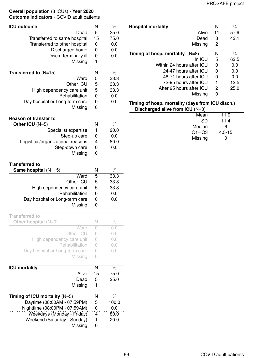#### **Overall population** (3 ICUs) - **Year 2020 Outcome indicators** - COVID adult patients

| <b>ICU outcome</b>                | N           | $\overline{\%}$ |
|-----------------------------------|-------------|-----------------|
|                                   |             |                 |
| Dead                              | 5           | 25.0            |
| Transferred to same hospital      | 15          | 75.0            |
| Transferred to other hospital     | 0           | 0.0             |
| Discharged home                   | $\mathbf 0$ | 0.0             |
| Disch. terminally ill             | 0           | 0.0             |
| Missing                           | 1           |                 |
|                                   |             |                 |
| Transferred to $(N=15)$           | N           | $\overline{\%}$ |
| Ward                              | 5           | 33.3            |
| Other ICU                         | 5           | 33.3            |
| High dependency care unit         | 5           | 33.3            |
| Rehabilitation                    | $\mathbf 0$ | 0.0             |
| Day hospital or Long-term care    | 0           | 0.0             |
| Missing                           | 0           |                 |
|                                   |             |                 |
| <b>Reason of transfer to</b>      |             |                 |
| Other ICU (N=5)                   | N           | %               |
| Specialist expertise              | 1           | 20.0            |
| Step-up care                      | 0           | 0.0             |
| Logistical/organizational reasons | 4           | 80.0            |
| Step-down care                    | 0           | 0.0             |
| Missing                           | 0           |                 |
|                                   |             |                 |
| <b>Transferred to</b>             |             |                 |
| Same hospital $(N=15)$            | N           | %               |
| Ward                              | 5           | 33.3            |
| Other ICU                         | 5           | 33.3            |
| High dependency care unit         | 5           | 33.3            |
| Rehabilitation                    | 0           | 0.0             |
| Day hospital or Long-term care    | 0           | 0.0             |
| Missing                           | 0           |                 |
|                                   |             |                 |
| <b>Transferred to</b>             |             |                 |
| Other hospital $(N=0)$            | N           | $\%$            |
| Ward                              | 0           | 0.0             |
| Other ICU                         | 0           | 0.0             |
| High dependency care unit         | 0           | 0.0             |
| Rehabilitation                    | 0           | 0.0             |
| Day hospital or Long-term care    | 0           | 0.0             |
| Missing                           | 0           |                 |
|                                   |             |                 |
| <b>ICU mortality</b>              | N           | %               |
| Alive                             | 15          | 75.0            |
| Dead                              | 5           | 25.0            |
| Missing                           | 1           |                 |
| Timing of ICU mortality $(N=5)$   | N           | %               |
| Daytime (08:00AM - 07:59PM)       | 5           | 100.0           |
| Nighttime (08:00PM - 07:59AM)     | 0           | 0.0             |
|                                   |             |                 |
| Weekdays (Monday - Friday)        | 4           | 80.0            |
| Weekend (Saturday - Sunday)       | 1           | 20.0            |
| Missing                           | 0           |                 |

| <b>Hospital mortality</b>                                                             | N  | %          |
|---------------------------------------------------------------------------------------|----|------------|
| Alive                                                                                 | 11 | 57.9       |
| Dead                                                                                  | 8  | 42.1       |
| Missing                                                                               | 2  |            |
| Timing of hosp. mortality $(N=8)$                                                     | N  | %          |
| In ICU                                                                                | 5  | 62.5       |
| Within 24 hours after ICU                                                             | 0  | 0.0        |
| 24-47 hours after ICU                                                                 | 0  | 0.0        |
| 48-71 hours after ICU                                                                 | 0  | 0.0        |
| 72-95 hours after ICU                                                                 | 1  | 12.5       |
| After 95 hours after ICU                                                              | 2  | 25.0       |
| Missing                                                                               | 0  |            |
| Timing of hosp. mortality (days from ICU disch.)<br>Discharged alive from ICU $(N=3)$ |    |            |
| Mean                                                                                  |    | 11.0       |
| <b>SD</b>                                                                             |    | 11.4       |
| Median                                                                                |    | 6          |
| $Q1 - Q3$                                                                             |    | $4.5 - 15$ |
|                                                                                       |    | 0          |